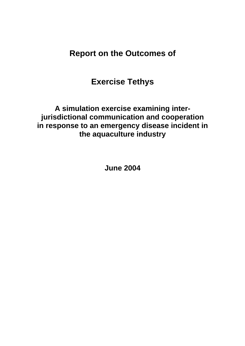**Report on the Outcomes of** 

# **Exercise Tethys**

# **A simulation exercise examining interjurisdictional communication and cooperation in response to an emergency disease incident in the aquaculture industry**

**June 2004**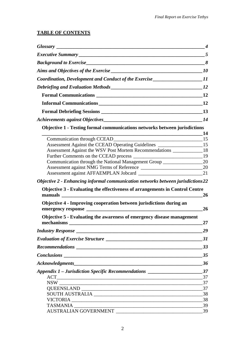# **TABLE OF CONTENTS**

|                                                                                                                                                                                                                               | $\boldsymbol{4}$ |
|-------------------------------------------------------------------------------------------------------------------------------------------------------------------------------------------------------------------------------|------------------|
|                                                                                                                                                                                                                               | 5                |
|                                                                                                                                                                                                                               | 8                |
|                                                                                                                                                                                                                               | <i>10</i>        |
| Coordination, Development and Conduct of the Exercise __________________________11                                                                                                                                            |                  |
|                                                                                                                                                                                                                               | <i>12</i>        |
|                                                                                                                                                                                                                               |                  |
|                                                                                                                                                                                                                               | <b>12</b>        |
| Informal Communications<br><u>Letter and the communications</u>                                                                                                                                                               |                  |
|                                                                                                                                                                                                                               | 13               |
|                                                                                                                                                                                                                               | 14               |
| Objective 1 - Testing formal communications networks between jurisdictions                                                                                                                                                    |                  |
|                                                                                                                                                                                                                               | 14               |
| Communication through CCEAD______<br>$\overline{\phantom{a}15}$                                                                                                                                                               |                  |
| Assessment Against the WSV Post Mortem Recommendations _____________ 18                                                                                                                                                       |                  |
|                                                                                                                                                                                                                               |                  |
| Communication through the National Management Group ____________________________                                                                                                                                              | 20               |
|                                                                                                                                                                                                                               |                  |
|                                                                                                                                                                                                                               |                  |
| Objective 2 - Enhancing informal communication networks between jurisdictions 22                                                                                                                                              |                  |
| Objective 3 - Evaluating the effectiveness of arrangements in Control Centre                                                                                                                                                  |                  |
|                                                                                                                                                                                                                               | 26               |
| Objective 4 - Improving cooperation between jurisdictions during an                                                                                                                                                           |                  |
|                                                                                                                                                                                                                               | 26               |
| Objective 5 - Evaluating the awareness of emergency disease management                                                                                                                                                        |                  |
|                                                                                                                                                                                                                               | 27               |
|                                                                                                                                                                                                                               | 29               |
|                                                                                                                                                                                                                               | <b>31</b>        |
|                                                                                                                                                                                                                               | 33               |
| <b>Conclusions</b><br><u> 2000 - 2000 - 2000 - 2000 - 2000 - 2000 - 2000 - 2000 - 2000 - 2000 - 2000 - 2000 - 2000 - 2000 - 2000 - 200</u>                                                                                    | 35               |
| Acknowledgments have a series of the contract of the contract of the contract of the contract of the contract of the contract of the contract of the contract of the contract of the contract of the contract of the contract | 36               |
| Appendix 1 – Jurisdiction Specific Recommendations _____________________________                                                                                                                                              | 37               |
|                                                                                                                                                                                                                               | 37               |
| <b>NSW</b>                                                                                                                                                                                                                    | 37               |
|                                                                                                                                                                                                                               |                  |
|                                                                                                                                                                                                                               |                  |
|                                                                                                                                                                                                                               | 38               |
|                                                                                                                                                                                                                               |                  |
|                                                                                                                                                                                                                               |                  |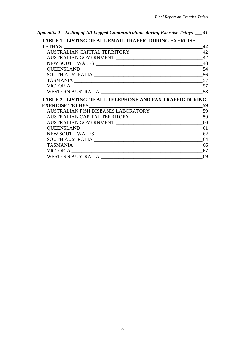*[Appendix 2 – Listing of All Logged Communications during Exercise Tethys](#page-40-0) \_\_\_41*

| TABLE 1 - LISTING OF ALL EMAIL TRAFFIC DURING EXERCISE    |    |
|-----------------------------------------------------------|----|
| TETHYS                                                    | 42 |
|                                                           | 42 |
|                                                           |    |
| NEW SOUTH WALES                                           | 48 |
|                                                           |    |
|                                                           |    |
|                                                           |    |
|                                                           |    |
|                                                           |    |
| TABLE 2 - LISTING OF ALL TELEPHONE AND FAX TRAFFIC DURING |    |
|                                                           | 59 |
|                                                           |    |
|                                                           |    |
|                                                           |    |
|                                                           |    |
|                                                           |    |
| SOUTH AUSTRALIA                                           | 64 |
|                                                           |    |
| VICTORIA $\qquad \qquad \qquad$ 67                        |    |
| WESTERN AUSTRALIA                                         | 69 |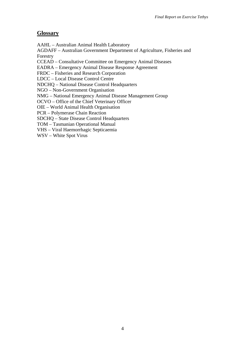### <span id="page-3-0"></span>**Glossary**

AAHL – Australian Animal Health Laboratory

AGDAFF – Australian Government Department of Agriculture, Fisheries and Forestry

CCEAD – Consultative Committee on Emergency Animal Diseases

EADRA – Emergency Animal Disease Response Agreement

FRDC – Fisheries and Research Corporation

LDCC – Local Disease Control Centre

NDCHQ – National Disease Control Headquarters

NGO – Non-Government Organisation

NMG – National Emergency Animal Disease Management Group

OCVO – Office of the Chief Veterinary Officer

OIE – World Animal Health Organisation

PCR – Polymerase Chain Reaction

SDCHQ – State Disease Control Headquarters

TOM – Tasmanian Operational Manual

VHS – Viral Haemorrhagic Septicaemia

WSV – White Spot Virus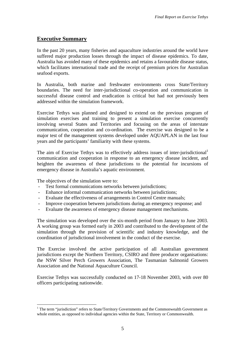# <span id="page-4-0"></span>**Executive Summary**

In the past 20 years, many fisheries and aquaculture industries around the world have suffered major production losses through the impact of disease epidemics. To date, Australia has avoided many of these epidemics and retains a favourable disease status, which facilitates international trade and the receipt of premium prices for Australian seafood exports.

In Australia, both marine and freshwater environments cross State/Territory boundaries. The need for inter-jurisdictional co-operation and communication in successful disease control and eradication is critical but had not previously been addressed within the simulation framework.

Exercise Tethys was planned and designed to extend on the previous program of simulation exercises and training to present a simulation exercise concurrently involving several States and Territories and focusing on the areas of interstate communication, cooperation and co-ordination. The exercise was designed to be a major test of the management systems developed under AQUAPLAN in the last four years and the participants' familiarity with these systems.

The aim of Exercise Tethys was to effectively address issues of inter-jurisdictional<sup>1</sup> communication and cooperation in response to an emergency disease incident, and heighten the awareness of these jurisdictions to the potential for incursions of emergency disease in Australia's aquatic environment.

The objectives of the simulation were to:

- Test formal communications networks between jurisdictions;
- Enhance informal communication networks between jurisdictions;
- Evaluate the effectiveness of arrangements in Control Centre manuals;
- Improve cooperation between jurisdictions during an emergency response; and
- Evaluate the awareness of emergency disease management mechanisms.

The simulation was developed over the six-month period from January to June 2003. A working group was formed early in 2003 and contributed to the development of the simulation through the provision of scientific and industry knowledge, and the coordination of jurisdictional involvement in the conduct of the exercise.

The Exercise involved the active participation of all Australian government jurisdictions except the Northern Territory, CSIRO and three producer organisations: the NSW Silver Perch Growers Association, The Tasmanian Salmonid Growers Association and the National Aquaculture Council.

Exercise Tethys was successfully conducted on 17-18 November 2003, with over 80 officers participating nationwide.

<span id="page-4-1"></span> $\overline{a}$  $<sup>1</sup>$  The term "jurisdiction" refers to State/Territory Governments and the Commonwealth Government as</sup> whole entities, as opposed to individual agencies within the State, Territory or Commonwealth.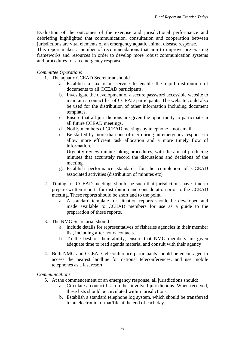Evaluation of the outcomes of the exercise and jurisdictional performance and debriefing highlighted that communication, consultation and cooperation between jurisdictions are vital elements of an emergency aquatic animal disease response.

This report makes a number of recommendations that aim to improve pre-existing frameworks and resources in order to develop more robust communication systems and procedures for an emergency response.

*Committee Operations* 

- 1. The aquatic CCEAD Secretariat should
	- a. Establish a faxstream service to enable the rapid distribution of documents to all CCEAD participants.
	- b. Investigate the development of a secure password accessible website to maintain a contact list of CCEAD participants. The website could also be used for the distribution of other information including document templates.
	- c. Ensure that all jurisdictions are given the opportunity to participate in all future CCEAD meetings.
	- d. Notify members of CCEAD meetings by telephone not email.
	- e. Be staffed by more than one officer during an emergency response to allow more efficient task allocation and a more timely flow of information.
	- f. Urgently review minute taking procedures, with the aim of producing minutes that accurately record the discussions and decisions of the meeting.
	- g. Establish performance standards for the completion of CCEAD associated activities (distribution of minutes etc)
- 2. Timing for CCEAD meetings should be such that jurisdictions have time to prepare written reports for distribution and consideration prior to the CCEAD meeting. These reports should be short and to the point.
	- a. A standard template for situation reports should be developed and made available to CCEAD members for use as a guide to the preparation of these reports.
- 3. The NMG Secretariat should
	- a. include details for representatives of fisheries agencies in their member list, including after hours contacts.
	- b. To the best of their ability, ensure that NMG members are given adequate time to read agenda material and consult with their agency
- 4. Both NMG and CCEAD teleconference participants should be encouraged to access the nearest landline for national teleconferences, and use mobile telephones as a last resort.

*Communications* 

- 5. At the commencement of an emergency response, all jurisdictions should:
	- a. Circulate a contact list to other involved jurisdictions. When received, these lists should be circulated within jurisdictions.
	- b. Establish a standard telephone log system, which should be transferred to an electronic format/file at the end of each day.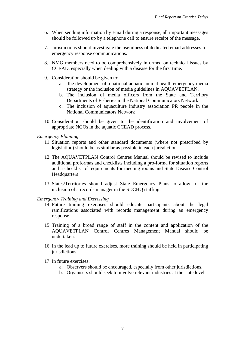- 6. When sending information by Email during a response, all important messages should be followed up by a telephone call to ensure receipt of the message.
- 7. Jurisdictions should investigate the usefulness of dedicated email addresses for emergency response communications.
- 8. NMG members need to be comprehensively informed on technical issues by CCEAD, especially when dealing with a disease for the first time.
- 9. Consideration should be given to:
	- a. the development of a national aquatic animal health emergency media strategy or the inclusion of media guidelines in AQUAVETPLAN.
	- b. The inclusion of media officers from the State and Territory Departments of Fisheries in the National Communicators Network
	- c. The inclusion of aquaculture industry association PR people in the National Communicators Network
- 10. Consideration should be given to the identification and involvement of appropriate NGOs in the aquatic CCEAD process.

### *Emergency Planning*

- 11. Situation reports and other standard documents (where not prescribed by legislation) should be as similar as possible in each jurisdiction.
- 12. The AQUAVETPLAN Control Centres Manual should be revised to include additional proformas and checklists including a pro-forma for situation reports and a checklist of requirements for meeting rooms and State Disease Control Headquarters
- 13. States/Territories should adjust State Emergency Plans to allow for the inclusion of a records manager in the SDCHQ staffing.

#### *Emergency Training and Exercising*

- 14. Future training exercises should educate participants about the legal ramifications associated with records management during an emergency response.
- 15. Training of a broad range of staff in the content and application of the AQUAVETPLAN Control Centres Management Manual should be undertaken.
- 16. In the lead up to future exercises, more training should be held in participating jurisdictions.
- 17. In future exercises:
	- a. Observers should be encouraged, especially from other jurisdictions.
	- b. Organisers should seek to involve relevant industries at the state level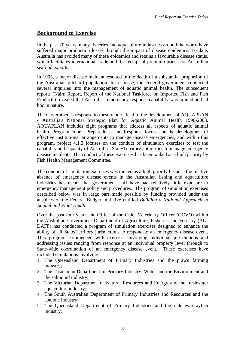# <span id="page-7-0"></span>**Background to Exercise**

In the past 20 years, many fisheries and aquaculture industries around the world have suffered major production losses through the impact of disease epidemics. To date, Australia has avoided many of these epidemics and retains a favourable disease status, which facilitates international trade and the receipt of premium prices for Australian seafood exports.

In 1995, a major disease incident resulted in the death of a substantial proportion of the Australian pilchard population. In response, the Federal government conducted several inquiries into the management of aquatic animal health. The subsequent reports (Nairn Report, Report of the National Taskforce on Imported Fish and Fish Products) revealed that Australia's emergency response capability was limited and ad hoc in nature.

The Government's response to these reports lead to the development of AQUAPLAN - Australia's National Strategic Plan for Aquatic Animal Health 1998-2003. AQUAPLAN includes eight programs that address all aspects of aquatic animal health. Program Four - Preparedness and Response focuses on the development of effective institutional arrangements to manage disease emergencies, and within this program, project 4.1.3 focuses on the conduct of simulation exercises to test the capability and capacity of Australia's State/Territory authorities to manage emergency disease incidents. The conduct of these exercises has been ranked as a high priority by Fish Health Management Committee.

The conduct of simulation exercises was ranked as a high priority because the relative absence of emergency disease events in the Australian fishing and aquaculture industries has meant that government staff have had relatively little exposure to emergency management policy and procedures. The program of simulation exercises described below was in large part made possible by funding provided under the auspices of the Federal Budget Initiative entitled *Building a National Approach to Animal and Plant Health.*

Over the past four years, the Office of the Chief Veterinary Officer (OCVO) within the Australian Government Department of Agriculture, Fisheries and Forestry (AG-DAFF) has conducted a program of simulation exercises designed to enhance the ability of all State/Territory jurisdictions to respond to an emergency disease event. This program commenced with exercises involving individual jurisdictions and addressing issues ranging from response at an individual property level through to State-wide coordination of an emergency disease event. These exercises have included simulations involving:

- 1. The Queensland Department of Primary Industries and the prawn farming industry;
- 2. The Tasmanian Department of Primary Industry, Water and the Environment and the salmonid industry;
- 3. The Victorian Department of Natural Resources and Energy and the freshwater aquaculture industry;
- 4. The South Australian Department of Primary Industries and Resources and the abalone industry;
- 5. The Queensland Department of Primary Industries and the redclaw crayfish industry;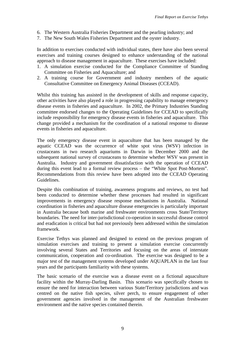- 6. The Western Australia Fisheries Department and the pearling industry; and
- 7. The New South Wales Fisheries Department and the oyster industry.

In addition to exercises conducted with individual states, there have also been several exercises and training courses designed to enhance understanding of the national approach to disease management in aquaculture. These exercises have included:

- 1. A simulation exercise conducted for the Compliance Committee of Standing Committee on Fisheries and Aquaculture; and
- 2. A training course for Government and industry members of the aquatic Consultative Committee on Emergency Animal Diseases (CCEAD).

Whilst this training has assisted in the development of skills and response capacity, other activities have also played a role in progressing capability to manage emergency disease events in fisheries and aquaculture. In 2002, the Primary Industries Standing committee endorsed changes to the Operating Guidelines for CCEAD to specifically include responsibility for emergency disease events in fisheries and aquaculture. This change provided a mechanism for the coordination of a national response to disease events in fisheries and aquaculture.

The only emergency disease event in aquaculture that has been managed by the aquatic CCEAD was the occurrence of white spot virus (WSV) infection in crustaceans in two research aquariums in Darwin in December 2000 and the subsequent national survey of crustaceans to determine whether WSV was present in Australia. Industry and government dissatisfaction with the operation of CCEAD during this event lead to a formal review process – the "White Spot Post-Mortem". Recommendations from this review have been adopted into the CCEAD Operating Guidelines.

Despite this combination of training, awareness programs and reviews, no test had been conducted to determine whether these processes had resulted in significant improvements in emergency disease response mechanisms in Australia. National coordination in fisheries and aquaculture disease emergencies is particularly important in Australia because both marine and freshwater environments cross State/Territory boundaries. The need for inter-jurisdictional co-operation in successful disease control and eradication is critical but had not previously been addressed within the simulation framework.

Exercise Tethys was planned and designed to extend on the previous program of simulation exercises and training to present a simulation exercise concurrently involving several States and Territories and focusing on the areas of interstate communication, cooperation and co-ordination. The exercise was designed to be a major test of the management systems developed under AQUAPLAN in the last four years and the participants familiarity with these systems.

The basic scenario of the exercise was a disease event on a fictional aquaculture facility within the Murray-Darling Basin. This scenario was specifically chosen to ensure the need for interaction between various State/Territory jurisdictions and was centred on the native fish species, silver perch, to ensure engagement of other government agencies involved in the management of the Australian freshwater environment and the native species contained therein.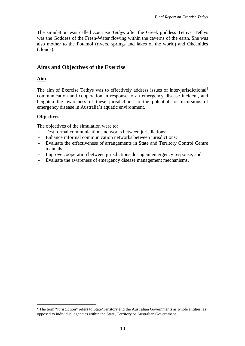<span id="page-9-0"></span>The simulation was called *Exercise Tethys* after the Greek goddess Tethys. Tethys was the Goddess of the Fresh-Water flowing within the caverns of the earth. She was also mother to the Potamoi (rivers, springs and lakes of the world) and Okeanides (clouds).

# **Aims and Objectives of the Exercise**

### **Aim**

The aim of Exercise Tethys was to effectively address issues of inter-jurisdictional<sup>2</sup> communication and cooperation in response to an emergency disease incident, and heighten the awareness of these jurisdictions to the potential for incursions of emergency disease in Australia's aquatic environment.

### **Objectives**

 $\overline{a}$ 

The objectives of the simulation were to:

- Test formal communications networks between jurisdictions;
- Enhance informal communication networks between jurisdictions;
- Evaluate the effectiveness of arrangements in State and Territory Control Centre manuals;
- Improve cooperation between jurisdictions during an emergency response; and
- Evaluate the awareness of emergency disease management mechanisms.

<span id="page-9-1"></span> $2$  The term "jurisdiction" refers to State/Territory and the Australian Governments as whole entities, as opposed to individual agencies within the State, Territory or Australian Government.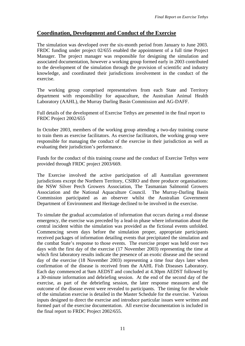# <span id="page-10-0"></span>**Coordination, Development and Conduct of the Exercise**

The simulation was developed over the six-month period from January to June 2003. FRDC funding under project 02/655 enabled the appointment of a full time Project Manager. The project manager was responsible for designing the simulation and associated documentation, however a working group formed early in 2003 contributed to the development of the simulation through the provision of scientific and industry knowledge, and coordinated their jurisdictions involvement in the conduct of the exercise.

The working group comprised representatives from each State and Territory department with responsibility for aquaculture, the Australian Animal Health Laboratory (AAHL), the Murray Darling Basin Commission and AG-DAFF.

Full details of the development of Exercise Tethys are presented in the final report to FRDC Project 2002/655

In October 2003, members of the working group attending a two-day training course to train them as exercise facilitators. As exercise facilitators, the working group were responsible for managing the conduct of the exercise in their jurisdiction as well as evaluating their jurisdiction's performance.

Funds for the conduct of this training course and the conduct of Exercise Tethys were provided through FRDC project 2003/669.

The Exercise involved the active participation of all Australian government jurisdictions except the Northern Territory, CSIRO and three producer organisations: the NSW Silver Perch Growers Association, The Tasmanian Salmonid Growers Association and the National Aquaculture Council. The Murray-Darling Basin Commission participated as an observer whilst the Australian Government Department of Environment and Heritage declined to be involved in the exercise.

To simulate the gradual accumulation of information that occurs during a real disease emergency, the exercise was preceded by a lead-in phase where information about the central incident within the simulation was provided as the fictional events unfolded. Commencing seven days before the simulation proper, appropriate participants received packages of information detailing events that precipitated the simulation and the combat State's response to those events. The exercise proper was held over two days with the first day of the exercise (17 November 2003) representing the time at which first laboratory results indicate the presence of an exotic disease and the second day of the exercise (18 November 2003) representing a time four days later when confirmation of the disease is received from the AAHL Fish Diseases Laboratory. Each day commenced at 9am AEDST and concluded at 4.30pm AEDST followed by a 30-minute information and debriefing session. At the end of the second day of the exercise, as part of the debriefing session, the later response measures and the outcome of the disease event were revealed to participants. The timing for the whole of the simulation exercise is detailed in the Master Schedule for the exercise. Various inputs designed to direct the exercise and introduce particular issues were written and formed part of the exercise documentation. All exercise documentation is included in the final report to FRDC Project 2002/655.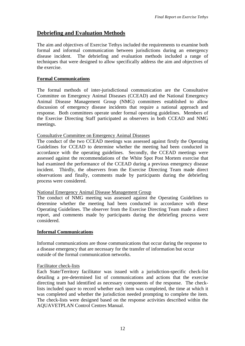# <span id="page-11-0"></span>**Debriefing and Evaluation Methods**

The aim and objectives of Exercise Tethys included the requirements to examine both formal and informal communication between jurisdictions during an emergency disease incident. The debriefing and evaluation methods included a range of techniques that were designed to allow specifically address the aim and objectives of the exercise.

### **Formal Communications**

The formal methods of inter-jurisdictional communication are the Consultative Committee on Emergency Animal Diseases (CCEAD) and the National Emergency Animal Disease Management Group (NMG) committees established to allow discussion of emergency disease incidents that require a national approach and response. Both committees operate under formal operating guidelines. Members of the Exercise Directing Staff participated as observers in both CCEAD and NMG meetings.

### Consultative Committee on Emergency Animal Diseases

The conduct of the two CCEAD meetings was assessed against firstly the Operating Guidelines for CCEAD to determine whether the meeting had been conducted in accordance with the operating guidelines. Secondly, the CCEAD meetings were assessed against the recommendations of the White Spot Post Mortem exercise that had examined the performance of the CCEAD during a previous emergency disease incident. Thirdly, the observers from the Exercise Directing Team made direct observations and finally, comments made by participants during the debriefing process were considered.

### National Emergency Animal Disease Management Group

The conduct of NMG meeting was assessed against the Operating Guidelines to determine whether the meeting had been conducted in accordance with these Operating Guidelines. The observer from the Exercise Directing Team made a direct report, and comments made by participants during the debriefing process were considered.

### **Informal Communications**

Informal communications are those communications that occur during the response to a disease emergency that are necessary for the transfer of information but occur outside of the formal communication networks.

### Facilitator check-lists

Each State/Territory facilitator was issued with a jurisdiction-specific check-list detailing a pre-determined list of communications and actions that the exercise directing team had identified as necessary components of the response. The checklists included space to record whether each item was completed, the time at which it was completed and whether the jurisdiction needed prompting to complete the item. The check-lists were designed based on the response activities described within the AQUAVETPLAN Control Centres Manual.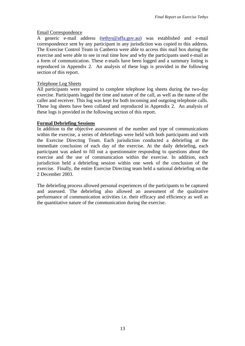### <span id="page-12-0"></span>Email Correspondence

A generic e-mail address [\(tethys@affa.gov.au\)](mailto:tethys@affa.gov.au) was established and e-mail correspondence sent by any participant in any jurisdiction was copied to this address. The Exercise Control Team in Canberra were able to access this mail box during the exercise and were able to see in real time how and why the participants used e-mail as a form of communication. These e-mails have been logged and a summary listing is reproduced in Appendix 2. An analysis of these logs is provided in the following section of this report.

### Telephone Log Sheets

All participants were required to complete telephone log sheets during the two-day exercise. Participants logged the time and nature of the call, as well as the name of the caller and receiver. This log was kept for both incoming and outgoing telephone calls. These log sheets have been collated and reproduced in Appendix 2. An analysis of these logs is provided in the following section of this report.

### **Formal Debriefing Sessions**

In addition to the objective assessment of the number and type of communications within the exercise, a series of debriefings were held with both participants and with the Exercise Directing Team. Each jurisdiction conducted a debriefing at the immediate conclusion of each day of the exercise. At the daily debriefing, each participant was asked to fill out a questionnaire responding to questions about the exercise and the use of communication within the exercise. In addition, each jurisdiction held a debriefing session within one week of the conclusion of the exercise. Finally, the entire Exercise Directing team held a national debriefing on the 2 December 2003.

The debriefing process allowed personal experiences of the participants to be captured and assessed. The debriefing also allowed an assessment of the qualitative performance of communication activities i.e. their efficacy and efficiency as well as the quantitative nature of the communication during the exercise.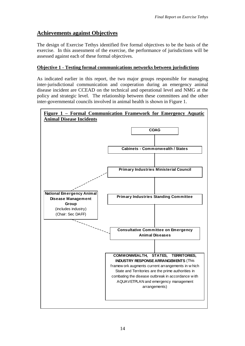# <span id="page-13-0"></span>**Achievements against Objectives**

The design of Exercise Tethys identified five formal objectives to be the basis of the exercise. In this assessment of the exercise, the performance of jurisdictions will be assessed against each of these formal objectives.

### **Objective 1 - Testing formal communications networks between jurisdictions**

As indicated earlier in this report, the two major groups responsible for managing inter-jurisdictional communication and cooperation during an emergency animal disease incident are CCEAD on the technical and operational level and NMG at the policy and strategic level. The relationship between these committees and the other inter-governmental councils involved in animal health is shown in Figure 1.

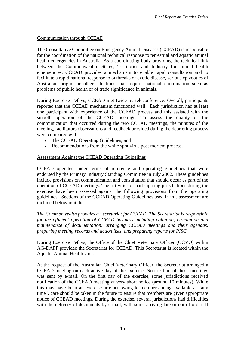### <span id="page-14-0"></span>Communication through CCEAD

The Consultative Committee on Emergency Animal Diseases (CCEAD) is responsible for the coordination of the national technical response to terrestrial and aquatic animal health emergencies in Australia. As a coordinating body providing the technical link between the Commonwealth, States, Territories and Industry for animal health emergencies, CCEAD provides a mechanism to enable rapid consultation and to facilitate a rapid national response to outbreaks of exotic disease, serious epizootics of Australian origin, or other situations that require national coordination such as problems of public health or of trade significance in animals.

During Exercise Tethys, CCEAD met twice by teleconference. Overall, participants reported that the CCEAD mechanism functioned well. Each jurisdiction had at least one participant with experience of the CCEAD process and this assisted with the smooth operation of the CCEAD meetings. To assess the quality of the communication that occurred during the two CCEAD meetings, the minutes of the meeting, facilitators observations and feedback provided during the debriefing process were compared with:

- The CCEAD Operating Guidelines; and
- Recommendations from the white spot virus post mortem process.

### Assessment Against the CCEAD Operating Guidelines

CCEAD operates under terms of reference and operating guidelines that were endorsed by the Primary Industry Standing Committee in July 2002. These guidelines include provisions on communication and consultation that should occur as part of the operation of CCEAD meetings. The activities of participating jurisdictions during the exercise have been assessed against the following provisions from the operating guidelines. Sections of the CCEAD Operating Guidelines used in this assessment are included below in italics.

*The Commonwealth provides a Secretariat for CCEAD. The Secretariat is responsible for the efficient operation of CCEAD business including collation, circulation and maintenance of documentation; arranging CCEAD meetings and their agendas, preparing meeting records and action lists, and preparing reports for PISC.* 

During Exercise Tethys, the Office of the Chief Veterinary Officer (OCVO) within AG-DAFF provided the Secretariat for CCEAD. This Secretariat is located within the Aquatic Animal Health Unit.

At the request of the Australian Chief Veterinary Officer, the Secretariat arranged a CCEAD meeting on each active day of the exercise. Notification of these meetings was sent by e-mail. On the first day of the exercise, some jurisdictions received notification of the CCEAD meeting at very short notice (around 10 minutes). While this may have been an exercise artefact owing to members being available at "any time", care should be taken in the future to ensure that members are given appropriate notice of CCEAD meetings. During the exercise, several jurisdictions had difficulties with the delivery of documents by e-mail, with some arriving late or out of order. It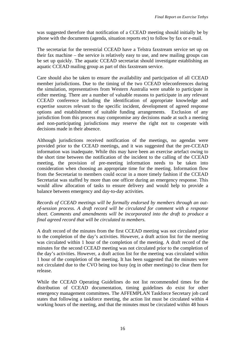was suggested therefore that notification of a CCEAD meeting should initially be by phone with the documents (agenda, situation reports etc) to follow by fax or e-mail.

The secretariat for the terrestrial CCEAD have a Telstra faxstream service set up on their fax machine – the service is relatively easy to use, and new mailing groups can be set up quickly. The aquatic CCEAD secretariat should investigate establishing an aquatic CCEAD mailing group as part of this faxstream service.

Care should also be taken to ensure the availability and participation of all CCEAD member jurisdictions. Due to the timing of the two CCEAD teleconferences during the simulation, representatives from Western Australia were unable to participate in either meeting. There are a number of valuable reasons to participate in any relevant CCEAD conference including the identification of appropriate knowledge and expertise sources relevant to the specific incident, development of agreed response options and establishment of suitable funding arrangements. Exclusion of any jurisdiction from this process may compromise any decisions made at such a meeting and non-participating jurisdictions may reserve the right not to cooperate with decisions made in their absence.

Although jurisdictions received notification of the meetings, no agendas were provided prior to the CCEAD meetings, and it was suggested that the pre-CCEAD information was inadequate. While this may have been an exercise artefact owing to the short time between the notification of the incident to the calling of the CCEAD meeting, the provision of pre-meeting information needs to be taken into consideration when choosing an appropriate time for the meeting. Information flow from the Secretariat to members could occur in a more timely fashion if the CCEAD Secretariat was staffed by more than one officer during an emergency response. This would allow allocation of tasks to ensure delivery and would help to provide a balance between emergency and day-to-day activities.

*Records of CCEAD meetings will be formally endorsed by members through an outof-session process. A draft record will be circulated for comment with a response sheet. Comments and amendments will be incorporated into the draft to produce a final agreed record that will be circulated to members.* 

A draft record of the minutes from the first CCEAD meeting was not circulated prior to the completion of the day's activities. However, a draft action list for the meeting was circulated within 1 hour of the completion of the meeting. A draft record of the minutes for the second CCEAD meeting was not circulated prior to the completion of the day's activities. However, a draft action list for the meeting was circulated within 1 hour of the completion of the meeting. It has been suggested that the minutes were not circulated due to the CVO being too busy (eg in other meetings) to clear them for release.

While the CCEAD Operating Guidelines do not list recommended times for the distribution of CCEAD documentation, timing guidelines do exist for other emergency management committees. The AFFEMPLAN Taskforce Secretary job card states that following a taskforce meeting, the action list must be circulated within 4 working hours of the meeting, and that the minutes must be circulated within 48 hours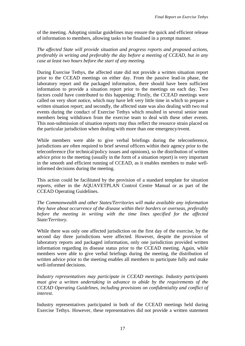of the meeting. Adopting similar guidelines may ensure the quick and efficient release of information to members, allowing tasks to be finalised in a prompt manner.

*The affected State will provide situation and progress reports and proposed actions, preferably in writing and preferably the day before a meeting of CCEAD, but in any case at least two hours before the start of any meeting.* 

During Exercise Tethys, the affected state did not provide a written situation report prior to the CCEAD meetings on either day. From the passive lead-in phase, the laboratory report and the packaged information, there should have been sufficient information to provide a situation report prior to the meetings on each day. Two factors could have contributed to this happening: Firstly, the CCEAD meetings were called on very short notice, which may have left very little time in which to prepare a written situation report; and secondly, the affected state was also dealing with two real events during the conduct of Exercise Tethys which resulted in several senior team members being withdrawn from the exercise team to deal with these other events. This non-submission of situation reports may thus reflect the resource strain placed on the particular jurisdiction when dealing with more than one emergency/event.

While members were able to give verbal briefings during the teleconference, jurisdictions are often required to brief several officers within their agency prior to the teleconference (for technical/policy issues and opinions), so the distribution of written advice prior to the meeting (usually in the form of a situation report) is very important in the smooth and efficient running of CCEAD, as it enables members to make wellinformed decisions during the meeting.

This action could be facilitated by the provision of a standard template for situation reports, either in the AQUAVETPLAN Control Centre Manual or as part of the CCEAD Operating Guidelines.

*The Commonwealth and other States/Territories will make available any information they have about occurrence of the disease within their borders or overseas, preferably before the meeting in writing with the time lines specified for the affected State/Territory.* 

While there was only one affected jurisdiction on the first day of the exercise, by the second day three jurisdictions were affected. However, despite the provision of laboratory reports and packaged information, only one jurisdiction provided written information regarding its disease status prior to the CCEAD meeting. Again, while members were able to give verbal briefings during the meeting, the distribution of written advice prior to the meeting enables all members to participate fully and make well-informed decisions.

*Industry representatives may participate in CCEAD meetings. Industry participants must give a written undertaking in advance to abide by the requirements of the CCEAD Operating Guidelines, including provisions on confidentiality and conflict of interest.* 

Industry representatives participated in both of the CCEAD meetings held during Exercise Tethys. However, these representatives did not provide a written statement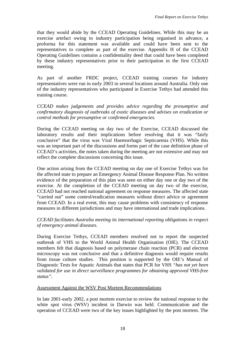<span id="page-17-0"></span>that they would abide by the CCEAD Operating Guidelines. While this may be an exercise artefact owing to industry participation being organised in advance, a proforma for this statement was available and could have been sent to the representatives to complete as part of the exercise. Appendix H of the CCEAD Operating Guidelines contains a confidentiality deed that could have been completed by these industry representatives prior to their participation in the first CCEAD meeting.

As part of another FRDC project, CCEAD training courses for industry representatives were run in early 2003 in several locations around Australia. Only one of the industry representatives who participated in Exercise Tethys had attended this training course.

*CCEAD makes judgements and provides advice regarding the presumptive and confirmatory diagnosis of outbreaks of exotic diseases and advises on eradication or control methods for presumptive or confirmed emergencies.* 

During the CCEAD meeting on day two of the Exercise, CCEAD discussed the laboratory results and their implications before resolving that it was "fairly conclusive" that the virus was Viral Haemorrhagic Septicaemia (VHS). While this was an important part of the discussions and forms part of the case definition phase of CCEAD's activities, the notes taken during the meeting are not extensive and may not reflect the complete discussions concerning this issue.

One action arising from the CCEAD meeting on day one of Exercise Tethys was for the affected state to prepare an Emergency Animal Disease Response Plan. No written evidence of the preparation of this plan was seen on either day one or day two of the exercise. At the completion of the CCEAD meeting on day two of the exercise, CCEAD had not reached national agreement on response measures. The affected state "carried out" some control/eradication measures without direct advice or agreement from CCEAD. In a real event, this may cause problems with consistency of response measures in different jurisdictions and may have international and trade implications.

### *CCEAD facilitates Australia meeting its international reporting obligations in respect of emergency animal diseases.*

During Exercise Tethys, CCEAD members resolved not to report the suspected outbreak of VHS to the World Animal Health Organisation (OIE). The CCEAD members felt that diagnosis based on polymerase chain reaction (PCR) and electron microscopy was not conclusive and that a definitive diagnosis would require results from tissue culture studies. This position is supported by the OIE's Manual of Diagnostic Tests for Aquatic Animals that states that PCR for VHS *"has not yet been validated for use in direct surveillance programmes for obtaining approved VHS-free status".* 

### Assessment Against the WSV Post Mortem Recommendations

In late 2001-early 2002, a post mortem exercise to review the national response to the white spot virus (WSV) incident in Darwin was held. Communication and the operation of CCEAD were two of the key issues highlighted by the post mortem. The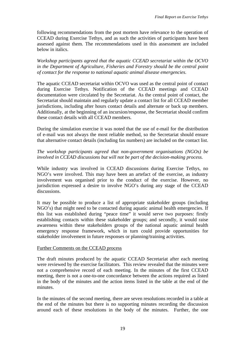<span id="page-18-0"></span>following recommendations from the post mortem have relevance to the operation of CCEAD during Exercise Tethys, and as such the activities of participants have been assessed against them. The recommendations used in this assessment are included below in italics.

*Workshop participants agreed that the aquatic CCEAD secretariat within the OCVO in the Department of Agriculture, Fisheries and Forestry should be the central point of contact for the response to national aquatic animal disease emergencies.* 

The aquatic CCEAD secretariat within OCVO was used as the central point of contact during Exercise Tethys. Notification of the CCEAD meetings and CCEAD documentation were circulated by the Secretariat. As the central point of contact, the Secretariat should maintain and regularly update a contact list for all CCEAD member jurisdictions, including after hours contact details and alternate or back up members. Additionally, at the beginning of an incursion/response, the Secretariat should confirm these contact details with all CCEAD members.

During the simulation exercise it was noted that the use of e-mail for the distribution of e-mail was not always the most reliable method, so the Secretariat should ensure that alternative contact details (including fax numbers) are included on the contact list.

### *The workshop participants agreed that non-government organisations (NGOs) be involved in CCEAD discussions but will not be part of the decision-making process.*

While industry was involved in CCEAD discussions during Exercise Tethys, no NGO's were involved. This may have been an artefact of the exercise, as industry involvement was organised prior to the conduct of the exercise. However, no jurisdiction expressed a desire to involve NGO's during any stage of the CCEAD discussions.

It may be possible to produce a list of appropriate stakeholder groups (including NGO's) that might need to be contacted during aquatic animal health emergencies. If this list was established during "peace time" it would serve two purposes: firstly establishing contacts within these stakeholder groups; and secondly, it would raise awareness within these stakeholders groups of the national aquatic animal health emergency response framework, which in turn could provide opportunities for stakeholder involvement in future responses or planning/training activities.

### Further Comments on the CCEAD process

The draft minutes produced by the aquatic CCEAD Secretariat after each meeting were reviewed by the exercise facilitators. This review revealed that the minutes were not a comprehensive record of each meeting. In the minutes of the first CCEAD meeting, there is not a one-to-one concordance between the actions required as listed in the body of the minutes and the action items listed in the table at the end of the minutes.

In the minutes of the second meeting, there are seven resolutions recorded in a table at the end of the minutes but there is no supporting minutes recording the discussion around each of these resolutions in the body of the minutes. Further, the one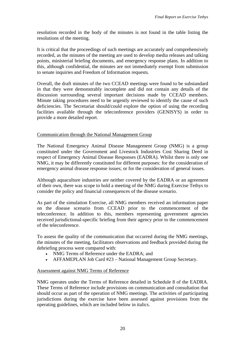<span id="page-19-0"></span>resolution recorded in the body of the minutes is not found in the table listing the resolutions of the meeting.

It is critical that the proceedings of such meetings are accurately and comprehensively recorded, as the minutes of the meeting are used to develop media releases and talking points, ministerial briefing documents, and emergency response plans. In addition to this, although confidential, the minutes are not immediately exempt from submission to senate inquiries and Freedom of Information requests.

Overall, the draft minutes of the two CCEAD meetings were found to be substandard in that they were demonstrably incomplete and did not contain any details of the discussion surrounding several important decisions made by CCEAD members. Minute taking procedures need to be urgently reviewed to identify the cause of such deficiencies. The Secretariat should/could explore the option of using the recording facilities available through the teleconference providers (GENISYS) in order to provide a more detailed report.

### Communication through the National Management Group

The National Emergency Animal Disease Management Group (NMG) is a group constituted under the Government and Livestock Industries Cost Sharing Deed in respect of Emergency Animal Disease Responses (EADRA). Whilst there is only one NMG, it may be differently constituted for different purposes: for the consideration of emergency animal disease response issues; or for the consideration of general issues.

Although aquaculture industries are neither covered by the EADRA or an agreement of their own, there was scope to hold a meeting of the NMG during Exercise Tethys to consider the policy and financial consequences of the disease scenario.

As part of the simulation Exercise, all NMG members received an information paper on the disease scenario from CCEAD prior to the commencement of the teleconference. In addition to this, members representing government agencies received jurisdictional-specific briefing from their agency prior to the commencement of the teleconference.

To assess the quality of the communication that occurred during the NMG meetings, the minutes of the meeting, facilitators observations and feedback provided during the debriefing process were compared with:

- NMG Terms of Reference under the EADRA; and
- AFFAMEPLAN Job Card #23 National Management Group Secretary.

### Assessment against NMG Terms of Reference

NMG operates under the Terms of Reference detailed in Schedule 8 of the EADRA. These Terms of Reference include provisions on communication and consultation that should occur as part of the operation of NMG meetings. The activities of participating jurisdictions during the exercise have been assessed against provisions from the operating guidelines, which are included below in italics.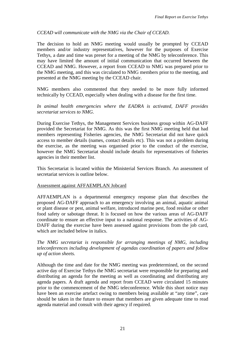### <span id="page-20-0"></span>*CCEAD will communicate with the NMG via the Chair of CCEAD.*

The decision to hold an NMG meeting would usually be prompted by CCEAD members and/or industry representatives, however for the purposes of Exercise Tethys, a date and time was preset for a meeting of the NMG by teleconference. This may have limited the amount of initial communication that occurred between the CCEAD and NMG. However, a report from CCEAD to NMG was prepared prior to the NMG meeting, and this was circulated to NMG members prior to the meeting, and presented at the NMG meeting by the CCEAD chair.

NMG members also commented that they needed to be more fully informed technically by CCEAD, especially when dealing with a disease for the first time.

### *In animal health emergencies where the EADRA is activated, DAFF provides secretariat services to NMG.*

During Exercise Tethys, the Management Services business group within AG-DAFF provided the Secretariat for NMG. As this was the first NMG meeting held that had members representing Fisheries agencies, the NMG Secretariat did not have quick access to member details (names, contact details etc). This was not a problem during the exercise, as the meeting was organised prior to the conduct of the exercise, however the NMG Secretariat should include details for representatives of fisheries agencies in their member list.

This Secretariat is located within the Ministerial Services Branch. An assessment of secretariat services is outline below.

#### Assessment against AFFAEMPLAN Jobcard

AFFAEMPLAN is a departmental emergency response plan that describes the proposed AG-DAFF approach to an emergency involving an animal, aquatic animal or plant disease or pest, animal welfare, introduced marine pest, food residue or other food safety or sabotage threat. It is focused on how the various areas of AG-DAFF coordinate to ensure an effective input to a national response. The activities of AG-DAFF during the exercise have been assessed against provisions from the job card, which are included below in italics.

*The NMG secretariat is responsible for arranging meetings of NMG, including teleconferences including development of agendas coordination of papers and follow up of action sheets.* 

Although the time and date for the NMG meeting was predetermined, on the second active day of Exercise Tethys the NMG secretariat were responsible for preparing and distributing an agenda for the meeting as well as coordinating and distributing any agenda papers. A draft agenda and report from CCEAD were circulated 15 minutes prior to the commencement of the NMG teleconference. While this short notice may have been an exercise artefact owing to members being available at "any time", care should be taken in the future to ensure that members are given adequate time to read agenda material and consult with their agency if required.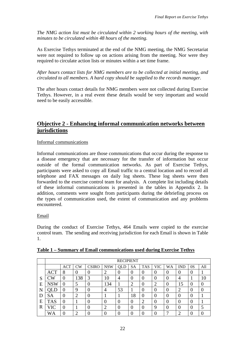<span id="page-21-0"></span>*The NMG action list must be circulated within 2 working hours of the meeting, with minutes to be circulated within 48 hours of the meeting.* 

As Exercise Tethys terminated at the end of the NMG meeting, the NMG Secretariat were not required to follow up on actions arising from the meeting. Nor were they required to circulate action lists or minutes within a set time frame.

*After hours contact lists for NMG members are to be collected at initial meeting, and circulated to all members. A hard copy should be supplied to the records manager.* 

The after hours contact details for NMG members were not collected during Exercise Tethys. However, in a real event these details would be very important and would need to be easily accessible.

# **Objective 2 - Enhancing informal communication networks between jurisdictions**

### Informal communications

Informal communications are those communications that occur during the response to a disease emergency that are necessary for the transfer of information but occur outside of the formal communication networks. As part of Exercise Tethys, participants were asked to copy all Email traffic to a central location and to record all telephone and FAX messages on daily log sheets. These log sheets were then forwarded to the exercise control team for analysis. A complete list including details of these informal communications is presented in the tables in Appendix 2. In addition, comments were sought from participants during the debriefing process on the types of communication used, the extent of communication and any problems encountered.

# Email

During the conduct of Exercise Tethys, 464 Emails were copied to the exercise control team. The sending and receiving jurisdiction for each Email is shown in Table 1.

|              | <b>RECIPIENT</b> |            |     |                |                 |                   |                     |            |     |                  |            |    |     |
|--------------|------------------|------------|-----|----------------|-----------------|-------------------|---------------------|------------|-----|------------------|------------|----|-----|
|              |                  | <b>ACT</b> | CW  | <b>CSIRO</b>   | <b>NSW</b>      | <b>OLD</b>        | <b>SA</b>           | <b>TAS</b> | VIC | <b>WA</b>        | <b>IND</b> | 0S | All |
|              | <b>ACT</b>       | 8          | 0   | $\theta$       | ി<br>∠          | U                 |                     | U          | O   | $\theta$         | O          |    |     |
| S            | `W               | 0          | 138 | 3              | 10              | 4                 | $\theta$            | O          | 0   | $\left($         | 4          |    | 10  |
| Ε            | NSW              |            |     | $\theta$       | $\overline{34}$ |                   | $\overline{ }$<br>└ | U          | ↩   | $\theta$         | 15         |    | O   |
| N            | )LD              | U          | y   | $\theta$       | 4               | 53                |                     | U          | U   | $\theta$         | ി          |    |     |
| D            | <b>SA</b>        | 0          | ി   | $\overline{0}$ | л               |                   | 18                  | O          | 0   | $\left( \right)$ | $\theta$   |    |     |
| E            | <b>TAS</b>       | 0          |     | $\theta$       | O               | $\mathbf{\Omega}$ |                     | ി          | U   | $\theta$         | O          |    |     |
| $\mathbb{R}$ | VIC              | O          |     | $\theta$       | ി<br>∠          | $\left( \right)$  | U                   | U          | ӌ   | $\theta$         | $\left($   |    |     |
|              | WA               |            |     | $\theta$       | U               |                   |                     |            |     | −                | ◠          |    |     |

### **Table 1 – Summary of Email communications used during Exercise Tethys**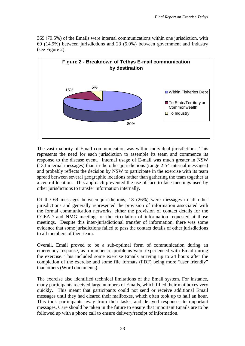369 (79.5%) of the Emails were internal communications within one jurisdiction, with 69 (14.9%) between jurisdictions and 23 (5.0%) between government and industry (see Figure 2).



The vast majority of Email communication was within individual jurisdictions. This represents the need for each jurisdiction to assemble its team and commence its response to the disease event. Internal usage of E-mail was much greater in NSW (134 internal messages) than in the other jurisdictions (range 2-54 internal messages) and probably reflects the decision by NSW to participate in the exercise with its team spread between several geographic locations rather than gathering the team together at a central location. This approach prevented the use of face-to-face meetings used by other jurisdictions to transfer information internally.

Of the 69 messages between jurisdictions, 18 (26%) were messages to all other jurisdictions and generally represented the provision of information associated with the formal communication networks, either the provision of contact details for the CCEAD and NMG meetings or the circulation of information requested at those meetings. Despite this inter-jurisdictional transfer of information, there was some evidence that some jurisdictions failed to pass the contact details of other jurisdictions to all members of their team.

Overall, Email proved to be a sub-optimal form of communication during an emergency response, as a number of problems were experienced with Email during the exercise. This included some exercise Emails arriving up to 24 hours after the completion of the exercise and some file formats (PDF) being more "user friendly" than others (Word documents).

The exercise also identified technical limitations of the Email system. For instance, many participants received large numbers of Emails, which filled their mailboxes very quickly. This meant that participants could not send or receive additional Email messages until they had cleared their mailboxes, which often took up to half an hour. This took participants away from their tasks, and delayed responses to important messages. Care should be taken in the future to ensure that important Emails are to be followed up with a phone call to ensure delivery/receipt of information.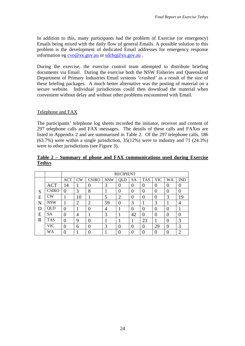In addition to this, many participants had the problem of Exercise (or emergency) Emails being mixed with the daily flow of general Emails. A possible solution to this problem is the development of dedicated Email addresses for emergency response information eg [cvo@xx.gov.au](mailto:cvo@xx.gov.au) or [sdchq@xx.gov.au](mailto:sdchq@xx.gov.au) .

During the exercise, the exercise control team attempted to distribute briefing documents via Email. During the exercise both the NSW Fisheries and Queensland Department of Primary Industries Email systems *'crashed'* as a result of the size of these briefing packages. A much better alternative was the posting of material on a secure website. Individual jurisdictions could then download the material when convenient without delay and without other problems encountered with Email.

### Telephone and FAX

The participants' telephone log sheets recorded the initiator, receiver and content of 297 telephone calls and FAX messages. The details of these calls and FAXes are listed in Appendix 2 and are summarised in Table 2. Of the 297 telephone calls, 186 (63.7%) were within a single jurisdiction, 35(12%) were to industry and 71 (24.3%) were to other jurisdictions (see Figure 3).

|               |  |  |  | Table 2 – Summary of phone and FAX communications used during Exercise |  |  |
|---------------|--|--|--|------------------------------------------------------------------------|--|--|
| <b>Tethys</b> |  |  |  |                                                                        |  |  |
|               |  |  |  |                                                                        |  |  |
|               |  |  |  | <b>RECIPIENT</b>                                                       |  |  |

|             |            |            |                |                |            | <b>RECIPIENT</b> |           |            |            |                  |            |
|-------------|------------|------------|----------------|----------------|------------|------------------|-----------|------------|------------|------------------|------------|
|             |            | <b>ACT</b> | CW             | <b>CSIRO</b>   | <b>NSW</b> | QLD              | <b>SA</b> | <b>TAS</b> | <b>VIC</b> | WA               | <b>IND</b> |
|             | ACT        | 14         |                | 0              | 3          | 0                | 0         | $\theta$   | U          | $\left( \right)$ | U          |
| S<br>E<br>Ñ | CSIRO      | $\Omega$   | 3              | 8              |            | 0                | 0         | 0          | 0          | 0                | O          |
|             | CW         |            | 10             |                | 5          | ി                | 0         | $\cup$     | 0          | 3                | 19         |
|             | <b>NSW</b> | 1          | $\overline{2}$ | $\overline{2}$ | 59         | 0                | 3         |            | 3          |                  | 4          |
| D           | QLD        | 0          |                | 0              | 4          |                  | 0         | 0          | 0          | 0                |            |
| E           | <b>SA</b>  | 0          | 4              |                | 3          |                  | 42        | 0          | 0          | 0                | 0          |
| R           | <b>TAS</b> | 0          | 9              | $\theta$       |            |                  |           | 23         |            | 0                | 3          |
|             | <b>VIC</b> | 0          | 6              | $\theta$       | 3          | $\cup$           | 0         | $\cup$     | 29         | 0                | 3          |
|             | WA         | 0          |                | 0              |            |                  | O         |            | $\cup$     | 0                | ⌒          |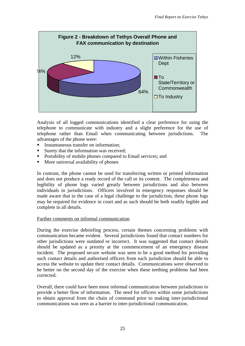

Analysis of all logged communications identified a clear preference for using the telephone to communicate with industry and a slight preference for the use of telephone rather than Email when communicating between jurisdictions. The advantages of the phone were:

- Instantaneous transfer on information;
- Surety that the information was received;
- **Portability of mobile phones compared to Email services; and**
- $\blacksquare$  More universal availability of phones

In contrast, the phone cannot be used for transferring written or printed information and does not produce a ready record of the call or its content. The completeness and legibility of phone logs varied greatly between jurisdictions and also between individuals in jurisdictions. Officers involved in emergency responses should be made aware that in the case of a legal challenge to the jurisdiction, these phone logs may be required for evidence in court and as such should be both readily legible and complete in all details.

### Further comments on informal communication

During the exercise debriefing process, certain themes concerning problems with communication became evident. Several jurisdictions found that contact numbers for other jurisdictions were outdated or incorrect. It was suggested that contact details should be updated as a priority at the commencement of an emergency disease incident. The proposed secure website was seen to be a good method for providing such contact details and authorised officers from each jurisdiction should be able to access the website to update their contact details. Communications were observed to be better on the second day of the exercise when these teething problems had been corrected.

Overall, there could have been more informal communication between jurisdictions to provide a better flow of information. The need for officers within some jurisdictions to obtain approval from the chain of command prior to making inter-jurisdictional communications was seen as a barrier to inter-jurisdictional communication.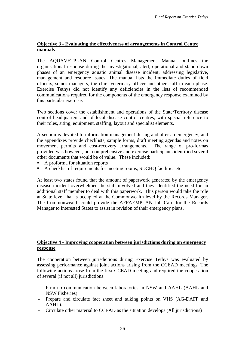## <span id="page-25-0"></span>**Objective 3 - Evaluating the effectiveness of arrangements in Control Centre manuals**

The AQUAVETPLAN Control Centres Management Manual outlines the organisational response during the investigational, alert, operational and stand-down phases of an emergency aquatic animal disease incident, addressing legislative, management and resource issues. The manual lists the immediate duties of field officers, senior managers, the chief veterinary officer and other staff in each phase. Exercise Tethys did not identify any deficiencies in the lists of recommended communications required for the components of the emergency response examined by this particular exercise.

Two sections cover the establishment and operations of the State/Territory disease control headquarters and of local disease control centres, with special reference to their roles, siting, equipment, staffing, layout and specialist elements.

A section is devoted to information management during and after an emergency, and the appendixes provide checklists, sample forms, draft meeting agendas and notes on movement permits and cost-recovery arrangements. The range of pro-formas provided was however, not comprehensive and exercise participants identified several other documents that would be of value. These included:

- A proforma for situation reports
- A checklist of requirements for meeting rooms, SDCHQ facilities etc

At least two states found that the amount of paperwork generated by the emergency disease incident overwhelmed the staff involved and they identified the need for an additional staff member to deal with this paperwork. This person would take the role at State level that is occupied at the Commonwealth level by the Records Manager. The Commonwealth could provide the AFFAEMPLAN Job Card for the Records Manager to interested States to assist in revision of their emergency plans.

### **Objective 4 - Improving cooperation between jurisdictions during an emergency response**

The cooperation between jurisdictions during Exercise Tethys was evaluated by assessing performance against joint actions arising from the CCEAD meetings. The following actions arose from the first CCEAD meeting and required the cooperation of several (if not all) jurisdictions:

- Firm up communication between laboratories in NSW and AAHL (AAHL and NSW Fisheries)
- Prepare and circulate fact sheet and talking points on VHS (AG-DAFF and AAHL).
- Circulate other material to CCEAD as the situation develops (All jurisdictions)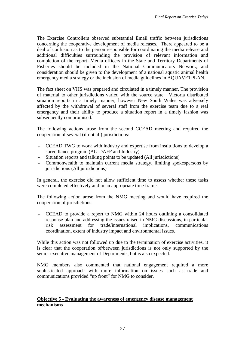<span id="page-26-0"></span>The Exercise Controllers observed substantial Email traffic between jurisdictions concerning the cooperative development of media releases. There appeared to be a deal of confusion as to the person responsible for coordinating the media release and additional difficulties surrounding the provision of relevant information and completion of the report. Media officers in the State and Territory Departments of Fisheries should be included in the National Communicators Network, and consideration should be given to the development of a national aquatic animal health emergency media strategy or the inclusion of media guidelines in AQUAVETPLAN.

The fact sheet on VHS was prepared and circulated in a timely manner. The provision of material to other jurisdictions varied with the source state. Victoria distributed situation reports in a timely manner, however New South Wales was adversely affected by the withdrawal of several staff from the exercise team due to a real emergency and their ability to produce a situation report in a timely fashion was subsequently compromised.

The following actions arose from the second CCEAD meeting and required the cooperation of several (if not all) jurisdictions:

- CCEAD TWG to work with industry and expertise from institutions to develop a surveillance program (AG-DAFF and Industry)
- Situation reports and talking points to be updated (All jurisdictions)
- Commonwealth to maintain current media strategy, limiting spokespersons by jurisdictions (All jurisdictions)

In general, the exercise did not allow sufficient time to assess whether these tasks were completed effectively and in an appropriate time frame.

The following action arose from the NMG meeting and would have required the cooperation of jurisdictions:

- CCEAD to provide a report to NMG within 24 hours outlining a consolidated response plan and addressing the issues raised in NMG discussions, in particular risk assessment for trade/international implications, communications coordination, extent of industry impact and environmental issues.

While this action was not followed up due to the termination of exercise activities, it is clear that the cooperation of/between jurisdictions is not only supported by the senior executive management of Departments, but is also expected.

NMG members also commented that national engagement required a more sophisticated approach with more information on issues such as trade and communications provided "up front" for NMG to consider.

### **Objective 5 - Evaluating the awareness of emergency disease management mechanisms**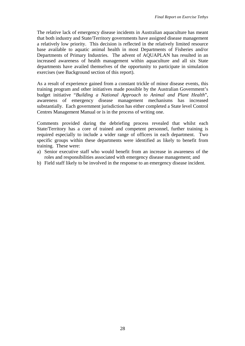The relative lack of emergency disease incidents in Australian aquaculture has meant that both industry and State/Territory governments have assigned disease management a relatively low priority. This decision is reflected in the relatively limited resource base available to aquatic animal health in most Departments of Fisheries and/or Departments of Primary Industries. The advent of AQUAPLAN has resulted in an increased awareness of health management within aquaculture and all six State departments have availed themselves of the opportunity to participate in simulation exercises (see Background section of this report).

As a result of experience gained from a constant trickle of minor disease events, this training program and other initiatives made possible by the Australian Government's budget initiative "*Building a National Approach to Animal and Plant Health*", awareness of emergency disease management mechanisms has increased substantially. Each government jurisdiction has either completed a State level Control Centres Management Manual or is in the process of writing one.

Comments provided during the debriefing process revealed that whilst each State/Territory has a core of trained and competent personnel, further training is required especially to include a wider range of officers in each department. Two specific groups within these departments were identified as likely to benefit from training. These were:

- a) Senior executive staff who would benefit from an increase in awareness of the roles and responsibilities associated with emergency disease management; and
- b) Field staff likely to be involved in the response to an emergency disease incident.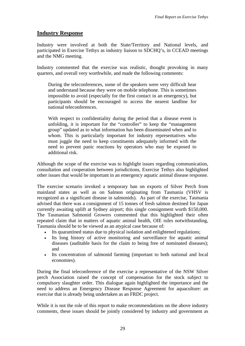# <span id="page-28-0"></span>**Industry Response**

Industry were involved at both the State/Territory and National levels, and participated in Exercise Tethys as industry liaison to SDCHQ's, in CCEAD meetings and the NMG meeting.

Industry commented that the exercise was realistic, thought provoking in many quarters, and overall very worthwhile, and made the following comments:

During the teleconferences, some of the speakers were very difficult hear and understand because they were on mobile telephone. This is sometimes impossible to avoid (especially for the first contact in an emergency), but participants should be encouraged to access the nearest landline for national teleconferences.

With respect to confidentiality during the period that a disease event is unfolding, it is important for the "controller" to keep the "management group" updated as to what information has been disseminated when and to whom. This is particularly important for industry representatives who must juggle the need to keep constituents adequately informed with the need to prevent panic reactions by operators who may be exposed to additional risk.

Although the scope of the exercise was to highlight issues regarding communication, consultation and cooperation between jurisdictions, Exercise Tethys also highlighted other issues that would be important in an emergency aquatic animal disease response.

The exercise scenario invoked a temporary ban on exports of Silver Perch from mainland states as well as on Salmon originating from Tasmania (VHSV is recognized as a significant disease in salmonids). As part of the exercise, Tasmania advised that there was a consignment of 15 tonnes of fresh salmon destined for Japan currently awaiting uplift at Sydney airport; this single consignment worth \$150,000. The Tasmanian Salmonid Growers commented that this highlighted their often repeated claim that in matters of aquatic animal health, OIE rules notwithstanding, Tasmania should be to be viewed as an atypical case because of:

- Its quarantined status due to physical isolation and enlightened regulations;
- Its long history of active monitoring and surveillance for aquatic animal diseases (auditable basis for the claim to being free of nominated diseases); and
- Its concentration of salmonid farming (important to both national and local economies).

During the final teleconference of the exercise a representative of the NSW Silver perch Association raised the concept of compensation for the stock subject to compulsory slaughter order. This dialogue again highlighted the importance and the need to address an Emergency Disease Response Agreement for aquaculture: an exercise that is already being undertaken as an FRDC project.

While it is not the role of this report to make recommendations on the above industry comments, these issues should be jointly considered by industry and government as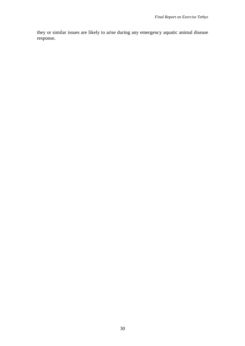they or similar issues are likely to arise during any emergency aquatic animal disease response.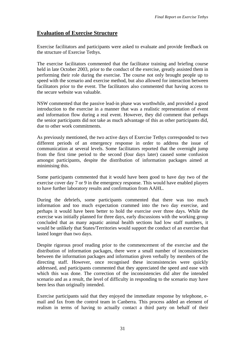# <span id="page-30-0"></span>**Evaluation of Exercise Structure**

Exercise facilitators and participants were asked to evaluate and provide feedback on the structure of Exercise Tethys.

The exercise facilitators commented that the facilitator training and briefing course held in late October 2003, prior to the conduct of the exercise, greatly assisted them in performing their role during the exercise. The course not only brought people up to speed with the scenario and exercise method, but also allowed for interaction between facilitators prior to the event. The facilitators also commented that having access to the secure website was valuable.

NSW commented that the passive lead-in phase was worthwhile, and provided a good introduction to the exercise in a manner that was a realistic representation of event and information flow during a real event. However, they did comment that perhaps the senior participants did not take as much advantage of this as other participants did, due to other work commitments.

As previously mentioned, the two active days of Exercise Tethys corresponded to two different periods of an emergency response in order to address the issue of communication at several levels. Some facilitators reported that the overnight jump from the first time period to the second (four days later) caused some confusion amongst participants, despite the distribution of information packages aimed at minimising this.

Some participants commented that it would have been good to have day two of the exercise cover day 7 or 9 in the emergency response. This would have enabled players to have further laboratory results and confirmation from AAHL.

During the debriefs, some participants commented that there was too much information and too much expectation crammed into the two day exercise, and perhaps it would have been better to hold the exercise over three days. While the exercise was initially planned for three days, early discussions with the working group concluded that as many aquatic animal health sections had low staff numbers, it would be unlikely that States/Territories would support the conduct of an exercise that lasted longer than two days.

Despite rigorous proof reading prior to the commencement of the exercise and the distribution of information packages, there were a small number of inconsistencies between the information packages and information given verbally by members of the directing staff. However, once recognised these inconsistencies were quickly addressed, and participants commented that they appreciated the speed and ease with which this was done. The correction of the inconsistencies did alter the intended scenario and as a result, the level of difficulty in responding to the scenario may have been less than originally intended.

Exercise participants said that they enjoyed the immediate response by telephone, email and fax from the control team in Canberra. This process added an element of realism in terms of having to actually contact a third party on behalf of their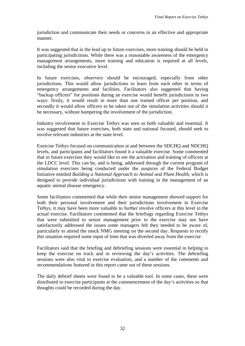jurisdiction and communicate their needs or concerns in an effective and appropriate manner.

It was suggested that in the lead up to future exercises, more training should be held in participating jurisdictions. While there was a reasonable awareness of the emergency management arrangements, more training and education is required at all levels, including the senior executive level.

In future exercises, observers should be encouraged, especially from other jurisdictions. This would allow jurisdictions to learn from each other in terms of emergency arrangements and facilities. Facilitators also suggested that having "backup officers" for positions during an exercise would benefit jurisdictions in two ways: firstly, it would result in more than one trained officer per position, and secondly it would allow officers to be taken out of the simulation activities should it be necessary, without hampering the involvement of the jurisdiction.

Industry involvement in Exercise Tethys was seen as both valuable and essential. It was suggested that future exercises, both state and national focused, should seek to involve relevant industries at the state level.

Exercise Tethys focused on communication at and between the SDCHQ and NDCHQ levels, and participants and facilitators found it a valuable exercise. Some commented that in future exercises they would like to see the activation and training of officers at the LDCC level. This can be, and is being, addressed through the current program of simulation exercises being conducted under the auspices of the Federal Budget Initiative entitled *Building a National Approach to Animal and Plant Health,* which is designed to provide individual jurisdictions with training in the management of an aquatic animal disease emergency.

Some facilitators commented that while their senior management showed support for both their personal involvement and their jurisdictions involvement in Exercise Tethys, it may have been more valuable to further involve officers at this level in the actual exercise. Facilitators commented that the briefings regarding Exercise Tethys that were submitted to senior management prior to the exercise may not have satisfactorily addressed the issues some managers felt they needed to be aware of, particularly to attend the mock NMG meeting on the second day. Requests to rectify this situation required some input of time that was diverted away from the exercise

Facilitators said that the briefing and debriefing sessions were essential in helping to keep the exercise on track and in reviewing the day's activities. The debriefing sessions were also vital to exercise evaluation, and a number of the comments and recommendations featured in this report came out of these sessions.

The daily debrief sheets were found to be a valuable tool. In some cases, these were distributed to exercise participants at the commencement of the day's activities so that thoughts could be recorded during the day.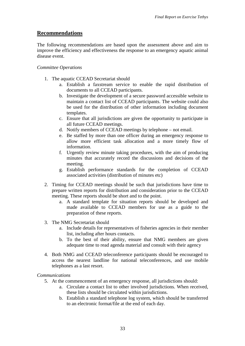## <span id="page-32-0"></span>**Recommendations**

The following recommendations are based upon the assessment above and aim to improve the efficiency and effectiveness the response to an emergency aquatic animal disease event.

### *Committee Operations*

- 1. The aquatic CCEAD Secretariat should
	- a. Establish a faxstream service to enable the rapid distribution of documents to all CCEAD participants.
	- b. Investigate the development of a secure password accessible website to maintain a contact list of CCEAD participants. The website could also be used for the distribution of other information including document templates.
	- c. Ensure that all jurisdictions are given the opportunity to participate in all future CCEAD meetings.
	- d. Notify members of CCEAD meetings by telephone not email.
	- e. Be staffed by more than one officer during an emergency response to allow more efficient task allocation and a more timely flow of information.
	- f. Urgently review minute taking procedures, with the aim of producing minutes that accurately record the discussions and decisions of the meeting.
	- g. Establish performance standards for the completion of CCEAD associated activities (distribution of minutes etc)
- 2. Timing for CCEAD meetings should be such that jurisdictions have time to prepare written reports for distribution and consideration prior to the CCEAD meeting. These reports should be short and to the point.
	- a. A standard template for situation reports should be developed and made available to CCEAD members for use as a guide to the preparation of these reports.
- 3. The NMG Secretariat should
	- a. Include details for representatives of fisheries agencies in their member list, including after hours contacts.
	- b. To the best of their ability, ensure that NMG members are given adequate time to read agenda material and consult with their agency
- 4. Both NMG and CCEAD teleconference participants should be encouraged to access the nearest landline for national teleconferences, and use mobile telephones as a last resort.

#### *Communications*

- 5. At the commencement of an emergency response, all jurisdictions should:
	- a. Circulate a contact list to other involved jurisdictions. When received, these lists should be circulated within jurisdictions.
	- b. Establish a standard telephone log system, which should be transferred to an electronic format/file at the end of each day.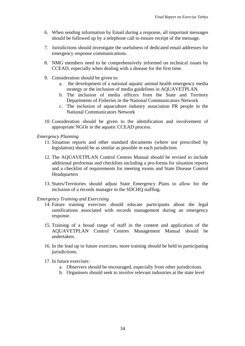- 6. When sending information by Email during a response, all important messages should be followed up by a telephone call to ensure receipt of the message.
- 7. Jurisdictions should investigate the usefulness of dedicated email addresses for emergency response communications.
- 8. NMG members need to be comprehensively informed on technical issues by CCEAD, especially when dealing with a disease for the first time.
- 9. Consideration should be given to:
	- a. the development of a national aquatic animal health emergency media strategy or the inclusion of media guidelines in AQUAVETPLAN.
	- b. The inclusion of media officers from the State and Territory Departments of Fisheries in the National Communicators Network
	- c. The inclusion of aquaculture industry association PR people in the National Communicators Network
- 10. Consideration should be given to the identification and involvement of appropriate NGOs in the aquatic CCEAD process.

### *Emergency Planning*

- 11. Situation reports and other standard documents (where not prescribed by legislation) should be as similar as possible in each jurisdiction.
- 12. The AQUAVETPLAN Control Centres Manual should be revised to include additional proformas and checklists including a pro-forma for situation reports and a checklist of requirements for meeting rooms and State Disease Control Headquarters
- 13. States/Territories should adjust State Emergency Plans to allow for the inclusion of a records manager in the SDCHQ staffing.

#### *Emergency Training and Exercising*

- 14. Future training exercises should educate participants about the legal ramifications associated with records management during an emergency response.
- 15. Training of a broad range of staff in the content and application of the AQUAVETPLAN Control Centres Management Manual should be undertaken.
- 16. In the lead up to future exercises, more training should be held in participating jurisdictions.
- 17. In future exercises:
	- a. Observers should be encouraged, especially from other jurisdictions.
	- b. Organisers should seek to involve relevant industries at the state level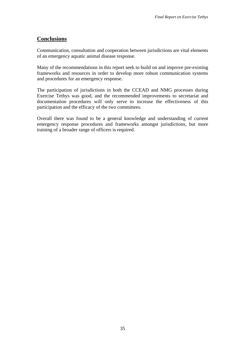# <span id="page-34-0"></span>**Conclusions**

Communication, consultation and cooperation between jurisdictions are vital elements of an emergency aquatic animal disease response.

Many of the recommendations in this report seek to build on and improve pre-existing frameworks and resources in order to develop more robust communication systems and procedures for an emergency response.

The participation of jurisdictions in both the CCEAD and NMG processes during Exercise Tethys was good, and the recommended improvements to secretariat and documentation procedures will only serve to increase the effectiveness of this participation and the efficacy of the two committees.

Overall there was found to be a general knowledge and understanding of current emergency response procedures and frameworks amongst jurisdictions, but more training of a broader range of officers is required.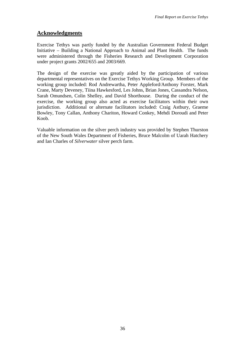# <span id="page-35-0"></span>**Acknowledgments**

Exercise Tethys was partly funded by the Australian Government Federal Budget Initiative – Building a National Approach to Animal and Plant Health. The funds were administered through the Fisheries Research and Development Corporation under project grants 2002/655 and 2003/669.

The design of the exercise was greatly aided by the participation of various departmental representatives on the Exercise Tethys Working Group. Members of the working group included: Rod Andrewartha, Peter Appleford/Anthony Forster, Mark Crane, Marty Deveney, Tiina Hawkesford, Les Johns, Brian Jones, Cassandra Nelson, Sarah Omundsen, Colin Shelley, and David Shorthouse. During the conduct of the exercise, the working group also acted as exercise facilitators within their own jurisdiction. Additional or alternate facilitators included: Craig Astbury, Graeme Bowley, Tony Callan, Anthony Chariton, Howard Conkey, Mehdi Doroudi and Peter Koob.

Valuable information on the silver perch industry was provided by Stephen Thurston of the New South Wales Department of Fisheries, Bruce Malcolm of Uarah Hatchery and Ian Charles of *Silverwater* silver perch farm.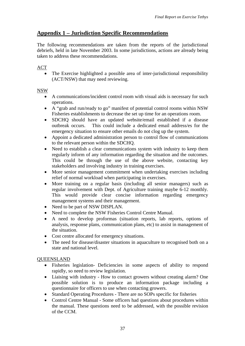# <span id="page-36-0"></span>**Appendix 1 – Jurisdiction Specific Recommendations**

The following recommendations are taken from the reports of the jurisdictional debriefs, held in late November 2003. In some jurisdictions, actions are already being taken to address these recommendations.

# ACT

• The Exercise highlighted a possible area of inter-jurisdictional responsibility (ACT/NSW) that may need reviewing.

### NSW

- A communications/incident control room with visual aids is necessary for such operations.
- A "grab and run/ready to go" manifest of potential control rooms within NSW Fisheries establishments to decrease the set up time for an operations room.
- SDCHQ should have an updated website/email established if a disease outbreak occurs. This could include a dedicated email address/es for the emergency situation to ensure other emails do not clog up the system.
- Appoint a dedicated administration person to control flow of communications to the relevant person within the SDCHQ.
- Need to establish a clear communications system with industry to keep them regularly inform of any information regarding the situation and the outcomes. This could be through the use of the above website, contacting key stakeholders and involving industry in training exercises.
- More senior management commitment when undertaking exercises including relief of normal workload when participating in exercises.
- More training on a regular basis (including all senior managers) such as regular involvement with Dept. of Agriculture training maybe 6-12 monthly. This would provide clear concise information regarding emergency management systems and their management.
- Need to be part of NSW DISPLAN.
- Need to complete the NSW Fisheries Control Centre Manual.
- A need to develop proformas (situation reports, lab reports, options of analysis, response plans, communication plans, etc) to assist in management of the situation.
- Cost centre allocated for emergency situations.
- The need for disease/disaster situations in aquaculture to recognised both on a state and national level.

# **OUEENSLAND**

- Fisheries legislation- Deficiencies in some aspects of ability to respond rapidly, so need to review legislation.
- Liaising with industry How to contact growers without creating alarm? One possible solution is to produce an information package including a questionnaire for officers to use when contacting growers.
- Standard Operating Procedures There are no SOPs specific for fisheries
- Control Centre Manual Some officers had questions about procedures within the manual. These questions need to be addressed, with the possible revision of the CCM.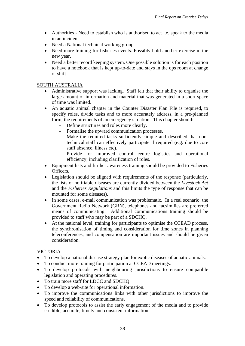- <span id="page-37-0"></span>• Authorities - Need to establish who is authorised to act i.e. speak to the media in an incident
- Need a National technical working group
- Need more training for fisheries events. Possibly hold another exercise in the new year.
- Need a better record keeping system. One possible solution is for each position to have a notebook that is kept up-to-date and stays in the ops room at change of shift

### SOUTH AUSTRALIA

- Administrative support was lacking. Staff felt that their ability to organise the large amount of information and material that was generated in a short space of time was limited.
- An aquatic animal chapter in the Counter Disaster Plan File is required, to specify roles, divide tasks and to more accurately address, in a pre-planned form, the requirements of an emergency situation. This chapter should:
	- Define structures and roles more clearly.
	- Formalise the upward communication processes.
	- Make the required tasks sufficiently simple and described that nontechnical staff can effectively participate if required (e.g. due to core staff absence, illness etc).
	- Provide for improved control centre logistics and operational efficiency; including clarification of roles.
- Equipment lists and further awareness training should be provided to Fisheries Officers.
- Legislation should be aligned with requirements of the response (particularly, the lists of notifiable diseases are currently divided between the *Livestock Act* and the *Fisheries Regulations* and this limits the type of response that can be mounted for some diseases).
- In some cases, e-mail communication was problematic. In a real scenario, the Government Radio Network (GRN), telephones and facsimilies are preferred means of communicating. Additional communications training should be provided to staff who may be part of a SDCHQ.
- At the national level, training for participants to optimise the CCEAD process, the synchronisation of timing and consideration for time zones in planning teleconferences, and compensation are important issues and should be given consideration.

### VICTORIA

- To develop a national disease strategy plan for exotic diseases of aquatic animals.
- To conduct more training for participation at CCEAD meetings.
- To develop protocols with neighbouring jurisdictions to ensure compatible legislation and operating procedures.
- To train more staff for LDCC and SDCHQ.
- To develop a web-site for operational information.
- To improve the communications links with other jurisdictions to improve the speed and reliability of communications.
- To develop protocols to assist the early engagement of the media and to provide credible, accurate, timely and consistent information.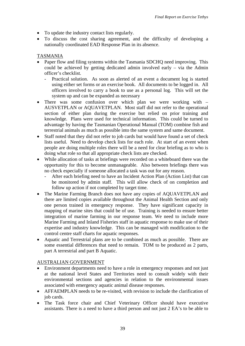- <span id="page-38-0"></span>• To update the industry contact lists regularly.
- To discuss the cost sharing agreement, and the difficulty of developing a nationally coordinated EAD Response Plan in its absence.

## TASMANIA

- Paper flow and filing systems within the Tasmania SDCHO need improving. This could be achieved by getting dedicated admin involved early – via the Admin officer's checklist.
	- Practical solution. As soon as alerted of an event a document log is started using either set forms or an exercise book. All documents to be logged in. All officers involved to carry a book to use as a personal log. This will set the system up and can be expanded as necessary
- There was some confusion over which plan we were working with AUSVETPLAN or AQUAVETPLAN. Most staff did not refer to the operational section of either plan during the exercise but relied on prior training and knowledge. Plans were used for technical information. This could be turned to advantage by having the Tasmanian Operational Manual (TOM) combine fish and terrestrial animals as much as possible into the same system and same document.
- Staff noted that they did not refer to job cards but would have found a set of check lists useful. Need to develop check lists for each role. At start of an event when people are doing multiple roles there will be a need for clear briefing as to who is doing what role so that all appropriate check lists are checked.
- While allocation of tasks at briefings were recorded on a whiteboard there was the opportunity for this to become unmanageable. Also between briefings there was no check especially if someone allocated a task was out for any reason.
	- After each briefing need to have an Incident Action Plan (Action List) that can be monitored by admin staff. This will allow check of on completion and follow up action if not completed by target time.
- The Marine Farming Branch does not have any copies of AQUAVETPLAN and there are limited copies available throughout the Animal Health Section and only one person trained in emergency response. They have significant capacity in mapping of marine sites that could be of use. Training is needed to ensure better integration of marine farming in our response team. We need to include more Marine Farming and Inland Fisheries staff in aquatic response to make use of their expertise and industry knowledge. This can be managed with modification to the control centre staff charts for aquatic responses.
- Aquatic and Terrestrial plans are to be combined as much as possible. There are some essential differences that need to remain. TOM to be produced as 2 parts, part A terrestrial and part B Aquatic.

### AUSTRALIAN GOVERNMENT

- Environment departments need to have a role in emergency responses and not just at the national level States and Territories need to consult widely with their environmental sections and agencies in relation to the environmental issues associated with emergency aquatic animal disease responses.
- AFFAEMPLAN needs to be re-visited, with revision to include the clarification of job cards.
- The Task force chair and Chief Veterinary Officer should have executive assistants. There is a need to have a third person and not just 2 EA's to be able to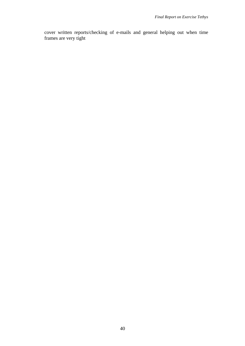cover written reports/checking of e-mails and general helping out when time frames are very tight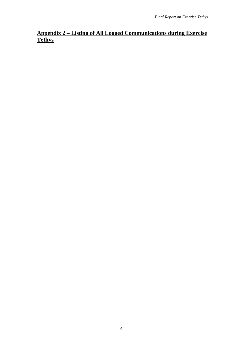# <span id="page-40-0"></span>**Appendix 2 – Listing of All Logged Communications during Exercise Tethys**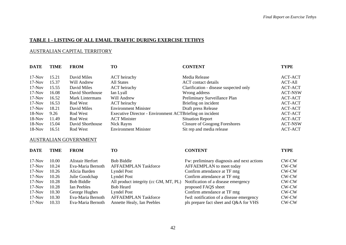### **TABLE 1 - LISTING OF ALL EMAIL TRAFFIC DURING EXERCISE TETHYS**

#### AUSTRALIAN CAPITAL TERRITORY

| <b>DATE</b> | <b>TIME</b> | <b>FROM</b>            | <b>TO</b>                   | <b>CONTENT</b>                                           | <b>TYPE</b>    |
|-------------|-------------|------------------------|-----------------------------|----------------------------------------------------------|----------------|
| $17-Nov$    | 15.21       | David Miles            | <b>ACT</b> heirachy         | Media Release                                            | ACT-ACT        |
| $17-Nov$    | 15.37       | Will Andrew            | All States                  | ACT contact details                                      | <b>ACT-All</b> |
| $17-Nov$    | 15.55       | David Miles            | ACT heirachy                | Clarification - disease suspected only                   | ACT-ACT        |
| $17-Nov$    | 16.08       | David Shorthouse       | Ian Lyall                   | Wrong address                                            | <b>ACT-NSW</b> |
| $17-Nov$    | 16.52       | <b>Mark Lintermans</b> | Will Andrew                 | Preliminary Surveillance Plan                            | ACT-ACT        |
| $17-Nov$    | 16.53       | Rod West               | ACT heirachy                | Briefing on incident                                     | ACT-ACT        |
| $17-Nov$    | 18.21       | David Miles            | <b>Environment Minister</b> | Draft press Release                                      | ACT-ACT        |
| $18-Nov$    | 9.26        | Rod West               |                             | Executive Director - Environment ACTBriefing on incident | <b>ACT-ACT</b> |
| $18-Nov$    | 11.49       | Rod West               | <b>ACT Minister</b>         | <b>Situation Report</b>                                  | ACT-ACT        |
| $18-Nov$    | 15.04       | David Shorthouse       | Nick Rayns                  | <b>Closure of Googong Foreshores</b>                     | <b>ACT-NSW</b> |
| $18-Nov$    | 16.51       | Rod West               | <b>Environment Minister</b> | Sit rep and media release                                | <b>ACT-ACT</b> |

#### AUSTRALIAN GOVERNMENT

<span id="page-41-0"></span>

| <b>DATE</b> | <b>TIME</b> | <b>FROM</b>       | TО                                    | <b>CONTENT</b>                             | <b>TYPE</b> |
|-------------|-------------|-------------------|---------------------------------------|--------------------------------------------|-------------|
| $17-Nov$    | 10.00       | Alistair Herfort  | Bob Biddle                            | Fw: preliminary diagnosis and next actions | CW-CW       |
| $17-Nov$    | 10.24       | Eva-Maria Bernoth | <b>AFFAEMPLAN Taskforce</b>           | AFFAEMPLAN to meet today                   | CW-CW       |
| $17-Nov$    | 10.26       | Alicia Barden     | Lyndel Post                           | Confirm attendance at TF mtg               | CW-CW       |
| $17-Nov$    | 10.26       | Julie Goodchap    | Lyndel Post                           | Confirm attendance at TF mtg               | CW-CW       |
| $17-Nov$    | 10.28       | Bob Biddle        | All product integrity (cc GM, MT, PL) | Notification of a disease emergency        | CW-CW       |
| $17-Nov$    | 10.28       | Ian Peebles       | <b>Bob Heard</b>                      | proposed FAQS sheet                        | CW-CW       |
| $17-Nov$    | 10.30       | George Hughes     | Lyndel Post                           | Confirm attendance at TF mtg               | CW-CW       |
| $17-Nov$    | 10.30       | Eva-Maria Bernoth | <b>AFFAEMPLAN Taskforce</b>           | fwd: notification of a disease emergency   | CW-CW       |
| $17-Nov$    | 10.33       | Eva-Maria Bernoth | Annette Healy, Ian Peebles            | pls prepare fact sheet and Q&A for VHS     | CW-CW       |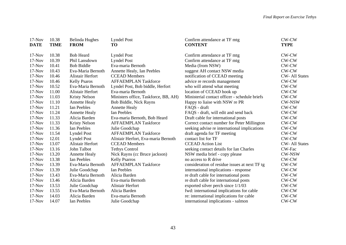| $17-Nov$    | 10.38       | Belinda Hughes       | <b>Lyndel Post</b>                   | Confirm attendance at TF mtg                  | $CW$ - $CW$          |
|-------------|-------------|----------------------|--------------------------------------|-----------------------------------------------|----------------------|
| <b>DATE</b> | <b>TIME</b> | <b>FROM</b>          | <b>TO</b>                            | <b>CONTENT</b>                                | <b>TYPE</b>          |
| $17-Nov$    | 10.38       | <b>Bob Heard</b>     | <b>Lyndel Post</b>                   | Confirm attendance at TF mtg                  | CW-CW                |
| $17-Nov$    | 10.39       | Phil Lansdown        | <b>Lyndel Post</b>                   | Confirm attendance at TF mtg                  | CW-CW                |
| $17-Nov$    | 10.41       | <b>Bob Biddle</b>    | Eva-maria Bernoth                    | Media (from NSW)                              | CW-CW                |
| $17-Nov$    | 10.43       | Eva-Maria Bernoth    | Annette Healy, Ian Peebles           | suggest AH contact NSW media                  | $CW$ - $CW$          |
| $17-Nov$    | 10.46       | Alistair Herfort     | <b>CCEAD Members</b>                 | notification of CCEAD meeting                 | <b>CW-All States</b> |
| $17-Nov$    | 10.46       | <b>Kelly Psaros</b>  | <b>AFFAEMPLAN Taskforce</b>          | advice re records management                  | CW-CW                |
| $17-Nov$    | 10.52       | Eva-Maria Bernoth    | Lyndel Post, Bob biddle, Herfort     | who will attend what meeting                  | CW-CW                |
| $17-Nov$    | 11.00       | Alistair Herfort     | Eva-maria Bernoth                    | location of CCEAD hook up                     | CW-CW                |
| $17-Nov$    | 11.03       | <b>Kristy Nelson</b> | Ministers office, Taskforce, BB, AH) | Ministerial contact officer - schedule briefs | CW-CW                |
| $17-Nov$    | 11.10       | <b>Annette Healy</b> | <b>Bob Biddle, Nick Rayns</b>        | Happy to liaise with NSW re PR                | CW-NSW               |
| $17-Nov$    | 11.21       | Ian Peebles          | <b>Annette Healy</b>                 | FAQS - draft                                  | CW-CW                |
| $17-Nov$    | 11.24       | <b>Annette Healy</b> | Ian Peebles                          | FAQS - draft, will edit and send back         | $CW$ - $CW$          |
| $17-Nov$    | 11.33       | Alicia Barden        | Eva-maria Bernoth, Bob Heard         | Draft cable for international posts           | CW-CW                |
| $17-Nov$    | 11.33       | <b>Kristy Nelson</b> | <b>AFFAEMPLAN Taskforce</b>          | Correct contact number for Peter Millington   | CW-CW                |
| $17-Nov$    | 11.36       | Ian Peebles          | Julie Goodchap                       | seeking advise re international implications  | $CW$ - $CW$          |
| $17-Nov$    | 11.54       | <b>Lyndel Post</b>   | <b>AFFAEMPLAN Taskforce</b>          | draft agenda for TF meeting                   | CW-CW                |
| $17-Nov$    | 12.01       | <b>Lyndel Post</b>   | Alistair Herfort, Eva-maria Bernoth  | contact list for TF                           | CW-CW                |
| $17-Nov$    | 13.07       | Alistair Herfort     | <b>CCEAD Members</b>                 | <b>CCEAD Action List</b>                      | <b>CW-All States</b> |
| $17-Nov$    | 13.16       | John Talbot          | <b>Tethys Control</b>                | seeking contact details for Ian Charles       | CW-Fac               |
| $17-Nov$    | 13.20       | <b>Annette Healy</b> | Nick Rayns (cc Bruce jackson)        | NSW media brief - copy please                 | CW-NSW               |
| $17-Nov$    | 13.38       | Ian Peebles          | <b>Kelly Psarros</b>                 | no access to R drive                          | CW-CW                |
| $17-Nov$    | 13.39       | Eva-Maria Bernoth    | <b>AFFAEMPLAN Taskforce</b>          | consideration of residue issues at next TF tg | CW-CW                |
| $17-Nov$    | 13.39       | Julie Goodchap       | Ian Peebles                          | international implications - response         | CW-CW                |
| $17-Nov$    | 13.43       | Eva-Maria Bernoth    | Alicia Barden                        | re draft cable for international posts        | $CW$ - $CW$          |
| $17-Nov$    | 13.46       | Alicia Barden        | Eva-maria Bernoth                    | re draft cable for international posts        | CW-CW                |
| $17-Nov$    | 13.53       | Julie Goodchap       | Alistair Herfort                     | exported silver perch since 1/1/03            | CW-CW                |
| $17-Nov$    | 13.55       | Eva-Maria Bernoth    | Alicia Barden                        | fwd: international implications for cable     | CW-CW                |
| $17-Nov$    | 14.03       | Alicia Barden        | Eva-maria Bernoth                    | re: international implications for cable      | CW-CW                |
| $17-Nov$    | 14.07       | Ian Peebles          | Julie Goodchap                       | international implications - salmon           | CW-CW                |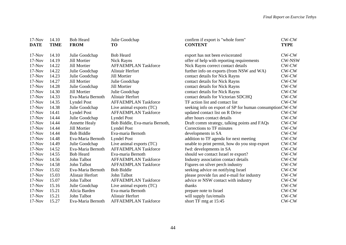| $17-Nov$    | 14.10       | <b>Bob Heard</b>     | Julie Goodchap                 | confirm if export is "whole form"                       | CW-CW       |
|-------------|-------------|----------------------|--------------------------------|---------------------------------------------------------|-------------|
| <b>DATE</b> | <b>TIME</b> | <b>FROM</b>          | <b>TO</b>                      | <b>CONTENT</b>                                          | <b>TYPE</b> |
| $17-Nov$    | 14.10       | Julie Goodchap       | <b>Bob Heard</b>               | export has not been eviscerated                         | CW-CW       |
| $17-Nov$    | 14.19       | Jill Mortier         | <b>Nick Rayns</b>              | offer of help with reporting requirements               | CW-NSW      |
| $17-Nov$    | 14.22       | Jill Mortier         | <b>AFFAEMPLAN Taskforce</b>    | Nick Rayns correct contact details                      | CW-CW       |
| $17-Nov$    | 14.22       | Julie Goodchap       | Alistair Herfort               | further info on exports (from NSW and WA)               | CW-CW       |
| $17-Nov$    | 14.23       | Julie Goodchap       | Jill Mortier                   | contact details for Nick Rayns                          | CW-CW       |
| $17-Nov$    | 14.27       | Jill Mortier         | Julie Goodchap                 | contact details for Nick Rayns                          | CW-CW       |
| $17-Nov$    | 14.28       | Julie Goodchap       | Jill Mortier                   | contact details for Nick Rayns                          | CW-CW       |
| $17-Nov$    | 14.30       | Jill Mortier         | Julie Goodchap                 | contact details for Nick Rayns                          | CW-CW       |
| $17-Nov$    | 14.33       | Eva-Maria Bernoth    | Alistair Herfort               | contact details for Victorian SDCHQ                     | CW-CW       |
| $17-Nov$    | 14.35       | <b>Lyndel Post</b>   | <b>AFFAEMPLAN Taskforce</b>    | TF action list and contact list                         | CW-CW       |
| $17-Nov$    | 14.38       | Julie Goodchap       | Live animal exports (TC)       | seeking info on export of SP for human consumptionCW-CW |             |
| $17-Nov$    | 14.41       | <b>Lyndel Post</b>   | <b>AFFAEMPLAN Taskforce</b>    | updated contact list on R Drive                         | CW-CW       |
| $17-Nov$    | 14.44       | Julie Goodchap       | <b>Lyndel Post</b>             | after hours contact details                             | CW-CW       |
| $17-Nov$    | 14.44       | <b>Annette Healy</b> | Bob Biddle, Eva-maria Bernoth, | Draft comm strategy, talking points and FAQs            | CW-CW       |
| $17-Nov$    | 14.44       | Jill Mortier         | <b>Lyndel Post</b>             | Corrections to TF minutes                               | CW-CW       |
| $17-Nov$    | 14.44       | <b>Bob Biddle</b>    | Eva-maria Bernoth              | developments in SA                                      | CW-CW       |
| $17-Nov$    | 14.48       | Eva-Maria Bernoth    | <b>Lyndel Post</b>             | addition to TF agenda for next meeting                  | CW-CW       |
| $17-Nov$    | 14.49       | Julie Goodchap       | Live animal exports (TC)       | unable to print permit, how do you stop export          | CW-CW       |
| $17-Nov$    | 14.52       | Eva-Maria Bernoth    | <b>AFFAEMPLAN Taskforce</b>    | fwd: developments in SA                                 | CW-CW       |
| $17-Nov$    | 14.55       | <b>Bob Heard</b>     | Eva-maria Bernoth              | should we contact Israel re export?                     | CW-CW       |
| $17-Nov$    | 14.56       | John Talbot          | <b>AFFAEMPLAN Taskforce</b>    | Industry association contact details                    | CW-CW       |
| $17-Nov$    | 14.58       | John Talbot          | <b>AFFAEMPLAN Taskforce</b>    | Figures on silver perch industry                        | CW-CW       |
| $17-Nov$    | 15.02       | Eva-Maria Bernoth    | <b>Bob Biddle</b>              | seeking advice on notifying Israel                      | CW-CW       |
| $17-Nov$    | 15.03       | Alistair Herfort     | John Talbot                    | please provide fax and e-mail for industry              | CW-CW       |
| $17-Nov$    | 15.07       | John Talbot          | <b>AFFAEMPLAN Taskforce</b>    | advice re NSW contact with industry                     | CW-CW       |
| $17-Nov$    | 15.16       | Julie Goodchap       | Live animal exports (TC)       | thanks                                                  | CW-CW       |
| $17-Nov$    | 15.21       | Alicia Barden        | Eva-maria Bernoth              | prepare note to Israel                                  | CW-CW       |
| $17-Nov$    | 15.21       | John Talbot          | Alistair Herfort               | will supply fax/emails                                  | CW-CW       |
| $17-Nov$    | 15.27       | Eva-Maria Bernoth    | <b>AFFAEMPLAN Taskforce</b>    | short TF mtg at 15:45                                   | CW-CW       |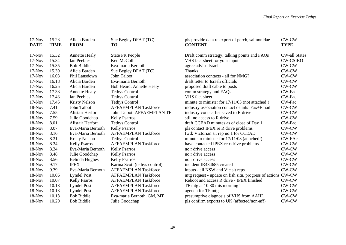| $17-Nov$<br><b>DATE</b> | 15.28<br><b>TIME</b> | Alicia Barden<br><b>FROM</b> | Sue Begley DFAT (TC)<br>TО    | pls provide data re export of perch, salmonidae<br><b>CONTENT</b> | CW-CW<br><b>TYPE</b> |
|-------------------------|----------------------|------------------------------|-------------------------------|-------------------------------------------------------------------|----------------------|
| $17-Nov$                | 15.32                | <b>Annette Healy</b>         | <b>State PR People</b>        | Draft comm strategy, talking points and FAQs                      | <b>CW-all States</b> |
| $17-Nov$                | 15.34                | Ian Peebles                  | Ken McColl                    | VHS fact sheet for your input                                     | <b>CW-CSIRO</b>      |
| $17-Nov$                | 15.35                | <b>Bob Biddle</b>            | Eva-maria Bernoth             | agree advise Israel                                               | CW-CW                |
| $17-Nov$                | 15.39                | Alicia Barden                | Sue Begley DFAT (TC)          | <b>Thanks</b>                                                     | CW-CW                |
| $17-Nov$                | 16.03                | Phil Lansdown                | John Talbot                   | association contacts - all for NMG?                               | CW-CW                |
| $17-Nov$                | 16.18                | Alicia Barden                | Eva-maria Bernoth             | draft letter to Israeli officials                                 | CW-CW                |
| $17-Nov$                | 16.25                | Alicia Barden                | Bob Heard, Annette Healy      | proposed draft cable to posts                                     | $CW$ - $CW$          |
| $17-Nov$                | 17.38                | <b>Annette Healy</b>         | <b>Tethys Control</b>         | comm strategy and FAQs                                            | CW-Fac               |
| $17-Nov$                | 17.43                | Ian Peebles                  | <b>Tethys Control</b>         | VHS fact sheet                                                    | CW-Fac               |
| $17-Nov$                | 17.45                | <b>Kristy Nelson</b>         | <b>Tethys Control</b>         | minute to minister for $17/11/03$ (not attached!)                 | CW-Fac               |
| $18-Nov$                | 7.41                 | John Talbot                  | <b>AFFAEMPLAN Taskforce</b>   | industry association contact details Fax+Email                    | CW-CW                |
| $18-Nov$                | 7.55                 | Alistair Herfort             | John Talbot; AFFAEMPLAN TF    | industry contact list saved to R drive                            | CW-CW                |
| 18-Nov                  | 7.59                 | Julie Goodchap               | <b>Kelly Psarros</b>          | still no access to R drive                                        | CW-CW                |
| $18-Nov$                | 8.01                 | Alistair Herfort             | <b>Tethys Control</b>         | draft CCEAD minutes as of close of Day 1                          | CW-Fac               |
| $18-Nov$                | 8.07                 | Eva-Maria Bernoth            | <b>Kelly Psarros</b>          | pls contact IPEX re R drive problems                              | CW-CW                |
| $18-Nov$                | 8.16                 | Eva-Maria Bernoth            | <b>AFFAEMPLAN Taskforce</b>   | fwd: Victorian sit rep no.1 for CCEAD                             | CW-CW                |
| $18-Nov$                | 8.31                 | <b>Kristy Nelson</b>         | <b>Tethys Control</b>         | minute to minister for 17/11/03 (attached!)                       | CW-FAc               |
| $18-Nov$                | 8.34                 | <b>Kelly Psaros</b>          | <b>AFFAEMPLAN Taskforce</b>   | have contacted IPEX re r drive problems                           | $CW$ - $CW$          |
| 18-Nov                  | 8.34                 | Eva-Maria Bernoth            | <b>Kelly Psarros</b>          | no r drive access                                                 | CW-CW                |
| 18-Nov                  | 8.48                 | Julie Goodchap               | <b>Kelly Psarros</b>          | no r drive access                                                 | $CW$ - $CW$          |
| 18-Nov                  | 8.56                 | Belinda Hughes               | <b>Kelly Psarros</b>          | no r drive access                                                 | $CW$ - $CW$          |
| $18-Nov$                | 9.17                 | <b>IPEX</b>                  | Karina Scott (tethys control) | incident IR434685 created                                         | CW-CW                |
| $18-Nov$                | 9.39                 | Eva-Maria Bernoth            | <b>AFFAEMPLAN Taskforce</b>   | inputs - all NSW and Vic sit reps                                 | CW-CW                |
| 18-Nov                  | 10.06                | <b>Lyndel Post</b>           | <b>AFFAEMPLAN Taskforce</b>   | mtg request - update on fish sitn, progress of actions            | CW-CW                |
| 18-Nov                  | 10.07                | <b>Kelly Psaros</b>          | <b>AFFAEMPLAN Taskforce</b>   | Reboot and access R drive - IPEX finished                         | CW-CW                |
| $18-Nov$                | 10.18                | <b>Lyndel Post</b>           | <b>AFFAEMPLAN Taskforce</b>   | TF mtg at 10:30 this morning                                      | CW-CW                |
| $18-Nov$                | 10.18                | <b>Lyndel Post</b>           | <b>AFFAEMPLAN Taskforce</b>   | agenda for TF mtg                                                 | CW-CW                |
| 18-Nov                  | 10.18                | <b>Bob Biddle</b>            | Eva-maria Bernoth, GM, MT     | presumptive diagnosis of VHS from AAHL                            | CW-CW                |
| $18-Nov$                | 10.20                | <b>Bob Biddle</b>            | Julie Goodchap                | pls confirm exports to UK (affected/non-aff)                      | CW-CW                |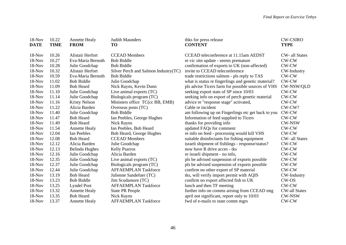| $18-Nov$    | 10.22       | <b>Annette Healy</b> | <b>Judith Maunders</b>               | thks for press release                              | <b>CW-CSIRO</b>      |
|-------------|-------------|----------------------|--------------------------------------|-----------------------------------------------------|----------------------|
| <b>DATE</b> | <b>TIME</b> | <b>FROM</b>          | <b>TO</b>                            | <b>CONTENT</b>                                      | <b>TYPE</b>          |
| $18-Nov$    | 10.26       | Alistair Herfort     | <b>CCEAD Members</b>                 | CCEAD teleconference at 11.15am AEDST               | CW- all States       |
| $18-Nov$    | 10.27       | Eva-Maria Bernoth    | <b>Bob Biddle</b>                    | re vic sitn update - seems premature                | CW-CW                |
| $18-Nov$    | 10.28       | Julie Goodchap       | <b>Bob Biddle</b>                    | confirmation of exports to UK (non-affected)        | CW-CW                |
| 18-Nov      | 10.32       | Alistair Herfort     | Silver Perch and Salmon Industry(TC) | invite to CCEAD teleconference                      | CW-Industry          |
| 18-Nov      | 10.59       | Eva-Maria Bernoth    | <b>Bob Biddle</b>                    | trade restrictions salmon - pls reply to TAS        | $CW$ - $CW$          |
| $18-Nov$    | 11.02       | <b>Bob Biddle</b>    | Julie Goodchap                       | what is status re fingerlings and genetic material? | CW-CW                |
| 18-Nov      | 11.09       | <b>Bob Heard</b>     | Nick Rayns, Kevin Dunn               | pls advise Ticers farm for possible sources of VHS  | CW-NSW/QLD           |
| 18-Nov      | 11.10       | Julie Goodchap       | Live animal exports (TC)             | seeking export stats of SP since 10/03              | CW-CW                |
| 18-Nov      | 11.14       | Julie Goodchap       | Biologicals program (TC)             | seeking info on export of perch genetic material    | CW-CW                |
| 18-Nov      | 11.16       | Kristy Nelson        | Ministers office TC(cc BB, EMB)      | advice re "response stage" activated,               | CW-CW                |
| 18-Nov      | 11.22       | Alicia Barden        | Overseas posts (TC)                  | Cable re incident                                   | CW-CW?               |
| 18-Nov      | 11.40       | Julie Goodchap       | <b>Bob Biddle</b>                    | am following up on Fingerlings etc get back to you  | CW-CW                |
| 18-Nov      | 11.47       | <b>Bob Heard</b>     | Ian Peebles, George Hughes           | Information of feed supplied to Ticers              | $CW$ - $CW$          |
| $18-Nov$    | 11.49       | <b>Bob Heard</b>     | <b>Nick Rayns</b>                    | thanks for providing info                           | CW-NSW               |
| 18-Nov      | 11.54       | <b>Annette Healy</b> | Ian Peebles, Bob Heard               | updated FAQs for comment                            | CW-CW                |
| 18-Nov      | 12.04       | Ian Peebles          | Bob Heard, George Hughes             | re info on feed - processing would kill VHS         | CW-CW                |
| $18-Nov$    | 12.08       | <b>Bob Heard</b>     | <b>CCEAD Members</b>                 | suitable disinfectants for fishing equipment        | CW- all States       |
| $18-Nov$    | 12.12       | Alicia Barden        | Julie Goodchap                       | israeli shipment of fishlings - response/status?    | $CW$ - $CW$          |
| 18-Nov      | 12.13       | Belinda Hughes       | <b>Kelly Psarros</b>                 | now have R drive acces - tks                        | $CW$ - $CW$          |
| $18-Nov$    | 12.16       | Julie Goodchap       | Alicia Barden                        | re israeli shipment - no info,                      | CW-CW                |
| 18-Nov      | 12.35       | Julie Goodchap       | Live animal exports (TC)             | pls be advised suspension of exports possible       | CW-CW                |
| $18-Nov$    | 12.37       | Julie Goodchap       | Biologicals program (TC)             | pls be advised suspension of exports possible       | CW-CW                |
| $18-Nov$    | 12.44       | Julie Goodchap       | <b>AFFAEMPLAN Taskforce</b>          | confirm no other export of SP material              | $CW$ - $CW$          |
| 18-Nov      | 13.19       | <b>Bob Heard</b>     | Julienne Sandefuer (TC)              | tks, will verify import permit with AQIS            | CW-Industry          |
| 18-Nov      | 13.23       | <b>Bob Biddle</b>    | Jim Scudamore (TC)                   | confirm no export affected fish to UK               | $CW$ -OS             |
| $18-Nov$    | 13.25       | <b>Lyndel Post</b>   | <b>AFFAEMPLAN Taskforce</b>          | lunch and then TF meeting                           | CW-CW                |
| $18-Nov$    | 13.32       | <b>Annette Healy</b> | <b>State PR People</b>               | further info on comms arising from CCEAD mtg        | <b>CW-all States</b> |
| 18-Nov      | 13.35       | <b>Bob Heard</b>     | Nick Rayns                           | april not significant, report only to 10/03         | CW-NSW               |
| 18-Nov      | 13.37       | <b>Annette Healy</b> | <b>AFFAEMPLAN Taskforce</b>          | fwd of e-mails to state comm mgrs                   | CW-CW                |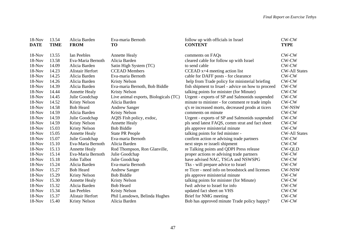| 18-Nov<br><b>DATE</b> | 13.54<br><b>TIME</b> | Alicia Barden<br><b>FROM</b> | Eva-maria Bernoth<br><b>TO</b>        | follow up with officials in Israel<br><b>CONTENT</b> | CW-CW<br><b>TYPE</b> |
|-----------------------|----------------------|------------------------------|---------------------------------------|------------------------------------------------------|----------------------|
| 18-Nov                | 13.55                | Ian Peebles                  | <b>Annette Healy</b>                  | comments on FAQs                                     | CW-CW                |
| 18-Nov                | 13.58                | Eva-Maria Bernoth            | Alicia Barden                         | cleared cable for follow up with Israel              | CW-CW                |
| $18-Nov$              | 14.09                | Alicia Barden                | Satin High System (TC)                | to send cable                                        | CW-CW                |
| 18-Nov                | 14.23                | Alistair Herfort             | <b>CCEAD Members</b>                  | $CCEAD x+4$ meeting action list                      | <b>CW-All States</b> |
| $18-Nov$              | 14.25                | Alicia Barden                | Eva-maria Bernoth                     | cable for DAFF posts - for clearance                 | CW-CW                |
| 18-Nov                | 14.26                | Alicia Barden                | <b>Kristy Nelson</b>                  | help from Trade policy for ministerial briefing      | CW-CW                |
| $18-Nov$              | 14.39                | Alicia Barden                | Eva-maria Bernoth, Bob Biddle         | fish shipment to Irsael - advice on how to proceed   | $CW$ - $CW$          |
| 18-Nov                | 14.44                | <b>Annette Healy</b>         | <b>Kristy Nelson</b>                  | talking points for minister (for Minute)             | CW-CW                |
| $18-Nov$              | 14.45                | Julie Goodchap               | Live animal exports, Biologicals (TC) | Urgent - exports of SP and Salmonids suspended       | CW-CW                |
| 18-Nov                | 14.52                | <b>Kristy Nelson</b>         | Alicia Barden                         | minute to minister - for comment re trade impls      | CW-CW                |
| 18-Nov                | 14.58                | <b>Bob Heard</b>             | <b>Andrew Sanger</b>                  | q's re increased morts, decreased prodn at ticers    | CW-NSW               |
| 18-Nov                | 14.59                | Alicia Barden                | <b>Kristy Nelson</b>                  | comments on minute                                   | $CW$ - $CW$          |
| $18-Nov$              | 14.59                | Julie Goodchap               | AQIS Fish policy, exdoc,              | Urgent - exports of SP and Salmonids suspended       | $CW$ - $CW$          |
| $18-Nov$              | 14.59                | <b>Kristy Nelson</b>         | <b>Annette Healy</b>                  | pls send latest FAQS, comm strat and fact sheet      | CW-CW                |
| 18-Nov                | 15.03                | <b>Kristy Nelson</b>         | <b>Bob Biddle</b>                     | pls approve ministerial minute                       | CW-CW                |
| $18-Nov$              | 15.05                | <b>Annette Healy</b>         | <b>State PR People</b>                | talking points for fed minister -                    | <b>CW-All States</b> |
| $18-Nov$              | 15.07                | Julie Goodchap               | Eva-maria Bernoth                     | confirm action re advising trade partners            | CW-CW                |
| $18-Nov$              | 15.10                | Eva-Maria Bernoth            | Alicia Barden                         | next steps re israeli shipment                       | CW-CW                |
| 18-Nov                | 15.13                | <b>Annette Healy</b>         | Rod Thompson, Ron Glanville,          | re Talking points and QDPI Press release             | CW-QLD               |
| $18-Nov$              | 15.14                | Eva-Maria Bernoth            | Julie Goodchap                        | proper actions re advising trade partners            | CW-CW                |
| $18-Nov$              | 15.18                | John Talbot                  | Julie Goodchap                        | have advised NAC, TSGA and NSWSPG                    | CW-CW                |
| 18-Nov                | 15.24                | Alicia Barden                | Eva-maria Bernoth                     | Tks - will prepare advice to Israel                  | CW-CW                |
| 18-Nov                | 15.27                | <b>Bob Heard</b>             | <b>Andrew Sanger</b>                  | re Ticer - need info on broodstock and licenses      | CW-NSW               |
| $18-Nov$              | 15.29                | <b>Kristy Nelson</b>         | <b>Bob Biddle</b>                     | pls approve ministerial minute                       | CW-CW                |
| $18-Nov$              | 15.30                | <b>Annette Healy</b>         | <b>Kristy Nelson</b>                  | talking points for minister (for Minute)             | CW-CW                |
| 18-Nov                | 15.32                | Alicia Barden                | <b>Bob Heard</b>                      | fwd: advise to Israel for info                       | CW-CW                |
| 18-Nov                | 15.34                | Ian Peebles                  | <b>Kristy Nelson</b>                  | updated fact sheet on VHS                            | CW-CW                |
| 18-Nov                | 15.37                | Alistair Herfort             | Phil Lansdown, Belinda Hughes         | Brief for NMG meeting                                | CW-CW                |
| 18-Nov                | 15.40                | <b>Kristy Nelson</b>         | Alicia Barden                         | Bob has approved minute Trade policy happy?          | CW-CW                |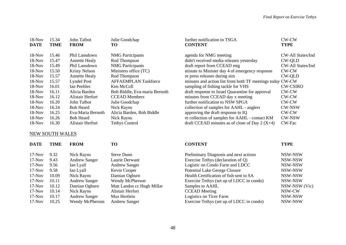NSW-NSW (Vic)<br>NSW-CW

| $18-Nov$    | 15.34       | John Talbot          | Julie Goodchap                | further notification to TSGA                              | CW-CW             |
|-------------|-------------|----------------------|-------------------------------|-----------------------------------------------------------|-------------------|
| <b>DATE</b> | <b>TIME</b> | <b>FROM</b>          | <b>TO</b>                     | <b>CONTENT</b>                                            | <b>TYPE</b>       |
| $18-Nov$    | 15.46       | Phil Lansdown        | <b>NMG</b> Participants       | agenda for NMG meeting                                    | CW-All States/Ind |
| $18-Nov$    | 15.47       | <b>Annette Healy</b> | Rod Thompson                  | didn't received media releases yesterday                  | CW-QLD            |
| $18-Nov$    | 15.49       | Phil Lansdown        | <b>NMG</b> Participants       | draft report from CCEAD mtg                               | CW-All States/Ind |
| $18-Nov$    | 15.50       | <b>Kristy Nelson</b> | Ministers office (TC)         | minute to Minister day 4 of emergency response            | CW-CW             |
| $18-Nov$    | 15.57       | <b>Annette Healy</b> | Rod Thompson                  | re press releases during sim                              | CW-QLD            |
| $18-Nov$    | 15.57       | <b>Lyndel Post</b>   | <b>AFFAEMPLAN Taskforce</b>   | minutes and action list from both TF meetings today CW-CW |                   |
| $18-Nov$    | 16.01       | Ian Peebles          | Ken McColl                    | sampling of fishing tackle for VHS                        | <b>CW-CSIRO</b>   |
| $18-Nov$    | 16.11       | Alicia Barden        | Bob Biddle, Eva-maria Bernoth | draft response to Israel Quarantine for approval          | CW-CW             |
| $18-Nov$    | 16.12       | Alistair Herfort     | <b>CCEAD Members</b>          | minutes from CCEAD day x meeting                          | CW-CW             |
| $18-Nov$    | 16.20       | John Talbot          | Julie Goodchap                | further notification to NSW SPGA                          | CW-CW             |
| $18-Nov$    | 16.24       | <b>Bob Heard</b>     | Nick Rayns                    | collection of samples for AAHL - anglers                  | CW-NSW            |
| $18-Nov$    | 16.25       | Eva-Maria Bernoth    | Alicia Barden, Bob Biddle     | approving the draft response to IQ                        | CW-CW             |
| $18-Nov$    | 16.26       | <b>Bob Heard</b>     | Nick Rayns                    | re collection of samples for AAHL - contact KM            | <b>CW-NSW</b>     |
| $18-Nov$    | 16.30       | Alistair Herfort     | <b>Tethys Control</b>         | draft CCEAD minutes as of close of Day 2 $(X+4)$          | CW-Fac            |

#### NEW SOUTH WALES

<span id="page-47-0"></span>

| DATE     | <b>TIME</b> | <b>FROM</b>          | TО                         | <b>CONTENT</b>                            | <b>TYPE</b> |
|----------|-------------|----------------------|----------------------------|-------------------------------------------|-------------|
| $17-Nov$ | 9.32        | Nick Rayns           | Steve Dunn                 | Preliminary Diagnosis and next actions    | NSW-NSW     |
| $17-Nov$ | 9.43        | <b>Andrew Sanger</b> | Laurie Derwant             | Exercise Tethys (declaration of Q)        | NSW-NSW     |
| $17-Nov$ | 9.56        | Ian Lyall            | <b>Andrew Sanger</b>       | Logistic on Condo Farm and LDCC           | NSW-NSW     |
| $17-Nov$ | 9.58        | Ian Lyall            | Kevin Cooper               | <b>Potential Lake George Closure</b>      | NSW-NSW     |
| $17-Nov$ | 10.09       | Nick Rayns           | Damian Ogburn              | Health Certification of fish sent to SA   | NSW-NSW     |
| $17-Nov$ | 10.11       | <b>Andrew Sanger</b> | Wendy McPherson            | Exercise Tethys (set up of LDCC in condo) | NSW-NSW     |
| $17-Nov$ | 10.12       | Damian Ogburn        | Matt Landos cc Hugh Millar | Samples to AAHL                           | NSW-NSW     |
| $17-Nov$ | 10.14       | Nick Rayns           | Alistair Herfort           | <b>CCEAD</b> Meeting                      | NSW-CW      |
| $17-Nov$ | 10.17       | <b>Andrew Sanger</b> | Max Hertlein               | Logistics on Ticer Farm                   | NSW-NSW     |
| $17-Nov$ | 10.25       | Wendy McPherson      | <b>Andrew Sanger</b>       | Exercise Tethys (set up of LDCC in condo) | NSW-NSW     |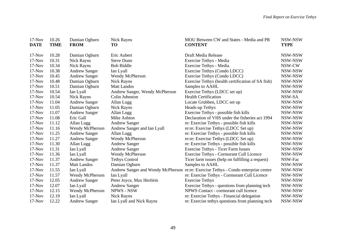| $17-Nov$    | 10.26       | Damian Ogburn          | <b>Nick Rayns</b>              | MOU Between CW and States - Media and PR                                           | NSW-NSW     |
|-------------|-------------|------------------------|--------------------------------|------------------------------------------------------------------------------------|-------------|
| <b>DATE</b> | <b>TIME</b> | <b>FROM</b>            | <b>TO</b>                      | <b>CONTENT</b>                                                                     | <b>TYPE</b> |
| $17-Nov$    | 10.28       | Damian Ogburn          | Eric Aubert                    | Draft Media Release                                                                | NSW-NSW     |
| $17-Nov$    | 10.31       | Nick Rayns             | <b>Steve Dunn</b>              | Exercise Tethys - Media                                                            | NSW-NSW     |
| $17-Nov$    | 10.34       | Nick Rayns             | <b>Bob Biddle</b>              | Exercise Tethys - Media                                                            | NSW-CW      |
| $17-Nov$    | 10.38       | <b>Andrew Sanger</b>   | Ian Lyall                      | Exercise Tethys (Condo LDCC)                                                       | NSW-NSW     |
| $17-Nov$    | 10.45       | <b>Andrew Sanger</b>   | Wendy McPherson                | Exercise Tethys (Condo LDCC)                                                       | NSW-NSW     |
| $17-Nov$    | 10.48       | Damian Ogburn          | Nick Rayns                     | Exercise Tethys (health certification of SA fish)                                  | NSW-NSW     |
| $17-Nov$    | 10.51       | Damian Ogburn          | <b>Matt Landos</b>             | Samples to AAHL                                                                    | NSW-NSW     |
| $17-Nov$    | 10.54       | Ian Lyall              | Andrew Sanger, Wendy McPherson | Exercise Tethys (LDCC set up)                                                      | NSW-NSW     |
| $17-Nov$    | 10.54       | Nick Rayns             | Colin Johnston                 | <b>Health Certification</b>                                                        | NSW-SA      |
| $17-Nov$    | 11.04       | <b>Andrew Sanger</b>   | Allan Lugg                     | Locate Grubben, LDCC set up                                                        | NSW-NSW     |
| $17-Nov$    | 11.05       | Damian Ogburn          | Nick Rayns                     | Heads-up Tethys                                                                    | NSW-NSW     |
| $17-Nov$    | 11.07       | <b>Andrew Sanger</b>   | Allan Lugg                     | Exercise Tethys - possible fish kills                                              | NSW-NSW     |
| $17-Nov$    | 11.08       | Eric Gall              | Mike Ashton                    | Declaration of VHS under the fisheries act 1994                                    | NSW-NSW     |
| $17-Nov$    | 11.12       | Allan Lugg             | <b>Andrew Sanger</b>           | re: Exercise Tethys - possible fish kills                                          | NSW-NSW     |
| $17-Nov$    | 11.16       | Wendy McPherson        | Andrew Sanger and Ian Lyall    | re: Exercise Tethys (LDCC Set up)                                                  | NSW-NSW     |
| $17-Nov$    | 11.25       | <b>Andrew Sanger</b>   | Allan Lugg                     | re: Exercise Tethys - possible fish kills                                          | NSW-NSW     |
| $17-Nov$    | 11.27       | <b>Andrew Sanger</b>   | Wendy McPherson                | re: e: Exercise Tethys (LDCC Set up)                                               | NSW-NSW     |
| $17-Nov$    | 11.30       | Allan Lugg             | <b>Andrew Sanger</b>           | re: Exercise Tethys - possible fish kills                                          | NSW-NSW     |
| $17-Nov$    | 11.31       | Ian Lyall              | <b>Andrew Sanger</b>           | <b>Exercise Tethys - Ticer Farm Issues</b>                                         | NSW-NSW     |
| $17-Nov$    | 11.36       | Ian Lyall              | Wendy McPherson                | Exercise Tethys - Cormorant Cull Licence                                           | NSW-NSW     |
| $17-Nov$    | 11.37       | <b>Andrew Sanger</b>   | <b>Tethys Control</b>          | Ticer farm issues (help on fulfilling a request)                                   | NSW-Fac     |
| $17-Nov$    | 11.37       | <b>Matt Landos</b>     | Damian Ogburn                  | Samples to AAHL                                                                    | NSW-NSW     |
| $17-Nov$    | 11.55       | Ian Lyall              |                                | Andrew Sanger and Wendy McPherson re:re: Exercise Tethys - Condo enterprise centre | NSW-NSW     |
| $17-Nov$    | 11.57       | Wendy McPherson        | Ian Lyall                      | re: Exercise Tethys - Cormorant Cull Licence                                       | NSW-NSW     |
| $17-Nov$    | 12.05       | <b>Andrew Sanger</b>   | Peter Joyce, Max Hertlein      | <b>Exercise Tethys</b>                                                             | NSW-NSW     |
| $17-Nov$    | 12.07       | Ian Lyall              | <b>Andrew Sanger</b>           | Exercise Tethys - questions from planning tech                                     | NSW-NSW     |
| $17-Nov$    | 12.15       | <b>Wendy McPherson</b> | <b>NPWS - NSW</b>              | NPWS Contact - cormorant cull licence                                              | NSW-NSW     |
| $17-Nov$    | 12.19       | Ian Lyall              | Nick Rayns                     | re: Exercise Tethys - Financial delegation                                         | NSW-NSW     |
| $17-Nov$    | 12.22       | <b>Andrew Sanger</b>   | Ian Lyall and Nick Rayns       | re: Exercise tethys questions from planning tech                                   | NSW-NSW     |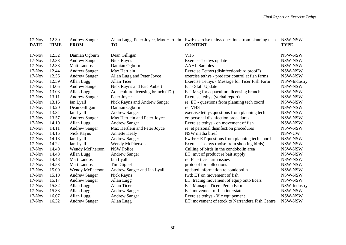| $17-Nov$<br><b>DATE</b> | 12.30<br><b>TIME</b> | <b>Andrew Sanger</b><br><b>FROM</b> | TО                                | Allan Lugg, Peter Joyce, Max Hertlein Fwd: exercise tethys questions from planning tech<br><b>CONTENT</b> | NSW-NSW<br><b>TYPE</b> |
|-------------------------|----------------------|-------------------------------------|-----------------------------------|-----------------------------------------------------------------------------------------------------------|------------------------|
| $17-Nov$                | 12.32                | Damian Ogburn                       | Dean Gilligan                     | <b>VHS</b>                                                                                                | NSW-NSW                |
| $17-Nov$                | 12.33                | <b>Andrew Sanger</b>                | <b>Nick Rayns</b>                 | <b>Exercise Tethys update</b>                                                                             | NSW-NSW                |
| $17-Nov$                | 12.38                | <b>Matt Landos</b>                  | Damian Ogburn                     | <b>AAHL</b> Samples                                                                                       | NSW-NSW                |
| $17-Nov$                | 12.44                | <b>Andrew Sanger</b>                | Max Hertlein                      | Exercise Tethys (disinfection/bird proof?)                                                                | NSW-NSW                |
| $17-Nov$                | 12.56                | <b>Andrew Sanger</b>                | Allan Lugg and Peter Joyce        | exercise tethys - predator control at fish farms                                                          | NSW-NSW                |
| $17-Nov$                | 12.59                | Allan Lugg                          | Allan Ticer                       | Exercise Tethys - Message for Ticer Fish Farm                                                             | NSW-Industry           |
| $17-Nov$                | 13.05                | <b>Andrew Sanger</b>                | Nick Rayns and Eric Aubert        | ET - Staff Update                                                                                         | NSW-NSW                |
| $17-Nov$                | 13.08                | Allan Lugg                          | Aquaculture licensing branch (TC) | ET: Msg for aquaculture licensing branch                                                                  | NSW-NSW                |
| $17-Nov$                | 13.11                | <b>Andrew Sanger</b>                | Peter Joyce                       | Exercise tethys (verbal report)                                                                           | NSW-NSW                |
| $17-Nov$                | 13.16                | Ian Lyall                           | Nick Rayns and Andrew Sanger      | re: ET - questions from planning tech coord                                                               | NSW-NSW                |
| $17-Nov$                | 13.20                | Dean Gilligan                       | Damian Ogburn                     | re: VHS                                                                                                   | NSW-NSW                |
| $17-Nov$                | 13.34                | Ian Lyall                           | <b>Andrew Sanger</b>              | exercise tethys questions from planning tech                                                              | NSW-NSW                |
| $17-Nov$                | 13.57                | <b>Andrew Sanger</b>                | Max Hertlein and Peter Joyce      | et: personal disinfection procedures                                                                      | NSW-NSW                |
| $17-Nov$                | 14.10                | Allan Lugg                          | <b>Andrew Sanger</b>              | Exercise tethys - on movement of fish                                                                     | NSW-NSW                |
| $17-Nov$                | 14.11                | <b>Andrew Sanger</b>                | Max Hertlein and Peter Joyce      | re: et personal disinfection procedures                                                                   | NSW-NSW                |
| $17-Nov$                | 14.15                | Nick Rayns                          | <b>Annette Healy</b>              | NSW media brief                                                                                           | NSW-CW                 |
| $17-Nov$                | 14.18                | Ian Lyall                           | <b>Andrew Sanger</b>              | Fwd:re: ET questions from planning tech coord                                                             | NSW-NSW                |
| $17-Nov$                | 14.22                | Ian Lyall                           | Wendy McPherson                   | Exercise Tethys (noise from shooting birds)                                                               | NSW-NSW                |
| $17-Nov$                | 14.40                | Wendy McPherson                     | <b>NSW Police</b>                 | Culling of birds in the condobolin area                                                                   | NSW-NSW                |
| $17-Nov$                | 14.48                | Allan Lugg                          | <b>Andrew Sanger</b>              | ET: mvt of product re bait supply                                                                         | NSW-NSW                |
| $17-Nov$                | 14.48                | <b>Matt Landos</b>                  | Ian Lyall                         | re: ET - ticer farm issues                                                                                | NSW-NSW                |
| $17-Nov$                | 14.53                | <b>Matt Landos</b>                  | Tim Gippel                        | protocol for collections                                                                                  | NSW-NSW                |
| $17-Nov$                | 15.00                | Wendy McPherson                     | Andrew Sanger and Ian Lyall       | updated information re condobolin                                                                         | NSW-NSW                |
| $17-Nov$                | 15.10                | <b>Andrew Sanger</b>                | Nick Rayns                        | fwd: ET on movement of fish                                                                               | NSW-NSW                |
| $17-Nov$                | 15.17                | <b>Andrew Sanger</b>                | Allan Lugg                        | ET: tracing movement of equip onto ticers                                                                 | NSW-NSW                |
| $17-Nov$                | 15.32                | Allan Lugg                          | Allan Ticer                       | ET: Manager Ticers Perch Farm                                                                             | NSW-Industry           |
| $17-Nov$                | 15.38                | Allan Lugg                          | <b>Andrew Sanger</b>              | ET: movement of fish interstate                                                                           | NSW-NSW                |
| $17-Nov$                | 16.07                | Allan Lugg                          | <b>Andrew Sanger</b>              | Exercise tethys - Vic equipement                                                                          | NSW-NSW                |
| $17-Nov$                | 16.32                | <b>Andrew Sanger</b>                | Allan Lugg                        | ET: movement of stock to Narrandera Fish Centre                                                           | NSW-NSW                |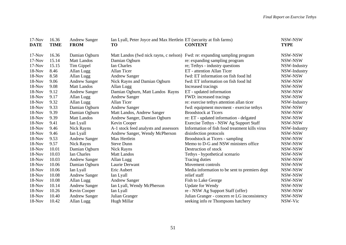| $17-Nov$    | 16.36       | <b>Andrew Sanger</b> | Ian Lyall, Peter Joyce and Max Hertlein ET (security at fish farms)        |                                                | NSW-NSW      |
|-------------|-------------|----------------------|----------------------------------------------------------------------------|------------------------------------------------|--------------|
| <b>DATE</b> | <b>TIME</b> | <b>FROM</b>          | <b>TO</b>                                                                  | <b>CONTENT</b>                                 | <b>TYPE</b>  |
| $17-Nov$    | 16.36       | Damian Ogburn        | Matt Landos (fwd nick rayns, c nelson) Fwd: re: expanding sampling program |                                                | NSW-NSW      |
| $17-Nov$    | 15.14       | <b>Matt Landos</b>   | Damian Ogburn                                                              | re: expanding sampling program                 | NSW-NSW      |
| $17-Nov$    | 15.15       | Tim Gippel           | Ian Charles                                                                | re; Tethys - industry questions                | NSW-Industry |
| $18-Nov$    | 8.46        | Allan Lugg           | Allan Ticer                                                                | ET - attention Allan Ticer                     | NSW-Industry |
| $18-Nov$    | 8.58        | Allan Lugg           | <b>Andrew Sanger</b>                                                       | fwd: ET information on fish food ltd           | NSW-NSW      |
| $18-Nov$    | 9.06        | <b>Andrew Sanger</b> | Nick Rayns and Damian Ogburn                                               | fwd: ET information on fish food ltd           | NSW-NSW      |
| 18-Nov      | 9.08        | <b>Matt Landos</b>   | Allan Lugg                                                                 | Increased tracings                             | NSW-NSW      |
| $18-Nov$    | 9.12        | <b>Andrew Sanger</b> | Damian Ogburn, Matt Landos Rayns                                           | ET - updated information                       | NSW-NSW      |
| $18-Nov$    | 9.17        | Allan Lugg           | <b>Andrew Sanger</b>                                                       | FWD: increased tracings                        | NSW-NSW      |
| $18-Nov$    | 9.32        | Allan Lugg           | Allan Ticer                                                                | re: exercise tethys attention allan ticer      | NSW-Industry |
| $18-Nov$    | 9.33        | Damian Ogburn        | <b>Andrew Sanger</b>                                                       | fwd: equipment movment - exercise tethys       | NSW-NSW      |
| $18-Nov$    | 9.39        | Damian Ogburn        | Matt Landos, Andrew Sanger                                                 | <b>Broodstock at Ticers</b>                    | NSW-NSW      |
| 18-Nov      | 9.39        | <b>Matt Landos</b>   | Andrew Sanger, Damian Ogburn                                               | re: ET - updated information - delgated        | NSW-NSW      |
| $18-Nov$    | 9.41        | Ian Lyall            | Kevin Cooper                                                               | Exercise Tethys - NSW Ag Support Staff         | NSW-NSW      |
| $18-Nov$    | 9.46        | <b>Nick Rayns</b>    | A-1 stock feed analysts and assessors                                      | Information of fish food treatment kills virus | NSW-Industry |
| $18-Nov$    | 9.46        | Ian Lyall            | Andrew Sanger, Wendy McPherson                                             | disinfection protocols                         | NSW-NSW      |
| $18-Nov$    | 9.53        | <b>Andrew Sanger</b> | Max Hertlein                                                               | Broodstock at Ticers - sampling                | NSW-NSW      |
| $18-Nov$    | 9.57        | Nick Rayns           | <b>Steve Dunn</b>                                                          | Memo to D-G and NSW ministers office           | NSW-NSW      |
| 18-Nov      | 10.01       | Damian Ogburn        | <b>Nick Rayns</b>                                                          | Destruction of stock                           | NSW-NSW      |
| $18-Nov$    | 10.03       | Ian Charles          | <b>Matt Landos</b>                                                         | Tethys - hypothetical scenario                 | NSW-NSW      |
| $18-Nov$    | 10.03       | <b>Andrew Sanger</b> | Allan Lugg                                                                 | <b>Tracing duties</b>                          | NSW-NSW      |
| $18-Nov$    | 10.06       | Damian Ogburn        | Laurie Derwant                                                             | Movement controls                              | NSW-NSW      |
| $18-Nov$    | 10.06       | Ian Lyall            | Eric Aubert                                                                | Media information to be sent to premiers dept  | NSW-NSW      |
| $18-Nov$    | 10.08       | <b>Andrew Sanger</b> | Ian Lyall                                                                  | relief staff                                   | NSW-NSW      |
| 18-Nov      | 10.08       | Allan Lugg           | <b>Andrew Sanger</b>                                                       | Fish to Lake George                            | NSW-NSW      |
| $18-Nov$    | 10.14       | <b>Andrew Sanger</b> | Ian Lyall, Wendy McPherson                                                 | <b>Update for Wendy</b>                        | NSW-NSW      |
| $18-Nov$    | 10.26       | Kevin Cooper         | Ian Lyall                                                                  | re - NSW Ag Support Staff (offer)              | NSW-NSW      |
| $18-Nov$    | 10.40       | <b>Andrew Sanger</b> | Julian Granger                                                             | Julian Granger - concern re LG inconsistency   | NSW-NSW      |
| $18-Nov$    | 10.42       | Allan Lugg           | Hugh Millar                                                                | seeking info re Thompsons hatchery             | NSW-Vic      |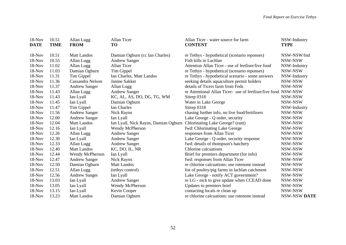| $18-Nov$<br><b>DATE</b> | 10.51<br><b>TIME</b> | Allan Lugg<br><b>FROM</b> | Allan Ticer<br><b>TO</b>             | Allan Ticer - water source for farm<br><b>CONTENT</b>          | NSW-Industry<br><b>TYPE</b> |
|-------------------------|----------------------|---------------------------|--------------------------------------|----------------------------------------------------------------|-----------------------------|
| $18-Nov$                | 10.51                | <b>Matt Landos</b>        | Damian Ogburn (cc Ian Charles)       | re Tethys - hypothetical (scenario reponses)                   | NSW-NSW/Ind                 |
| 18-Nov                  | 10.55                | Allan Lugg                | <b>Andrew Sanger</b>                 | Fish kills in Lachlan                                          | NSW-NSW                     |
| $18-Nov$                | 11.02                | Allan Lugg                | Allan Ticer                          | Attention Allan Ticer - use of fertliser/live food             | NSW-Industry                |
| $18-Nov$                | 11.03                | Damian Ogburn             | Tim Gippel                           | re Tethys - hypothetical (scenario reponses)                   | NSW-NSW                     |
| 18-Nov                  | 11.31                | Tim Gippel                | Ian Charles, Matt Landos             | re Tethys - hypothetical scenario - some answers               | NSW-Industry                |
| $18-Nov$                | 11.36                | Cassandra Nelson          | Janine Sakker                        | seeking details aquaculture permit holders                     | NSW-NSW                     |
| $18-Nov$                | 11.37                | <b>Andrew Sanger</b>      | Allan Lugg                           | details of Ticers farm from Feds                               | NSW-NSW                     |
| $18-Nov$                | 11.43                | Allan Lugg                | <b>Andrew Sanger</b>                 | re Attentional Allan Ticer- use of fertliser/live food NSW-NSW |                             |
| 18-Nov                  | 11.43                | Ian Lyall                 | KC, AL, AS, DO, DG, TG, WM           | Sitrep 0318                                                    | NSW-NSW                     |
| $18-Nov$                | 11.45                | Ian Lyall                 | Damian Ogburn                        | Water in Lake George                                           | NSW-NSW                     |
| 18-Nov                  | 11.47                | Tim Gippel                | Ian Charles                          | Sitrep 0318                                                    | NSW-Industry                |
| 18-Nov                  | 11.56                | Andrew Sanger             | Nick Rayns                           | chasing further info, no live food/fertilisers                 | NSW-NSW                     |
| $18-Nov$                | 12.00                | <b>Andrew Sanger</b>      | Ian Lyall                            | Lake George - Q order, security                                | NSW-NSW                     |
| $18-Nov$                | 12.04                | <b>Matt Landos</b>        | Ian Lyall, Nick Rayns, Damian Ogburn | Chlorinating Lake George? (rant)                               | NSW-NSW                     |
| $18-Nov$                | 12.16                | Ian Lyall                 | Wendy McPherson                      | fwd: Chlorinating Lake George                                  | NSW-NSW                     |
| $18-Nov$                | 12.26                | Allan Lugg                | <b>Andrew Sanger</b>                 | responses from Allan Ticer                                     | NSW-NSW                     |
| $18-Nov$                | 12.30                | Ian Lyall                 | <b>Andrew Sanger</b>                 | Lake George - Q order, security response                       | NSW-NSW                     |
| $18-Nov$                | 12.33                | Allan Lugg                | <b>Andrew Sanger</b>                 | fwd: details of thompson's hatchery                            | NSW-NSW                     |
| $18-Nov$                | 12.40                | Matt Landos               | KC, DO, IL, NR                       | Chlorine calcuations                                           | NSW-NSW                     |
| $18-Nov$                | 12.44                | <b>Wendy McPherson</b>    | Ian Lyall                            | Brief for premiers department (for info)                       | NSW-NSW                     |
| $18-Nov$                | 12.47                | <b>Andrew Sanger</b>      | Nick Rayns                           | fwd: responses from Allan Ticer                                | NSW-NSW                     |
| $18-Nov$                | 12.50                | Damian Ogburn             | <b>Matt Landos</b>                   | re chlorine calcuations: use rotenone instead                  | NSW-NSW                     |
| $18-Nov$                | 12.51                | Allan Lugg                | (tethys control)                     | list of poultry/pig farms in lachlan catchment                 | NSW-NSW                     |
| $18-Nov$                | 12.56                | <b>Andrew Sanger</b>      | Ian Lyall                            | Lake George - notify ACT government?                           | NSW-NSW                     |
| $18-Nov$                | 13.03                | Ian Lyall                 | Andrew Sanger                        | re LG - nick to give update when CCEAD done                    | NSW-NSW                     |
| $18-Nov$                | 13.05                | Ian Lyall                 | Wendy McPherson                      | Updates to premiers brief                                      | NSW-NSW                     |
| 18-Nov                  | 13.15                | Ian Lyall                 | Kevin Cooper                         | contacting locals re clean up                                  | NSW-NSW                     |
| 18-Nov                  | 13.23                | <b>Matt Landos</b>        | Damian Ogburn                        | re chlorine calcuations: use rotenone instead                  | <b>NSW-NSW DATE</b>         |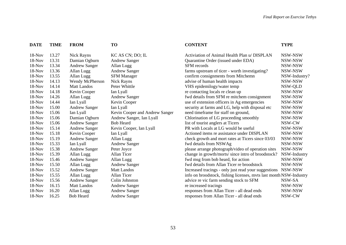| <b>DATE</b> | <b>TIME</b> | <b>FROM</b>          | <b>TO</b>                      | <b>CONTENT</b>                                                     | <b>TYPE</b>   |
|-------------|-------------|----------------------|--------------------------------|--------------------------------------------------------------------|---------------|
| $18-Nov$    | 13.27       | <b>Nick Rayns</b>    | KC AS CN; DO; IL               | Activiation of Animal Health Plan u/ DISPLAN                       | NSW-NSW       |
| $18-Nov$    | 13.31       | Damian Ogburn        | <b>Andrew Sanger</b>           | Quarantine Order (issued under EDA)                                | NSW-NSW       |
| 18-Nov      | 13.34       | <b>Andrew Sanger</b> | Allan Lugg                     | <b>SFM</b> records                                                 | NSW-NSW       |
| $18-Nov$    | 13.36       | Allan Lugg           | <b>Andrew Sanger</b>           | farms upstream of ticer - worth investigating?                     | NSW-NSW       |
| 18-Nov      | 13.55       | Allan Lugg           | <b>SFM Manager</b>             | confirm consignments from Mitchemn                                 | NSW-Industry? |
| $18-Nov$    | 14.13       | Wendy McPherson      | Nick Rayns                     | advise of human health impacts                                     | NSW-NSW       |
| 18-Nov      | 14.14       | <b>Matt Landos</b>   | Peter Whittle                  | VHS epidemilogy/water temp                                         | NSW-QLD       |
| 18-Nov      | 14.18       | Kevin Cooper         | Ian Lyall                      | re contacting locals re clean up                                   | NSW-NSW       |
| $18-Nov$    | 14.26       | Allan Lugg           | <b>Andrew Sanger</b>           | fwd details from SFM re mitchem consignment                        | NSW-NSW       |
| $18-Nov$    | 14.44       | Ian Lyall            | Kevin Cooper                   | use of extension officers in Ag emergencies                        | NSW-NSW       |
| 18-Nov      | 15.00       | <b>Andrew Sanger</b> | Ian Lyall                      | security at farms and LG, help with disposal etc                   | NSW-NSW       |
| 18-Nov      | 15.06       | Ian Lyall            | Kevin Cooper and Andrew Sanger | need timeframe for staff on ground,                                | NSW-NSW       |
| 18-Nov      | 15.06       | Damian Ogburn        | Andrew Sanger, Ian Lyall       | Chlorination of LG proceeding smoothly                             | NSW-NSW       |
| $18-Nov$    | 15.06       | <b>Andrew Sanger</b> | <b>Bob Heard</b>               | list of tourist anglers at Ticers                                  | NSW-CW        |
| $18-Nov$    | 15.14       | <b>Andrew Sanger</b> | Kevin Cooper, Ian Lyall        | PR with Locals at LG would be useful                               | NSW-NSW       |
| 18-Nov      | 15.18       | Kevin Cooper         | Ian Lyall                      | Actioned items re assistance under DISPLAN                         | NSW-NSW       |
| $18-Nov$    | 15.19       | <b>Andrew Sanger</b> | Allan Lugg                     | check growth and mort rates at Ticers since 03/03                  | NSW-NSW       |
| $18-Nov$    | 15.33       | Ian Lyall            | Andrew Sanger                  | fwd details from NSWAg                                             | NSW-NSW       |
| 18-Nov      | 15.38       | <b>Andrew Sanger</b> | Peter Joyce                    | please arrange photograph/video of operation sites                 | NSW-NSW       |
| 18-Nov      | 15.39       | Allan Lugg           | Allan Ticer                    | change in growth/morts/ since intro of broodstock?                 | NSW-Industry  |
| 18-Nov      | 15.46       | <b>Andrew Sanger</b> | Allan Lugg                     | fwd msg from bob heard, for action                                 | NSW-NSW       |
| $18-Nov$    | 15.50       | Allan Lugg           | <b>Andrew Sanger</b>           | fwd details from Allan Ticer re broodstock                         | NSW-NSW       |
| 18-Nov      | 15.52       | <b>Andrew Sanger</b> | <b>Matt Landos</b>             | Increased tracings - only just read your suggestions               | NSW-NSW       |
| $18-Nov$    | 15.55       | Allan Lugg           | Allan Ticer                    | info on broodstock, fishing licenses, mvts last month NSW-Industry |               |
| 18-Nov      | 15.56       | <b>Andrew Sanger</b> | Colin Johnston                 | advice re vic farm sending stock to SFM                            | NSW-SA        |
| $18-Nov$    | 16.15       | <b>Matt Landos</b>   | <b>Andrew Sanger</b>           | re increased tracings                                              | NSW-NSW       |
| $18-Nov$    | 16.20       | Allan Lugg           | <b>Andrew Sanger</b>           | responses from Allan Ticer - all dead ends                         | NSW-NSW       |
| $18-Nov$    | 16.25       | <b>Bob Heard</b>     | <b>Andrew Sanger</b>           | responses from Allan Ticer - all dead ends                         | NSW-CW        |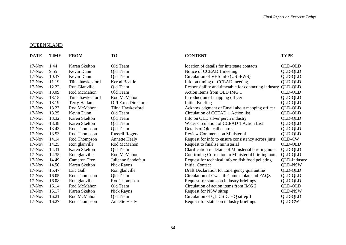### **QUEENSLAND**

<span id="page-53-0"></span>

| <b>TIME</b> | <b>FROM</b>         | <b>TO</b>                 | <b>CONTENT</b>                                        | <b>TYPE</b>                            |
|-------------|---------------------|---------------------------|-------------------------------------------------------|----------------------------------------|
| 1.44        | Karen Skelton       | Qld Team                  | location of details for interstate contacts           | QLD-QLD                                |
| 9.55        | Kevin Dunn          | Old Team                  | Notice of CCEAD 1 meeting                             | QLD-QLD                                |
| 10.37       | Kevin Dunn          | Old Team                  | Circulation of VHS info (US -FWS)                     | QLD-QLD                                |
| 11.19       | Tiina hawkesford    | <b>Kerod Beattie</b>      | Info on timing of CCEAD meeting                       | QLD-QLD                                |
| 12.22       | Ron Glanville       | Qld Team                  | Responsibility and timetable for contacting industry  | QLD-QLD                                |
| 13.09       | Rod McMahon         | Old Team                  | Action Items from QLD IMG 1                           | QLD-QLD                                |
| 13.15       | Tiina hawkesford    | Rod McMahon               | Introduction of mapping officer                       | QLD-QLD                                |
| 13.19       | Terry Hallam        | <b>DPI</b> Exec Directors | <b>Initial Briefing</b>                               | QLD-QLD                                |
| 13.23       | Rod McMahon         | Tiina Hawkesford          | Acknowledgment of Email about mapping officer         | QLD-QLD                                |
| 13.25       | Kevin Dunn          | Qld Team                  | Circulation of CCEAD 1 Action list                    | QLD-QLD                                |
| 13.32       | Karen Skelton       | Old Team                  | Info on QLD silver perch industry                     | QLD-QLD                                |
| 13.38       | Karen Skelton       | Old Team                  | Wider circulation of CCEAD 1 Action List              | QLD-QLD                                |
| 13.43       | Rod Thompson        | Old Team                  | Details of Qld call centres                           | QLD-QLD                                |
| 13.53       | Rod Thompson        | <b>Russell Rogers</b>     | <b>Review Comments on Ministerial</b>                 | QLD-QLD                                |
| 14.14       | Rod Thompson        | <b>Annette Healy</b>      | Request for info to ensure consistency across juris   | QLD-CW                                 |
| 14.25       | Ron glanville       | Rod McMahon               | Request to finalise ministerial                       | QLD-QLD                                |
| 14.31       | Karen Skelton       | Old Team                  | Clarification re details of Ministerial briefing note | QLD-QLD                                |
| 14.35       | Ron glanville       | Rod McMahon               | Confirming Correction to Ministerial briefing note    | QLD-QLD                                |
| 14.49       | <b>Cameron Tree</b> | Julienne Sandefeur        | Request for technical info on fish food pelleting     | QLD-Industry                           |
| 14.50       | Karen Skelton       | Nick Rayns                | <b>Initial Contact</b>                                | <b>QLD-NSW</b>                         |
| 15.47       | Eric Gall           |                           | Draft Declaration for Emergency quarantine            | QLD-QLD                                |
| 16.05       | Rod Thompson        | Qld Team                  | Circulation of Cwealth Comms plan and FAQS            | QLD-QLD                                |
| 16.08       | Ron glanville       | Rod Thompson              | Request for status on industry briefings              | QLD-QLD                                |
|             |                     |                           |                                                       | QLD-QLD                                |
| 16.17       | Karen Skelton       | Nick Rayns                | Request for NSW sitrep                                | <b>QLD-NSW</b>                         |
| 16.21       | Rod McMahon         | Old Team                  | Circulation of QLD SDCHQ sitrep 1                     | QLD-QLD                                |
| 16.27       | Rod Thompson        | <b>Annette Healy</b>      | Request for status on industry briefings              | QLD-CW                                 |
|             | 16.14               | Rod McMahon               | Ron glanville<br>Old Team                             | Circulation of action items from IMG 2 |

| CUNTENT                                               | .              |
|-------------------------------------------------------|----------------|
| location of details for interstate contacts           | QLD-QLD        |
| Notice of CCEAD 1 meeting                             | QLD-QLD        |
| Circulation of VHS info (US -FWS)                     | QLD-QLD        |
| Info on timing of CCEAD meeting                       | QLD-QLD        |
| Responsibility and timetable for contacting industry  | QLD-QLD        |
| Action Items from QLD IMG 1                           | QLD-QLD        |
| Introduction of mapping officer                       | QLD-QLD        |
| Initial Briefing                                      | QLD-QLD        |
| Acknowledgment of Email about mapping officer         | QLD-QLD        |
| Circulation of CCEAD 1 Action list                    | QLD-QLD        |
| Info on QLD silver perch industry                     | QLD-QLD        |
| Wider circulation of CCEAD 1 Action List              | QLD-QLD        |
| Details of Qld call centres                           | QLD-QLD        |
| <b>Review Comments on Ministerial</b>                 | QLD-QLD        |
| Request for info to ensure consistency across juris   | QLD-CW         |
| Request to finalise ministerial                       | QLD-QLD        |
| Clarification re details of Ministerial briefing note | QLD-QLD        |
| Confirming Correction to Ministerial briefing note    | QLD-QLD        |
| Request for technical info on fish food pelleting     | QLD-Industr    |
| Initial Contact                                       | <b>QLD-NSW</b> |
| Draft Declaration for Emergency quarantine            | QLD-QLD        |
| Circulation of Cwealth Comms plan and FAQS            | QLD-QLD        |
| Request for status on industry briefings              | QLD-QLD        |
| Circulation of action items from IMG 2                | QLD-QLD        |
| Request for NSW sitrep                                | <b>QLD-NSW</b> |
| Circulation of QLD SDCHQ sitrep 1                     | QLD-QLD        |
| Request for status on industry briefings              | QLD-CW         |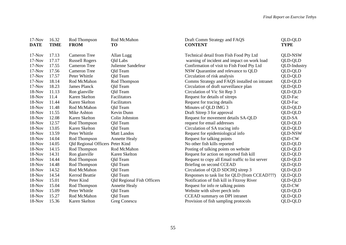| $17-Nov$<br><b>DATE</b> | 16.32<br><b>TIME</b> | Rod Thompson<br><b>FROM</b>      | Rod McMahon<br><b>TO</b>          | Draft Comm Strategy and FAQS<br><b>CONTENT</b>   | QLD-QLD<br><b>TYPE</b> |
|-------------------------|----------------------|----------------------------------|-----------------------------------|--------------------------------------------------|------------------------|
|                         |                      |                                  |                                   |                                                  |                        |
| $17-Nov$                | 17.13                | <b>Cameron Tree</b>              | Allan Lugg                        | Technical detail from Fish Food Pty Ltd          | <b>QLD-NSW</b>         |
| $17-Nov$                | 17.17                | <b>Russell Rogers</b>            | Qld Labs                          | warning of incident and impact on work load      | QLD-QLD                |
| $17-Nov$                | 17.55                | <b>Cameron Tree</b>              | Julienne Sandefeur                | Confirmation of visit to Fish Food Pty Ltd       | QLD-Industry           |
| $17-Nov$                | 17.56                | <b>Cameron Tree</b>              | Old Team                          | NSW Quarantine and relevance to QLD              | QLD-QLD                |
| $17-Nov$                | 17.57                | Peter Whittle                    | <b>Qld Team</b>                   | Circulation of risk analysis                     | QLD-QLD                |
| $17-Nov$                | 18.14                | Rod McMahon                      | Rod Thompson                      | Comms Strategy and FAQS installed on intranet    | QLD-QLD                |
| $17-Nov$                | 18.23                | <b>James Planck</b>              | Qld Team                          | Circulation of draft surveillance plan           | QLD-QLD                |
| 18-Nov                  | 11.13                | Ron glanville                    | Old Team                          | Circulation of Vic Sit Rep 3                     | QLD-QLD                |
| 18-Nov                  | 11.4                 | Karen Skelton                    | Facilitators                      | Request for details of sitreps                   | <b>QLD-Fac</b>         |
| $18-Nov$                | 11.44                | Karen Skelton                    | Facilitators                      | Request for tracing details                      | QLD-Fac                |
| 18-Nov                  | 11.48                | Rod McMahon                      | <b>Qld Team</b>                   | Minutes of QLD IMG 3                             | QLD-QLD                |
| 18-Nov                  | 11.55                | Mike Ashton                      | Kevin Dunn                        | Draft Sitrep 3 for approval                      | QLD-QLD                |
| $18-Nov$                | 12.08                | Karen Skelton                    | Colin Johnston                    | Request for movement details SA-QLD              | QLD-SA                 |
| 18-Nov                  | 12.57                | Rod Thompson                     | Qld Team                          | request for email addresses                      | QLD-QLD                |
| 18-Nov                  | 13.05                | Karen Skelton                    | Old Team                          | Circulation of SA tracing info                   | QLD-QLD                |
| $18-Nov$                | 13.59                | Peter Whittle                    | <b>Matt Landos</b>                | Request for epidemiological info                 | <b>QLD-NSW</b>         |
| 18-Nov                  | 14.04                | Rod Thompson                     | <b>Annette Healy</b>              | Request for talking points                       | QLD-CW                 |
| $18-Nov$                | 14.05                | Qld Regional Officers Peter Kind |                                   | No other fish kills reported                     | QLD-QLD                |
| $18-Nov$                | 14.15                | Rod Thompson                     | Rod McMahon                       | Posting of talking points on website             | QLD-QLD                |
| 18-Nov                  | 14.31                | Ron glanville                    | Karen Skelton                     | Request for action on reported fish kill         | QLD-QLD                |
| 18-Nov                  | 14.44                | Rod Thompson                     | Qld Team                          | Request to copy all Email traffic to list server | QLD-QLD                |
| $18-Nov$                | 14.48                | Rod Thompson                     | Old Team                          | Briefing on second CCEAD                         | QLD-QLD                |
| 18-Nov                  | 14.52                | Rod McMahon                      | Old Team                          | Circulation of QLD SDCHQ sitrep 3                | QLD-QLD                |
| $18-Nov$                | 14.54                | Kerrod Beattie                   | Qld Team                          | Responses to task list for QLD (from CCEAD???)   | QLD-QLD                |
| $18-Nov$                | 15.01                | Peter Kind                       | <b>Qld Regional Fish Officers</b> | Notification of fish kill in Fitzroy River       | QLD-QLD                |
| 18-Nov                  | 15.04                | Rod Thompson                     | <b>Annette Healy</b>              | Request for info re talking points               | QLD-CW                 |
| $18-Nov$                | 15.09                | Peter Whittle                    | Qld Team                          | Website with silver perch info                   | QLD-QLD                |
| $18-Nov$                | 15.27                | Rod McMahon                      | Old Team                          | <b>CCEAD</b> summary on DPI intranet             | QLD-QLD                |
| 18-Nov                  | 15.36                | Karen Skelton                    | Greg Conescu                      | Provision of fish sampling protocols             | QLD-QLD                |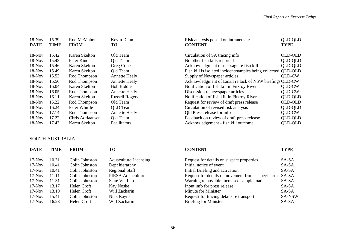| $18-Nov$<br><b>DATE</b> | 15.39<br><b>TIME</b> | Rod McMahon<br><b>FROM</b> | Kevin Dunn<br>TО      |
|-------------------------|----------------------|----------------------------|-----------------------|
|                         |                      |                            |                       |
| $18-Nov$                | 15.42                | Karen Skelton              | Qld Team              |
| $18-Nov$                | 15.43                | Peter Kind                 | Qld Team              |
| $18-Nov$                | 15.46                | Karen Skelton              | Greg Conescu          |
| $18-Nov$                | 15.49                | Karen Skelton              | <b>Qld Team</b>       |
| $18-Nov$                | 15.53                | Rod Thompson               | <b>Annette Healy</b>  |
| $18-Nov$                | 15.56                | Rod Thompson               | <b>Annette Healy</b>  |
| $18-Nov$                | 16.04                | Karen Skelton              | <b>Bob Biddle</b>     |
| $18-Nov$                | 16.05                | Rod Thompson               | <b>Annette Healy</b>  |
| $18-Nov$                | 16.11                | Karen Skelton              | <b>Russell Rogers</b> |
| $18-Nov$                | 16.22                | Rod Thompson               | Qld Team              |
| $18-Nov$                | 16.24                | Peter Whittle              | <b>QLD</b> Team       |
| $18-Nov$                | 17.14                | Rod Thompson               | <b>Annette Healy</b>  |
| $18-Nov$                | 17.22                | Chris Adriaansen           | Qld Team              |
| $18-Nov$                | 17.43                | Karen Skelton              | Facilitators          |

#### SOUTH AUSTRALIA

| <b>DATE</b> | <b>TIME</b> | <b>FROM</b>    | TО                           | <b>CONTENT</b>                                   | <b>TYPE</b> |
|-------------|-------------|----------------|------------------------------|--------------------------------------------------|-------------|
| $17-Nov$    | 10.31       | Colin Johnston | <b>Aquaculture Licensing</b> | Request for details on suspect properties        | SA-SA       |
| $17-Nov$    | 10.41       | Colin Johnston | Dept hierarchy               | Initial notice of event                          | SA-SA       |
| $17-Nov$    | 10.41       | Colin Johnston | <b>Regional Staff</b>        | Initial Briefing and activation                  | SA-SA       |
| $17-Nov$    | 11.11       | Colin Johnston | PIRSA Aquaculture            | Request for details removement from suspect farm | SA-SA       |
| $17-Nov$    | 11.31       | Colin Johnston | State Vet Lab                | Warning re possible increased sample load        | SA-SA       |
| $17-Nov$    | 13.17       | Helen Croft    | Kay Noske                    | Input info for press release                     | SA-SA       |
| $17-Nov$    | 13.19       | Helen Croft    | Will Zacharin                | Minute for Minister                              | SA-SA       |
| $17-Nov$    | 15.41       | Colin Johnston | Nick Rayns                   | Request for tracing details re transport         | SA-NS'      |
| $17-Nov$    | 16.23       | Helen Croft    | Will Zacharin                | <b>Briefing for Minister</b>                     | SA-SA       |

| $18-Nov$<br>DATE | 15.39<br><b>TIME</b> | Rod McMahon<br><b>FROM</b> | Kevin Dunn<br><b>TO</b> | Risk analysis posted on intranet site<br><b>CONTENT</b>        | QLD-QLD<br><b>TYPE</b> |
|------------------|----------------------|----------------------------|-------------------------|----------------------------------------------------------------|------------------------|
| 18-Nov           | 15.42                | Karen Skelton              | Old Team                | Circulation of SA tracing info                                 | QLD-QLD                |
| $18-Nov$         | 15.43                | Peter Kind                 | Old Team                | No other fish kills reported                                   | QLD-QLD                |
| $18-Nov$         | 15.46                | Karen Skelton              | Greg Conescu            | Acknowledgment of message re fish kill                         | QLD-QLD                |
| $18-Nov$         | 15.49                | Karen Skelton              | Old Team                | Fish kill is isolated incident/samples being collected QLD-QLD |                        |
| 18-Nov           | 15.53                | Rod Thompson               | <b>Annette Healy</b>    | Supply of Newspaper articles                                   | QLD-CW                 |
| $18-Nov$         | 15.56                | Rod Thompson               | <b>Annette Healy</b>    | Acknowledgment of Email re lack of NSW briefings QLD-CW        |                        |
| $18-Nov$         | 16.04                | Karen Skelton              | Bob Biddle              | Notification of fish kill in Fitzroy River                     | QLD-CW                 |
| $18-Nov$         | 16.05                | Rod Thompson               | <b>Annette Healy</b>    | Discussion re newspaper articles                               | QLD-CW                 |
| $18-Nov$         | 16.11                | Karen Skelton              | <b>Russell Rogers</b>   | Notification of fish kill in Fitzroy River                     | QLD-QLD                |
| $18-Nov$         | 16.22                | Rod Thompson               | Qld Team                | Request for review of draft press release                      | QLD-QLD                |
| 18-Nov           | 16.24                | Peter Whittle              | <b>QLD</b> Team         | Circulation of revised risk analysis                           | QLD-QLD                |
| $18-Nov$         | 17.14                | Rod Thompson               | <b>Annette Healy</b>    | Qld Press release for info                                     | QLD-CW                 |
| $18-Nov$         | 17.22                | Chris Adriaansen           | Old Team                | Feedback on review of draft press release                      | QLD-QLD                |
| $18-Nov$         | 17.43                | Karen Skelton              | Facilitators            | Acknowledgement - fish kill outcome                            | QLD-QLD                |
|                  |                      |                            |                         |                                                                |                        |

<span id="page-55-0"></span>

|              | <b>THATE</b> | T IXVIIVI      |                              | <u>CONTENT</u>                                   | ,,,,   |
|--------------|--------------|----------------|------------------------------|--------------------------------------------------|--------|
| $\mathbf{V}$ | 10.31        | Colin Johnston | <b>Aquaculture Licensing</b> | Request for details on suspect properties        | SA-SA  |
| V            | 10.41        | Colin Johnston | Dept hierarchy               | Initial notice of event                          | SA-SA  |
| $\mathbf{V}$ | 10.41        | Colin Johnston | <b>Regional Staff</b>        | Initial Briefing and activation                  | SA-SA  |
|              | v 11.11      | Colin Johnston | PIRSA Aquaculture            | Request for details removement from suspect farm | SA-SA  |
|              | v 11.31      | Colin Johnston | State Vet Lab                | Warning re possible increased sample load        | SA-SA  |
| V            | 13.17        | Helen Croft    | Kay Noske                    | Input info for press release                     | SA-SA  |
| $\mathbf{V}$ | 13.19        | Helen Croft    | Will Zacharin                | Minute for Minister                              | SA-SA  |
| V            | 15.41        | Colin Johnston | Nick Rayns                   | Request for tracing details re transport         | SA-NSW |
| V            | 16.23        | Helen Croft    | Will Zacharin                | <b>Briefing for Minister</b>                     | SA-SA  |
|              |              |                |                              |                                                  |        |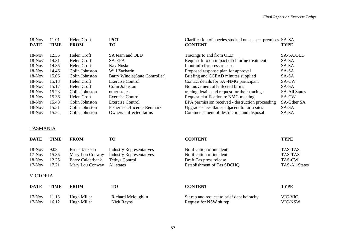| $18-Nov$    | 11.01       | Helen Croft    | <b>IPOT</b>                     | Clarification of species stocked on suspect premises SA-SA |                      |
|-------------|-------------|----------------|---------------------------------|------------------------------------------------------------|----------------------|
| <b>DATE</b> | <b>TIME</b> | <b>FROM</b>    | <b>TO</b>                       | <b>CONTENT</b>                                             | <b>TYPE</b>          |
| $18-Nov$    | 12.35       | Helen Croft    | SA team and QLD                 | Tracings to and from QLD                                   | SA-SA, QLD           |
| $18-Nov$    | 14.31       | Helen Croft    | SA-EPA                          | Request Info on impact of chlorine treatment               | SA-SA                |
| $18-Nov$    | 14.35       | Helen Croft    | Kay Noske                       | Input info for press release                               | SA-SA                |
| $18-Nov$    | 14.46       | Colin Johnston | Will Zacharin                   | Proposed response plan for approval                        | SA-SA                |
| $18-Nov$    | 15.06       | Colin Johnston | Barry Windle (State Controller) | Briefing and CCEAD minutes supplied                        | SA-SA                |
| $18-Nov$    | 15.13       | Helen Croft    | Exercise Control                | Contact details for SA-NMG participant                     | SA-CW                |
| $18-Nov$    | 15.17       | Helen Croft    | Colin Johnston                  | No movement off infected farms                             | SA-SA                |
| $18-Nov$    | 15.23       | Colin Johnston | other states                    | tracing details and request for their tracings             | <b>SA-All States</b> |
| $18-Nov$    | 15.36       | Helen Croft    | Exercise Control                | Request clarification re NMG meeting                       | SA-CW                |
| $18-Nov$    | 15.48       | Colin Johnston | <b>Exercise Control</b>         | EPA permission received - destruction proceeding           | SA-Other SA          |
| $18-Nov$    | 15.51       | Colin Johnston | Fisheries Officers - Renmark    | Upgrade surveillance adjacent to farm sites                | SA-SA                |
| $18-Nov$    | 15.54       | Colin Johnston | Owners - affected farms         | Commencement of destruction and disposal                   | SA-SA                |

#### TASMANIA

<span id="page-56-0"></span>

| <b>DATE</b>     | <b>TIME</b> | <b>FROM</b>             | TO                              | <b>CONTENT</b>                             | <b>TYPE</b>           |
|-----------------|-------------|-------------------------|---------------------------------|--------------------------------------------|-----------------------|
| $18-Nov$        | 9.08        | Bruce Jackson           | <b>Industry Representatives</b> | Notification of incident                   | <b>TAS-TAS</b>        |
| $17-Nov$        | 15.35       | Mary Lou Conway         | <b>Industry Representatives</b> | Notification of incident                   | TAS-TAS               |
| $18-Nov$        | 12.25       | <b>Barry Calderbank</b> | <b>Tethys Control</b>           | Draft Tas press release                    | TAS-CW                |
| $17-Nov$        | 17.21       | Mary Lou Conway         | All states                      | Establishment of Tas SDCHQ                 | <b>TAS-All States</b> |
| <b>VICTORIA</b> |             |                         |                                 |                                            |                       |
| <b>DATE</b>     | <b>TIME</b> | <b>FROM</b>             | <b>TO</b>                       | <b>CONTENT</b>                             | <b>TYPE</b>           |
| $17-Nov$        | 11.13       | Hugh Millar             | Richard Mcloughlin              | Sit rep and request to brief dept heirachy | VIC-VIC               |
| $17-Nov$        | 16.12       | Hugh Millar             | Nick Rayns                      | Request for NSW sit rep                    | VIC-NSW               |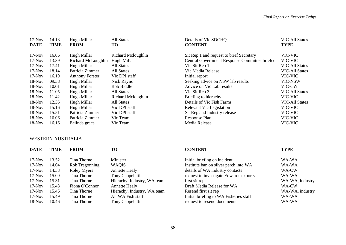| $17-Nov$<br><b>DATE</b> | 14.18<br><b>TIME</b> | Hugh Millar<br><b>FROM</b> | <b>All States</b><br><b>TO</b> | Details of Vic SDCHQ<br><b>CONTENT</b>        | <b>VIC-All States</b><br><b>TYPE</b> |
|-------------------------|----------------------|----------------------------|--------------------------------|-----------------------------------------------|--------------------------------------|
| $17-Nov$                | 16.06                | Hugh Millar                | Richard Mcloughlin             | Sit Rep 1 and request to brief Secretary      | VIC-VIC                              |
| $17-Nov$                | 13.39                | Richard McLoughlin         | Hugh Millar                    | Central Government Response Committee briefed | VIC-VIC                              |
| $17-Nov$                | 17.41                | Hugh Millar                | All States                     | Vic Sit Rep 1                                 | <b>VIC-All States</b>                |
| $17-Nov$                | 18.14                | Patricia Zimmer            | All States                     | Vic Media Release                             | <b>VIC-All States</b>                |
| $17-Nov$                | 16.19                | <b>Anthony Forster</b>     | Vic DPI staff                  | Initial report                                | VIC-VIC                              |
| 18-Nov                  | 09.38                | Hugh Millar                | Nick Rayns                     | Seeking advice on NSW lab results             | VIC-NSW                              |
| $18-Nov$                | 10.01                | Hugh Millar                | <b>Bob Biddle</b>              | Advice on Vic Lab results                     | VIC-CW                               |
| $18-Nov$                | 11.05                | Hugh Millar                | All States                     | Vic Sit Rep 3                                 | VIC-All States                       |
| 18-Nov                  | 11.42                | Hugh Millar                | Richard Mcloughlin             | Briefing to hierachy                          | VIC-VIC                              |
| $18-Nov$                | 12.35                | Hugh Millar                | All States                     | Details of Vic Fish Farms                     | <b>VIC-All States</b>                |
| $18-Nov$                | 15.16                | Hugh Millar                | Vic DPI staff                  | Relevant Vic Legislation                      | VIC-VIC                              |
| $18-Nov$                | 15.51                | Patricia Zimmer            | Vic DPI staff                  | Sit Rep and Industry release                  | VIC-VIC                              |
| $18-Nov$                | 16.06                | Patricia Zimmer            | Vic Team                       | Response Plan                                 | VIC-VIC                              |
| 18-Nov                  | 16.16                | Belinda grace              | Vic Team                       | Media Release                                 | VIC-VIC                              |

#### WESTERN AUSTRALIA

<span id="page-57-0"></span>

| DATE     | <b>TIME</b> | <b>FROM</b>    | TО                          | <b>CONTENT</b>                         | <b>TYPE</b>     |
|----------|-------------|----------------|-----------------------------|----------------------------------------|-----------------|
| $17-Nov$ | 13.52       | Tina Thorne    | Minister                    | Initial briefing on incident           | WA-WA           |
| $17-Nov$ | 14.04       | Rob Tregonning | <b>WAQIS</b>                | Institute ban on silver perch into WA  | WA-WA           |
| $17-Nov$ | 14.33       | Roley Myers    | <b>Annette Healy</b>        | details of WA industry contacts        | WA-CW           |
| $17-Nov$ | 15.09       | Tina Thorne    | Tony Cappelutti             | request to investigate Edwards exports | WA-WA           |
| $17-Nov$ | 15.31       | Tina Thorne    | Hierachy, Industry, WA team | first sit rep                          | WA-WA, industry |
| $17-Nov$ | 15.43       | Fiona O'Connor | <b>Annette Healy</b>        | Draft Media Release for WA             | WA-CW           |
| $17-Nov$ | 15.46       | Tina Thorne    | Hierachy, Industry, WA team | Resend first sit rep                   | WA-WA, industry |
| $17-Nov$ | 15.49       | Tina Thorne    | All WA Fish staff           | Initial briefing to WA Fisheries staff | WA-WA           |
| $18-Nov$ | 10.46       | Tina Thorne    | Tony Cappelutti             | request to resend documents            | WA-WA           |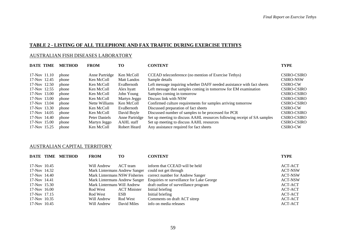### **TABLE 2 - LISTING OF ALL TELEPHONE AND FAX TRAFFIC DURING EXERCISE TETHYS**

#### AUSTRALIAN FISH DISEASES LABORATORY

| <b>DATE TIME</b> | <b>METHOD</b> | <b>FROM</b>    | TO                | <b>CONTENT</b>                                                           | <b>TYPE</b>        |
|------------------|---------------|----------------|-------------------|--------------------------------------------------------------------------|--------------------|
| 17-Nov 11.10     | phone         | Anne Partridge | Ken McColl        | CCEAD teleconference (no mention of Exercise Tethys)                     | <b>CSIRO-CSIRO</b> |
| 17-Nov 12.45     | phone         | Ken McColl     | Matt Landos       | Sample details                                                           | <b>CSIRO-NSW</b>   |
| 17-Nov 12.50     | phone         | Ken McColl     | EvaBernoth        | Left message inquiring whether DAFF needed assistance with fact sheets   | <b>CSIRO-CW</b>    |
| 17-Nov 12.55     | phone         | Ken McColl     | Alex hyatt        | Left message that samples coming in tomorrow for EM examination          | CSIRO-CSIRO        |
| 17-Nov 13.00     | phone         | Ken McColl     | John Young        | Samples coming in tomorrow                                               | <b>CSIRO-CSIRO</b> |
| 17-Nov 13.00     | phone         | Ken McColl     | Martyn Jeggo      | Discuss link with NSW                                                    | CSIRO-CSIRO        |
| 17-Nov 13.04     | phone         | Nette Williams | Ken McColl        | Confirmed culture requirements for samples arriving tomorrow             | <b>CSIRO-CSIRO</b> |
| 17-Nov 13.30     | phone         | Ken McColl     | EvaBernoth        | Discussed preparation of fact sheets                                     | CSIRO-CW           |
| 17-Nov 14.05     | phone         | Ken McColl     | David Boyle       | Discussed number of samples to be processed for PCR                      | <b>CSIRO-CSIRO</b> |
| 17-Nov 14.40     | phone         | Peter Daniels  | Anne Partridge    | Set up meeting to discuss AAHL resources following receipt of SA samples | CSIRO-CSIRO        |
| 17-Nov 15.00     | phone         | Martyn Jeggo   | <b>AAHL</b> staff | Set up meeting to discuss AAHL resources                                 | <b>CSIRO-CSIRO</b> |
| 17-Nov 15.25     | phone         | Ken McColl     | Robert Heard      | Any assistance required for fact sheets                                  | <b>CSIRO-CW</b>    |

#### AUSTRALIAN CAPITAL TERRITORY

<span id="page-58-0"></span>

|              | DATE TIME METHOD | <b>FROM</b>                 | TO                            | <b>CONTENT</b>                            | <b>TYPE</b>    |
|--------------|------------------|-----------------------------|-------------------------------|-------------------------------------------|----------------|
|              |                  |                             |                               |                                           |                |
| 17-Nov 10.45 |                  | Will Andrew                 | ACT team                      | inform that CCEAD will be held            | <b>ACT-ACT</b> |
| 17-Nov 14.32 |                  |                             | Mark Lintermans Andrew Sanger | could not get through                     | <b>ACT-NSW</b> |
| 17-Nov 14.40 |                  |                             | Mark Lintermans NSW Fisheries | correct number for Andrew Sanger          | <b>ACT-NSW</b> |
| 17-Nov 14.41 |                  |                             | Mark Lintermans Andrew Sanger | Enquiries re surveillance for Lake George | <b>ACT-NSW</b> |
| 17-Nov 15.30 |                  | Mark Lintermans Will Andrew |                               | draft outline of surveillance program     | <b>ACT-ACT</b> |
| 17-Nov 16.00 |                  | Rod West                    | <b>ACT Minister</b>           | Initial briefing                          | <b>ACT-ACT</b> |
| 17-Nov 17.15 |                  | Rod West                    | ESB                           | Initial briefing                          | <b>ACT-ACT</b> |
| 17-Nov 10.35 |                  | Will Andrew                 | Rod West                      | Comments on draft ACT sitrep              | ACT-ACT        |
| 17-Nov 10.45 |                  | Will Andrew                 | David Miles                   | info on media releases                    | <b>ACT-ACT</b> |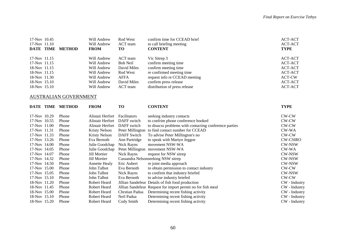| 17-Nov 10.45 |                  | Will Andrew | Rod West    | confirm time for CCEAD brief  | ACT-ACT     |
|--------------|------------------|-------------|-------------|-------------------------------|-------------|
| 17-Nov 11.10 |                  | Will Andrew | ACT team    | to call briefing meeting      | ACT-ACT     |
|              | DATE TIME METHOD | <b>FROM</b> | TO          | <b>CONTENT</b>                | <b>TYPE</b> |
| 17-Nov 11.15 |                  | Will Andrew | ACT team    | Vic Sitrep 3                  | ACT-ACT     |
| 17-Nov 11.15 |                  | Will Andrew | Bob Neil    | confirm meeting time          | ACT-ACT     |
| 18-Nov 11.15 |                  | Will Andrew | David Miles | confirm meeting time          | ACT-ACT     |
| 18-Nov 11.15 |                  | Will Andrew | Rod West    | re confirmed meeting time     | ACT-ACT     |
| 18-Nov 11.30 |                  | Will Andrew | AFFA        | request info re CCEAD meeting | ACT-CW      |
| 18-Nov 15.10 |                  | Will Andrew | David Miles | confirm press release         | ACT-ACT     |
| 18-Nov 15.10 |                  | Will Andrew | ACT team    | distribution of press release | ACT-ACT     |

#### AUSTRALIAN GOVERNMENT

<span id="page-59-0"></span>

| DATE TIME    | <b>METHOD</b> | <b>FROM</b>          | <b>TO</b>           | <b>CONTENT</b>                                               | <b>TYPE</b>     |
|--------------|---------------|----------------------|---------------------|--------------------------------------------------------------|-----------------|
| 17-Nov 10.29 | Phone         | Alistair Herfort     | <b>Facilitators</b> | seeking industry contacts                                    | CW-CW           |
| 17-Nov 10.55 | Phone         | Alistair Herfort     | DAFF switch         | to confrim phone conference booked                           | CW-CW           |
| 17-Nov 11.00 | Phone         | Alistair Herfort     | DAFF switch         | to disucss problems with contacting conference parties       | CW-CW           |
| 17-Nov 11.31 | Phone         | Kristy Nelson        |                     | Peter Millington to find contact number for CCEAD            | CW-WA           |
| 17-Nov 11.33 | Phone         | Kristy Nelson        | <b>DAFF</b> Switch  | To advise Peter Millington's no                              | CW-CW           |
| 17-Nov 13.26 | Phone         | Eva Bernoth          | Ann Partridge       | to speak with Martyn Jeggoe                                  | <b>CW-CSIRO</b> |
| 17-Nov 14.00 | Phone         | Julie Goodchap       | Nick Rayns          | movement NSW-WA                                              | <b>CW-NSW</b>   |
| 17-Nov 14.05 | Phone         | Julie Goodchap       |                     | Peter Millington movement NSW-WA                             | CW-WA           |
| 17-Nov 14.07 | Phone         | Jill Mortier         | Nick Rayns          | request for NSW sitrep                                       | <b>CW-NSW</b>   |
| 17-Nov 14.32 | Phone         | Jill Mortier         |                     | Cassandra Nelsonseeking NSW sitrep                           | <b>CW-NSW</b>   |
| 17-Nov 14.50 | Phone         | <b>Annette Healy</b> | Eric Aubert         | re joint media approach                                      | <b>CW-NSW</b>   |
| 17-Nov 15.00 | Phone         | John Talbot          | Eva Bernoth         | to obtain permission to contact industry                     | CW-CW           |
| 17-Nov 15.05 | Phone         | John Talbot          | Nick Rayns          | to confirm that industry briefed                             | CW-NSW          |
| 17-Nov 15.10 | Phone         | John Talbot          | Eva Bernoth         | to advise industry briefed                                   | CW-CW           |
| 18-Nov 11.20 | Phone         | Robert Heard         |                     | Jillian Sandefeur Details of fish food production            | CW - Industry   |
| 18-Nov 11.45 | Phone         | Robert Heard         |                     | Jillian Sandefeur Request for import permit no for fish meal | CW - Industry   |
| 18-Nov 15.00 | Phone         | Robert Heard         | Chrstian Padua      | Determining recent fishing activity                          | CW - Industry   |
| 18-Nov 15.10 | Phone         | Robert Heard         | Neil Padua          | Determining recent fishing activity                          | CW - Industry   |
| 18-Nov 15.20 | Phone         | Robert Heard         | Cody Smith          | Determining recent fishing activity                          | CW - Industry   |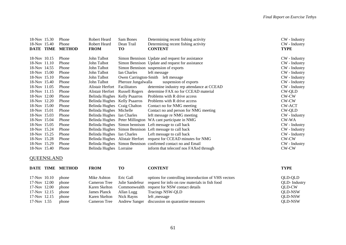| 18-Nov 15.30 | Phone         | Robert Heard                    | Sam Bones             | Determining recent fishing activity                          | CW - Industry |
|--------------|---------------|---------------------------------|-----------------------|--------------------------------------------------------------|---------------|
| 18-Nov 15.40 | Phone         | Robert Heard                    | Dean Trail            | Determining recent fishing activity                          | CW - Industry |
| DATE TIME    | <b>METHOD</b> | <b>FROM</b>                     | TО                    | <b>CONTENT</b>                                               | <b>TYPE</b>   |
|              |               |                                 |                       |                                                              |               |
| 18-Nov 10.15 | Phone         | John Talbot                     |                       | Simon Bennison Update and request for assistance             | CW - Industry |
| 18-Nov 11.10 | Phone         | John Talbot                     |                       | Simon Bennison Update and request for assistance             | CW - Industry |
| 18-Nov 14.55 | Phone         | John Talbot                     |                       | Simon Bennison suspension of exports                         | CW - Industry |
| 18-Nov 15.00 | Phone         | John Talbot                     | Ian Charles           | left message                                                 | CW - Industry |
| 18-Nov 15.10 | Phone         | John Talbot                     | Owen Carrington-Smith | left message                                                 | CW - Industry |
| 18-Nov 15.40 | Phone         | John Talbot                     | Pheroze Jungalwalla   | suspension of exports                                        | CW - Industry |
| 18-Nov 11.05 | Phone         | Alistair Herfort                | Facilitators          | determine industry rep attendance at CCEAD                   | CW - Industry |
| 18-Nov 11.15 | Phone         | Alistair Herfort                | <b>Russell Rogers</b> | determine FAX no for CCEAD material                          | CW-QLD        |
| 18-Nov 12.00 | Phone         | Belinda Hughes                  | Kelly Psaarros        | Problems with R drive access                                 | CW-CW         |
| 18-Nov 12.20 | Phone         | Belinda Hughes                  | <b>Kelly Psaarros</b> | Problems with R drive access                                 | CW-CW         |
| 18-Nov 15.00 | Phone         | Belinda Hughes Craig Chalton    |                       | Contact no for NMG meeting                                   | CW-ACT        |
| 18-Nov 15.01 | Phone         | Belinda Hughes Michelle         |                       | Contact no and person for NMG meeting                        | CW-QLD        |
| 18-Nov 15.03 | Phone         | Belinda Hughes Ian Charles      |                       | left message re NMG meeting                                  | CW - Industry |
| 18-Nov 15.04 | Phone         |                                 |                       | Belinda Hughes Peter Millington WA cant participate in NMG   | CW-WA         |
| 18-Nov 15.05 | Phone         |                                 |                       | Belinda Hughes Simon bennison Left message to call back      | CW - Industry |
| 18-Nov 15.24 | Phone         |                                 |                       | Belinda Hughes Simon Bennison Left message to call back      | CW - Industry |
| 18-Nov 15.25 | Phone         | Belinda Hughes Ian Charles      |                       | Left message to call back                                    | CW - Industry |
| 18-Nov 15.28 | Phone         | Belinda Hughes Alistair Herfort |                       | request for CCEAD minutes for NMG                            | CW-CW         |
| 18-Nov 15.29 | Phone         |                                 |                       | Belinda Hughes Simon Bennison confirmed contact no and Email | CW - Industry |
| 18-Nov 15.40 | Phone         | Belinda Hughes Lorraine         |                       | inform that teleconf nos FAXed through                       | CW-CW         |

### **QUEENSLAND**

<span id="page-60-0"></span>

|              | DATE TIME METHOD | <b>FROM</b>   | <b>TO</b>  | <b>CONTENT</b>                                                 | <b>TYPE</b>    |
|--------------|------------------|---------------|------------|----------------------------------------------------------------|----------------|
| 17-Nov 10.10 | phone            | Mike Ashton   | Eric Gall  | options for controlling intoroduction of VHS vectors           | QLD-QLD        |
| 17-Nov 12.00 | phone            | Cameron Tree  |            | Julie Sandefeur request for info on raw materials in fish food | QLD-Industry   |
| 17-Nov 12.00 | phone            | Karen Skelton |            | Commonwealth request for NSW contact details                   | OLD-CW         |
| 17-Nov 12.15 | phone            | James Planck  | Allan Lugg | Tracings NSW-QLD                                               | <b>OLD-NSW</b> |
| 17-Nov 12.15 | phone            | Karen Skelton | Nick Rayns | left, message                                                  | <b>OLD-NSW</b> |
| 17-Nov 1.55  | phone            | Cameron Tree  |            | Andrew Sanger discussion on quarantine measures                | <b>OLD-NSW</b> |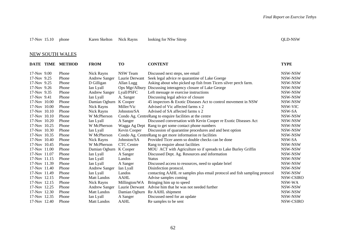17-Nov 15.10 phone Karen Skelton Nick Rayns looking for NSw Sitrep QLD-NSW QUD-NSW

#### NEW SOUTH WALES

<span id="page-61-0"></span>

|               | DATE TIME METHOD | <b>FROM</b>            | <b>TO</b>         | <b>CONTENT</b>                                                            | <b>TYPE</b> |
|---------------|------------------|------------------------|-------------------|---------------------------------------------------------------------------|-------------|
| $17-Nov$ 9.00 | Phone            | Nick Rayns             | <b>NSW Team</b>   | Discussed next steps, see email                                           | NSW-NSW     |
| 17-Nov 9.25   | Phone            | <b>Andrew Sanger</b>   | Laurie Derwant    | Seek legal advice re quarantine of Lake Goerge                            | NSW-NSW     |
| 17-Nov 9.25   | Phone            | D Gilligan             | Allan Lugg        | Asking about who picked up fish from Ticers silver perch farm.            | NSW-NSW     |
| 17-Nov 9.26   | Phone            | Ian Lyall              | Ops Mgr/Albury    | Discussing interagency closure of Lake George                             | NSW-NSW     |
| 17-Nov 9.35   | Phone            | <b>Andrew Sanger</b>   | Lyall/PSFC        | Left message re exercise instructions                                     | NSW-NSW     |
| 17-Nov 9.41   | Phone            | Ian Lyall              | A. Sanger         | Discussing legal advice of closure                                        | NSW-NSW     |
| 17-Nov 10.00  | Phone            | Damian Ogburn K Cooper |                   | 45 inspectors & Exotic Diseases Act to control movement in NSW            | NSW-NSW     |
| 17-Nov 10.00  | Phone            | Nick Rayns             | Miller/Vic        | Advised of Vic affected farms x 2                                         | NSW-VIC     |
| 17-Nov 10.10  | Phone            | Nick Rayns             | Johnston/SA       | Advised of SA affected farms x 2                                          | NSW-SA      |
| 17-Nov 10.10  | Phone            | W McPherson            |                   | Condo Ag. CentreRang to enquire facilities at the centre                  | NSW-NSW     |
| 17-Nov 10.20  | Phone            | Ian Lyall              | A Sanger          | Discussed conversation with Kevin Cooper re Exotic Diseases Act           | NSW-NSW     |
| 17-Nov 10.25  | Phone            | W McPherson            | Wagga Ag Dept     | Rang to get some contact phone numbers                                    | NSW-NSW     |
| 17-Nov 10.30  | Phone            | Ian Lyall              | Kevin Cooper      | Discussion of quarantine procedures and and best option                   | NSW-NSW     |
| 17-Nov 10.35  | Phone            | W McPherson            |                   | Condo Ag. CentreRang to get more information re facilities                | NSW-NSW     |
| 17-Nov 10.40  | Phone            | Nick Rayns             | Johnston/SA       | Provided Ticer anem so double checks can be done                          | NSW-SA      |
| 17-Nov 10.45  | Phone            | W McPherson            | <b>CTC</b> Centre | Rang to enquire about facilities                                          | NSW-NSW     |
| 17-Nov 11.00  | Phone            | Damian Ogburn          | K Cooper          | MOU ACT with Agriculture so if spreads to Lake Burley Griffin             | NSW-NSW     |
| 17-Nov 11.07  | Phone            | Ian Lyall              | A Sanger          | Discussed Dept. Ag. Resources and information                             | NSW-NSW     |
| 17-Nov 11.15  | Phone            | Ian Lyall              | Landos            | <b>Status</b>                                                             | NSW-NSW     |
| 17-Nov 11.39  | Phone            | Ian Lyall              | A Sanger          | Discussed access to resources, need to update brief                       | NSW-NSW     |
| 17-Nov 11.40  | Phone            | <b>Andrew Sanger</b>   | Ian Lyall         | Disinfection protocol.                                                    | NSW-NSW     |
| 17-Nov 11.49  | Phone            | Ian Lyall              | Landos            | contacting AAHL re samples plus email protocol and fish sampling protocol | NSW-NSW     |
| 17-Nov 12.15  | Phone            | <b>Matt Landos</b>     | <b>AAHL</b>       | Advise samples coming                                                     | NSW-CSIRO   |
| 17-Nov 12.15  | Phone            | Nick Rayns             | Millington/WA     | Bringing him up to speed                                                  | NSW-WA      |
| 17-Nov 12.25  | Phone            | <b>Andrew Sanger</b>   | Laurie Derwant    | Advise him that he was not needed further                                 | NSW-NSW     |
| 17-Nov 12.30  | Phone            | <b>Matt Landos</b>     | Damian Ogburn     | Re AAHL shipment                                                          | NSW-NSW     |
| 17-Nov 12.35  | Phone            | Ian Lyall              | A Sanger          | Discussed need for an update                                              | NSW-NSW     |
| 17-Nov 12.40  | Phone            | <b>Matt Landos</b>     | <b>AAHL</b>       | Re samples to be sent                                                     | NSW-CSIRO   |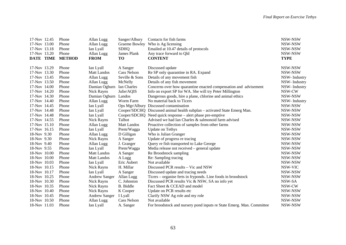| 17-Nov 12.45 | Phone            | Allan Lugg                | Sanger/Albury      | Contacts for fish farms                                                   | NSW-NSW        |
|--------------|------------------|---------------------------|--------------------|---------------------------------------------------------------------------|----------------|
| 17-Nov 13.00 | Phone            | Allan Lugg                | Graeme Bowley      | Who is Ag licensing                                                       | NSW-NSW        |
| 17-Nov 13.18 | Phone            | Ian Lyall                 | <b>SDHQ</b>        | Emailed at 10.47 details of protocols                                     | NSW-NSW        |
| 17-Nov 13.20 | Phone            | Allan Lugg                | James Plank        | Any trace forward to Qld                                                  | NSW-NSW        |
|              | DATE TIME METHOD | <b>FROM</b>               | <b>TO</b>          | <b>CONTENT</b>                                                            | <b>TYPE</b>    |
| 17-Nov 13.29 | Phone            | Ian Lyall                 | A Sanger           | Discussed update                                                          | NSW-NSW        |
| 17-Nov 13.30 | Phone            | <b>Matt Landos</b>        | Cass Nelson        | Re SP only quarantine in RA. Expand                                       | NSW-NSW        |
| 17-Nov 13.45 | Phone            | Allan Lugg                | Seville & Sons     | Details of any movement fish                                              | NSW-Industry   |
| 17-Nov 13.50 | Phone            | Allan Lugg                | McNelly            | Details of any fish movement                                              | NSW-Industry   |
| 17-Nov 14.00 | Phone            | Damian Ogburn Ian Charles |                    | Concerns over how quarantine enacted compensation and advisement          | NSW-Industry   |
| 17-Nov 14.20 | Phone            | Nick Rayns                | Julie/AQIS         | Info on export SP for WA. She will try Peter Millington                   | NSW-CW         |
| 17-Nov 14.30 | Phone            | Damian Ogburn Landos      |                    | Dangerous goods, hire a plane, chlorine and animal ethics                 | NSW-NSW        |
| 17-Nov 14.40 | Phone            | Allan Lugg                | Worm Farm          | No material back to Ticers                                                | NSW-Industry   |
| 17-Nov 14.45 | Phone            | Ian Lyall                 |                    | Ops Mgr/Albury Discussed contamination                                    | NSW-NSW        |
| 17-Nov 14.48 | Phone            | Ian Lyall                 |                    | Cooper/SDCHQ Discussed animal health subplan - activated State Emerg Man. | NSW-NSW        |
| 17-Nov 14.48 | Phone            | Ian Lyall                 |                    | Cooper/SDCHQ Need quick response – alert phase pre-emptive                | NSW-NSW        |
| 17-Nov 14.55 | Phone            | Nick Rayns                | Talbot             | Advised we had Ian Charles & salmonoid farm advised                       | NSW-NSW        |
| 17-Nov 15.10 | Phone            | Allan Lugg                | <b>Matt Landos</b> | Proactive collection of samples from other farms                          | NSW-NSW        |
| 17-Nov 16.15 | Phone            | Ian Lyall                 | Prem/Wagga         | <b>Update on Tethys</b>                                                   | NSW-NSW        |
| 18-Nov 9.30  | Phone            | Allan Lugg                | D Gilligan         | Who is Julian Granger                                                     | NSW-NSW        |
| 18-Nov 9.30  | Phone            | Nick Rayns                | A Sanger           | Update of progress re tracing                                             | NSW-NSW        |
| 18-Nov 9.40  | Phone            | Allan Lugg                | J. Granger         | Query re fish transported to Lake George                                  | NSW-NSW        |
| 18-Nov 9.55  | Phone            | Ian Lyall                 | Prem/Wagga         | Media release not received – general update                               | NSW-NSW        |
| 18-Nov 10.00 | Phone            | <b>Matt Landos</b>        | A Sanger           | Re Broodstock sampling                                                    | NSW-NSW        |
| 18-Nov 10.00 | Phone            | <b>Matt Landos</b>        | A Lugg             | Re: Sampling tracing                                                      | NSW-NSW        |
| 18-Nov 10.03 | Phone            | Ian Lyall                 | Eric Aubert        | Not available                                                             | NSW-NSW        |
| 18-Nov 10.15 | Phone            | Nick Rayns                | H. Millar          | Discussed PCR results - Vic and NSW                                       | NSW-VIC        |
| 18-Nov 10.17 | Phone            | Ian Lyall                 | A Sanger           | Discussed update and tracing needs                                        | NSW-NSW        |
| 18-Nov 10.25 | Phone            | <b>Andrew Sanger</b>      | Allan Lugg         | Ticers – organise ferts in fryponds. Line foods in broodstock             | NSW-NSW        |
| 18-Nov 10.30 | Phone            | Nick Rayns                | C. Johnston        | Discussed PCR results Vic & NSW, SA no info yet                           | NSW-SA         |
| 18-Nov 10.35 | Phone            | <b>Nick Rayns</b>         | <b>B.</b> Biddle   | Fact Sheet & CCEAD and model                                              | NSW-CW         |
| 18-Nov 10.40 | Phone            | Nick Rayns                | K Cooper           | Update on PCR results etc                                                 | NSW-NSW        |
| 18-Nov 10.45 | Phone            | <b>Andrew Sanger</b>      | I Lyall            | Clarify NSW Ag role and my role                                           | NSW-NSW        |
| 18-Nov 10.50 | Phone            | Allan Lugg                | Cass Nelson        | Not available                                                             | NSW-NSW        |
| 18-Nov 11.03 | Phone            | Ian Lyall                 | A. Sanger          | For broodstock and nursery pond inputs re State Emerg. Man. Committee     | <b>NSW-NSW</b> |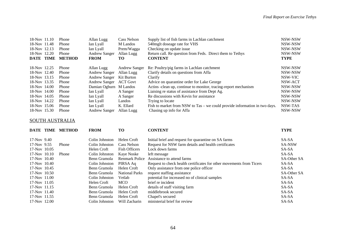| 18-Nov 11.10   | Phone         | Allan Lugg             | Cass Nelson          | Supply list of fish farms in Lachlan catchment                             | NSW-NSW     |
|----------------|---------------|------------------------|----------------------|----------------------------------------------------------------------------|-------------|
| 18-Nov 11.48   | Phone         | Ian Lyall              | M Landos             | 540mglt doseage rate for VHS                                               | NSW-NSW     |
| 18-Nov 12.13   | Phone         | Ian Lyall              | Prem/Wagga           | Checking on update issue                                                   | NSW-NSW     |
| 18-Nov 12.20   | <b>Phone</b>  | <b>Andrew Sanger</b>   | Allan Lugg           | Return call. Re question from Feds. Direct them to Tethys                  | NSW-NSW     |
| DATE TIME      | <b>METHOD</b> | <b>FROM</b>            | TO                   | <b>CONTENT</b>                                                             | <b>TYPE</b> |
| 18-Nov 12.25   | <b>Phone</b>  | Allan Lugg             | <b>Andrew Sanger</b> | Re: Poultry/pig farms in Lachlan catchment                                 | NSW-NSW     |
|                |               |                        |                      |                                                                            |             |
| $18-Nov$ 12.40 | <b>Phone</b>  | <b>Andrew Sanger</b>   | Allan Lugg           | Clarify details on questions from Affa                                     | NSW-NSW     |
| 18-Nov 13.15   | <b>Phone</b>  | <b>Andrew Sanger</b>   | Kit Burton           | Clarify                                                                    | NSW-VIC     |
| 18-Nov 13.35   | Phone         | <b>Andrew Sanger</b>   | <b>ACT Govt</b>      | Advice on quarantine order for Lake George                                 | NSW-ACT     |
| 18-Nov 14.00   | Phone         | Damian Ogburn M Landos |                      | Actins -clean up, continue to monitor, tracing-report mechanism            | NSW-NSW     |
| 18-Nov 14.00   | <b>Phone</b>  | Ian Lyall              | A Sanger             | Liaising re status of assistance from Dept Ag.                             | NSW-NSW     |
| 18-Nov 14.05   | Phone         | Ian Lyall              | A Sanger             | Re discussions with Kevin for assistance                                   | NSW-NSW     |
| 18-Nov 14.22   | Phone         | Ian Lyall              | Landos               | Trying to locate                                                           | NSW-NSW     |
| 18-Nov 15.06   | <b>Phone</b>  | Ian Lyall              | K. Ellard            | Fish to market from NSW to Tas – we could provide information in two days. | NSW-TAS     |
| 18-Nov 15.30   | Phone         | <b>Andrew Sanger</b>   | Allan Lugg           | Chasing up info for Affa                                                   | NSW-NSW     |

#### SOUTH AUSTRALIA

<span id="page-63-0"></span>

|                  | DATE TIME | <b>METHOD</b> | <b>FROM</b>    | TО                    | <b>CONTENT</b>                                                       | <b>TYPE</b>   |
|------------------|-----------|---------------|----------------|-----------------------|----------------------------------------------------------------------|---------------|
| $17-Nov$ 9.40    |           |               | Colin Johnston | Helen Croft           | Initial brief and request for quarantine on SA farms                 | SA-SA         |
| 17-Nov 9.55      |           | Phone         | Colin Johnston | Cass Nelson           | Request for NSW farm details and health certificates                 | <b>SA-NSW</b> |
| 17-Nov 10.05     |           |               | Helen Croft    | <b>Fish Officers</b>  | Lock down farms                                                      | SA-SA         |
| 17-Nov 10.10     |           | Phone         | Colin Johnston | Kaye Noske            | left message                                                         | SA-SA         |
| 17-Nov 10.40     |           |               | Benn Gramola   | <b>Renmark Police</b> | Assistance to attend farms                                           | SA-Other SA   |
| 17-Nov 10.40     |           |               | Colin Johnston | PIRSA Aq              | Request to check health certificates for other movements from Ticers | SA-SA         |
| 17-Nov 10.45     |           |               | Benn Gramola   | Helen Croft           | Only assistance from one police officer                              | SA-SA         |
| $17-Nov$ $10.50$ |           |               | Benn Gramola   | <b>National Parks</b> | request staffing assistance                                          | SA-Other SA   |
| 17-Nov 11.00     |           |               | Colin Johnston | Vetlab                | potential for increased no of clinical samples                       | SA-SA         |
| 17-Nov 11.05     |           |               | Helen Croft    | MCO                   | brief re incident                                                    | SA-SA         |
| 17-Nov 11.15     |           |               | Benn Gramola   | Helen Croft           | details of staff visiting farm                                       | SA-SA         |
| 17-Nov 11.40     |           |               | Benn Gramola   | Helen Croft           | middlebrook secured                                                  | SA-SA         |
| 17-Nov 11.55     |           |               | Benn Gramola   | Helen Croft           | Chapel's secured                                                     | SA-SA         |
| 17-Nov 12.00     |           |               | Colin Johnston | Will Zacharin         | ministerial brief for review                                         | SA-SA         |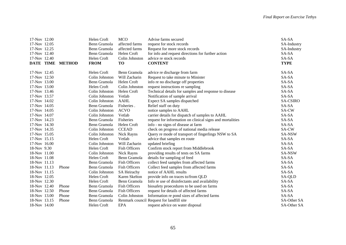| 17-Nov 12.00 |                  | Helen Croft    | <b>MCO</b>           | Advise farms secured                                      | SA-SA              |
|--------------|------------------|----------------|----------------------|-----------------------------------------------------------|--------------------|
| 17-Nov 12.05 |                  | Benn Gramola   | affected farms       | request for stock records                                 | SA-Industry        |
| 17-Nov 12.25 |                  | Benn Gramola   | affected farms       | Request for more stock records                            | <b>SA-Industry</b> |
| 17-Nov 12.40 |                  | Benn Gramola   | Helen Croft          | for info and request directions for further action        | SA-SA              |
| 17-Nov 12.40 |                  | Helen Croft    | Colin Johnston       | advice re stock records                                   | SA-SA              |
|              | DATE TIME METHOD | <b>FROM</b>    | <b>TO</b>            | <b>CONTENT</b>                                            | <b>TYPE</b>        |
| 17-Nov 12.45 |                  | Helen Croft    | Benn Gramola         | advice re discharge from farm                             | SA-SA              |
| 17-Nov 12.50 |                  | Colin Johnston | Will Zacharin        | Request to take minute to Minister                        | SA-SA              |
| 17-Nov 13.00 |                  | Benn Gramola   | Helen Croft          | info re no discharge off properties                       | SA-SA              |
| 17-Nov 13.00 |                  | Helen Croft    | Colin Johnston       | request instructions re sampling                          | SA-SA              |
| 17-Nov 13.46 |                  | Colin Johnston | Helen Croft          | Technical details for samples and response to disease     | SA-SA              |
| 17-Nov 13.57 |                  | Colin Johnston | Vetlab               | Notification of sample arrival                            | SA-SA              |
| 17-Nov 14.02 |                  | Colin Johnston | <b>AAHL</b>          | Expect SA samples dispatched                              | <b>SA-CSIRO</b>    |
| 17-Nov 14.05 |                  | Benn Gramola   | Fisheries.           | Relief staff on duty                                      | SA-SA              |
| 17-Nov 14.05 |                  | Colin Johnston | <b>ACVO</b>          | notice samples to AAHL                                    | SA-CW              |
| 17-Nov 14.07 |                  | Colin Johnston | Vetlab               | carrier details for dispatch of samples to AAHL           | SA-SA              |
| 17-Nov 14.23 |                  | Benn Gramola   | Fisheries            | request for information on clinical signs and mortalities | SA-SA              |
| 17-Nov 14.30 |                  | Benn Gramola   | Helen Croft          | info - no signs of disease at farm                        | SA-SA              |
| 17-Nov 14.35 |                  | Colin Johnston | <b>CCEAD</b>         | check on progress of national media release               | SA-CW              |
| 17-Nov 15.05 |                  | Colin Johnston | <b>Nick Rayns</b>    | Query re mode of transport of fingerlings NSW to SA       | SA-NSW             |
| 17-Nov 15.15 |                  | Helen Croft    | Vetlab               | advice that samples en route                              | SA-SA              |
| 17-Nov 16.00 |                  | Colin Johnston | Will Zacharin        | updated briefing                                          | SA-SA              |
| 18-Nov 9.30  |                  | Helen Croft    | Fish Officers        | Confirm stock report from Middlebrook                     | SA-SA              |
| 18-Nov 11.00 |                  | Colin Johnston | Nick Rayns           | providing results of tests on SA farms                    | SA-NSW             |
| 18-Nov 11.08 |                  | Helen Croft    | Benn Gramola         | details for sampling of feed                              | SA-SA              |
| 18-Nov 11.13 |                  | Benn Gramola   | <b>Fish Officers</b> | collect feed samples from affected farms                  | SA-SA              |
| 18-Nov 11.13 | Phone            | Benn Gramola   | <b>Fish Officers</b> | Collect feed samples from affected farms                  | SA-SA              |
| 18-Nov 11.15 |                  | Colin Johnston | SA Heirachy          | notice of AAHL results                                    | SA-SA              |
| 18-Nov 12.05 |                  | Helen Croft    | <b>Karen Skelton</b> | provide info on traces to/from QLD                        | SA-QLD             |
| 18-Nov 12.30 |                  | Helen Croft    | Benn Gramola         | Info re use of disinfectants and availability             | SA-SA              |
| 18-Nov 12.40 | Phone            | Benn Gramola   | Fish Officers        | biosafety proecedures to be used on farms                 | SA-SA              |
| 18-Nov 12.50 | Phone            | Benn Gramola   | <b>Fish Officers</b> | request for details of affected farms                     | SA-SA              |
| 18-Nov 13.00 | Phone            | Benn Gramola   | Colin Johnston       | Information re pond sizes of affected farms               | SA-SA              |
| 18-Nov 13.15 | Phone            | Benn Gramola   |                      | Renmark council Request for landfill site                 | SA-Other SA        |
| 18-Nov 14.00 |                  | Helen Croft    | EPA                  | request advice on water disposal                          | SA-Other SA        |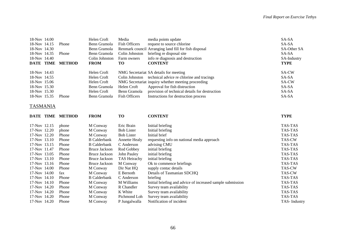| 18-Nov 14.00 |               | Helen Croft    | Media                | media points update                                      | SA-SA       |
|--------------|---------------|----------------|----------------------|----------------------------------------------------------|-------------|
| 18-Nov 14.15 | Phone         | Benn Gramola   | <b>Fish Officers</b> | request to source chlorine                               | SA-SA       |
| 18-Nov 14.30 |               | Benn Gramola   |                      | Renmark council Arranging land fill for fish disposal    | SA-Other SA |
| 18-Nov 14.35 | Phone         | Benn Gramola   | Colin Johnston       | briefing re disposal site                                | SA-SA       |
| 18-Nov 14.40 |               | Colin Johnston | Farm owners          | info re diagnosis and destruction                        | SA-Industry |
| DATE TIME    | <b>METHOD</b> | <b>FROM</b>    | TO.                  | <b>CONTENT</b>                                           | <b>TYPE</b> |
|              |               |                |                      |                                                          |             |
|              |               |                |                      |                                                          |             |
| 18-Nov 14.43 |               | Helen Croft    |                      | NMG Secretariat SA details for meeting                   | SA-CW       |
| 18-Nov 14.55 |               | Helen Croft    |                      | Colin Johnston technical advice re chlorine and tracings | SA-SA       |
| 18-Nov 15.06 |               | Helen Croft    |                      | NMG Secretariat inquiry whether meeting proceeding       | SA-CW       |
| 18-Nov 15.30 |               | Benn Gramola   | Helen Croft          | Approval for fish distruction                            | SA-SA       |
| 18-Nov 15.30 |               | Helen Croft    | Benn Gramola         | provision of technical details for destruction           | SA-SA       |

#### TASMANIA

<span id="page-65-0"></span>

| DATE TIME    | <b>METHOD</b> | <b>FROM</b>          | TО                   | <b>CONTENT</b>                                             | <b>TYPE</b>    |
|--------------|---------------|----------------------|----------------------|------------------------------------------------------------|----------------|
| 17-Nov 12.15 | phone         | M Conway             | Eric Brain           | Initial briefing                                           | TAS-TAS        |
| 17-Nov 12.20 | phone         | M Conway             | <b>Bob Lister</b>    | Initial briefing                                           | TAS-TAS        |
| 17-Nov 12.20 | Phone         | M Conway             | <b>Bob Lister</b>    | Initial brief                                              | <b>TAS-TAS</b> |
| 17-Nov 13.10 | <b>Phone</b>  | <b>B</b> Calderbank  | <b>Annette Healy</b> | requesting info on national media approach                 | <b>TAS-CW</b>  |
| 17-Nov 13.15 | Phone         | <b>B</b> Calderbank  | C Anderson           | advising CMU                                               | TAS-TAS        |
| 17-Nov 11.47 | Phone         | Bruce Jackson        | Rod Gobbey           | initial briefing                                           | <b>TAS-TAS</b> |
| 17-Nov 13.05 | Phone         | Bruce Jackson        | John Pauley          | initial briefing                                           | TAS-TAS        |
| 17-Nov 13.10 | Phone         | Bruce Jackson        | TAS Heirachy         | initial briefing                                           | TAS-TAS        |
| 17-Nov 13.16 | Phone         | <b>Bruce Jackson</b> | M Conway             | Ok to commence briefings                                   | TAS-TAS        |
| 17-Nov 14.00 | Phone         | M Conway             | Dir Nat HQ           | supply contac details                                      | <b>TAS-CW</b>  |
| 17-Nov 14.00 | fax           | M Conway             | E Bernoth            | Details of Tasmanian SDCHO                                 | <b>TAS-CW</b>  |
| 17-Nov 14.10 | Phone         | <b>B</b> Calderbank  | C Anderson           | briefing                                                   | TAS-TAS        |
| 17-Nov 14.10 | Phone         | M Conway             | M Williams           | Initial briefing and advice of increased sample submission | TAS-TAS        |
| 17-Nov 14.20 | Phone         | M Conway             | R Chandler           | Survey team availability                                   | TAS-TAS        |
| 17-Nov 14.20 | <b>Phone</b>  | M Conway             | K White              | Survey team availability                                   | TAS-TAS        |
| 17-Nov 14.20 | Phone         | M Conway             | Pichmond Loh         | Survey team availability                                   | TAS-TAS        |
| 17-Nov 14.20 | <b>Phone</b>  | M Conway             | P Jungalwalla        | Notification of incident                                   | TAS-Industry   |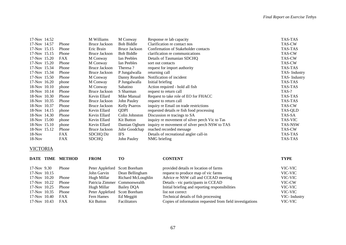| 17-Nov 14.52 |            | M Williams           | M Conway             | Response re lab capacity                       | TAS-TAS        |
|--------------|------------|----------------------|----------------------|------------------------------------------------|----------------|
| 17-Nov 14.57 | Phone      | <b>Bruce Jackson</b> | Bob Biddle           | Clarification re contact nos                   | TAS-CW         |
| 17-Nov 15.15 | Phone      | Eric Brain           | <b>Bruce Jackson</b> | Confirmation of Stakeholder contacts           | TAS-TAS        |
| 17-Nov 15.15 | Phone      | Bruce Jackson        | Bob Biddle           | clarification re communications                | TAS-CW         |
| 17-Nov 15.20 | <b>FAX</b> | M Conway             | Ian Peebles          | Details of Tasmanian SDCHQ                     | TAS-CW         |
| 17-Nov 15.20 | Phone      | M Conway             | Ian Peebles          | sort out contacts                              | TAS-CW         |
| 17-Nov 15.34 | Phone      | <b>Bruce Jackson</b> | Theresa?             | request for import authority                   | TAS-TAS        |
| 17-Nov 15.34 | Phone      | <b>Bruce Jackson</b> | P Jungalwalla        | returning call                                 | TAS-Industry   |
| 17-Nov 15.50 | Phone      | M Conway             | Danny Reardon        | Notification of incident                       | TAS-Industry   |
| 17-Nov 16.20 | phone      | M Conway             | P Jungalwalla        | Initial briefing                               | TAS-TAS        |
| 18-Nov 10.10 | phone      | M Conway             | Sabatino             | Action required - hold all fish                | TAS-TAS        |
| 18-Nov 10.14 | Phone      | Bruce Jackson        | S Sharman            | request to return call                         | TAS-?          |
| 18-Nov 10.30 | Phone      | Kevin Ellard         | Mike Manual          | Request to take role of EO for FHACC           | TAS-TAS        |
| 18-Nov 10.35 | Phone      | <b>Bruce Jackson</b> | John Pauley          | request to return call                         | TAS-TAS        |
| 18-Nov 10.37 | Phone      | <b>Bruce Jackson</b> | <b>Kelly Psarros</b> | inquiry re Email on trade restrictions         | TAS-CW         |
| 18-Nov 14.15 | phone      | Kevin Ellard         | <b>QDPI</b>          | requested details re fish food processing      | TAS-QLD        |
| 18-Nov 14.30 | Phone      | Kevin Ellard         | Colin Johnston       | Discussion re tracings to SA                   | TAS-SA         |
| 18-Nov 15.00 | phone      | Kevin Ellard         | Kit Button           | inquiry re movement of silver perch Vic to Tas | <b>TAS-VIC</b> |
| 18-Nov 15.10 | phone      | Kevin Ellard         | Damian Ogburn        | inquiry re movement of silver perch NSW to TAS | <b>TAS-NSW</b> |
| 18-Nov 15.12 | Phone      | <b>Bruce Jackson</b> | Julie Goodchap       | reached recorded message                       | TAS-CW         |
| $18-Nov$     | <b>FAX</b> | <b>SDCHQ Dir</b>     | <b>IFS</b>           | Details of recreational angler call-in         | TAS-TAS        |
| $18-Nov$     | <b>FAX</b> | <b>SDCHQ</b>         | John Pauley          | NMG briefing                                   | TAS-TAS        |

#### VICTORIA

<span id="page-66-0"></span>

|              | DATE TIME METHOD | <b>FROM</b>                   | TO                             | <b>CONTENT</b>                                            | <b>TYPE</b>  |
|--------------|------------------|-------------------------------|--------------------------------|-----------------------------------------------------------|--------------|
| 17-Nov 9.30  | Phone            | Peter Appleford Scott Boreham |                                | provided details relocation of farms                      | VIC-VIC      |
| 17-Nov 10.15 |                  | John Garvin                   | Dean Bellingham                | request to produce map of vic farms                       | VIC-VIC      |
| 17-Nov 10.20 | Phone            |                               | Hugh Millar Richard McLoughlin | Advice re NSW call and CCEAD meeting                      | VIC-VIC      |
| 17-Nov 10.22 | Phone            | Patricia Zimmer Commonwealth  |                                | Details - vic participants in CCEAD                       | VIC-CW       |
| 17-Nov 10.25 | Phone            | Hugh Millar                   | Bailey DOA                     | Initial briefing and reporting responsibilities           | VIC-VIC      |
| 17-Nov 10.35 | Phone            | Peter Appleford Scott Boreham |                                | list not correct                                          | VIC-VIC      |
| 17-Nov 10.40 | FAX              | Fern Hames                    | Ed Meggitt                     | Technical details of fish processing                      | VIC-Industry |
| 17-Nov 10.43 | FAX              | Kit Button                    | Facilitators                   | Copies of information requested from field investigations | VIC-VIC      |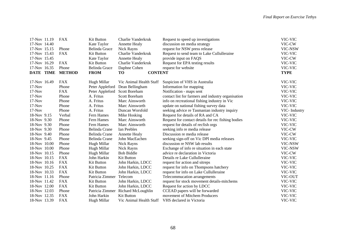| 17-Nov 11.19 | FAX           | <b>Kit Button</b> | Charlie Vanderkruk      | Request to speed up investigations                 | VIC-VIC      |
|--------------|---------------|-------------------|-------------------------|----------------------------------------------------|--------------|
| 17-Nov 14.40 |               | Kate Taylor       | <b>Annette Healy</b>    | discussion on media strategy                       | VIC-CW       |
| 17-Nov 15.15 | Phone         | Belinda Grace     | <b>Nick Rayns</b>       | request for NSW press release                      | VIC-NSW      |
| 17-Nov 15.43 | <b>FAX</b>    | <b>Kit Button</b> | Charlie Vanderkruk      | Request to send team to Lake Cullulleraine         | VIC-VIC      |
| 17-Nov 15.45 |               | Kate Taylor       | <b>Annette Healy</b>    | provide input on FAQS                              | VIC-CW       |
| 17-Nov 16.29 | <b>FAX</b>    | <b>Kit Button</b> | Charlie Vanderkruk      | Request for EPA testing results                    | VIC-VIC      |
| 17-Nov 16.35 | Phone         | Belinda Grace     | Daphne Cohen            | request for website                                | VIC-VIC      |
| DATE TIME    | <b>METHOD</b> | <b>FROM</b>       | <b>CONTENT</b><br>TО    |                                                    | <b>TYPE</b>  |
| 17-Nov 16.49 | <b>FAX</b>    | Hugh Millar       | Vic Animal Health Staff | Suspicion of VHS in Australia                      | VIC-VIC      |
| $17-Nov$     | Phone         | Peter Appleford   | Dean Bellingham         | Information for mapping                            | VIC-VIC      |
| $17-Nov$     | <b>FAX</b>    | Peter Appleford   | <b>Scott Boreham</b>    | Notification - maps sent                           | VIC-VIC      |
| $17-Nov$     | Phone         | A. Fritus         | Scott Boreham           | contact list for farmers and industry organisation | VIC-VIC      |
| $17-Nov$     | Phone         | A. Fritus         | Marc Ainsworth          | info on recreational fishing industry in Vic       | VIC-VIC      |
| $17-Nov$     | Phone         | A. Fritus         | Marc Ainsworth          | update on national fishing survey data             | VIC-VIC      |
| $17-Nov$     | Phone         | A. Fritus         | Duncan Worsfold         | seeking advice re Tasmanian industry inquiry       | VIC-Industry |
| 18-Nov 9.15  | Verbal        | Fern Hames        | Mike Hosking            | Request for details of RA and CA                   | VIC-VIC      |
| 18-Nov 9.30  | Phone         | Fern Hames        | Marc Ainsworth          | Request for contact details for rec fishing bodies | VIC-VIC      |
| 18-Nov 9.30  | Phone         | Fern Hames        | Marc Ainsworth          | request for details of recfish orgs                | VIC-VIC      |
| 18-Nov 9.30  | Phone         | Belinda Crane     | Ian Peebles             | seeking info re media release                      | VIC-CW       |
| 18-Nov 9.40  | Phone         | Belinda Crane     | <b>Annette Healy</b>    | Discussion re media release                        | VIC-CW       |
| 18-Nov 9.45  | Phone         | Belinda Crane     | John MacEachen          | seeking sign-off on Vic DPI media releases         | VIC-VIC      |
| 18-Nov 10.00 | Phone         | Hugh Millar       | Nick Rayns              | discussion re NSW lab results                      | VIC-NSW      |
| 18-Nov 10.00 | Phone         | Hugh Millar       | Nick Rayns              | Exchange of info re situation in each state        | VIC-NSW      |
| 18-Nov 10.15 | Phone         | Hugh Millar       | <b>Bob Biddle</b>       | advice re declaration in Victoria                  | VIC-CW       |
| 18-Nov 10.15 | <b>FAX</b>    | John Harkin       | <b>Kit Button</b>       | Details re Lake Cullulleraine                      | VIC-VIC      |
| 18-Nov 10.16 | <b>FAX</b>    | <b>Kit Button</b> | John Harkin, LDCC       | request for action and sitreps                     | VIC-VIC      |
| 18-Nov 10.25 | <b>FAX</b>    | <b>Kit Button</b> | John Harkin, LDCC       | request for info on Thompsons hatchery             | VIC-VIC      |
| 18-Nov 10.33 | <b>FAX</b>    | <b>Kit Button</b> | John Harkin, LDCC       | request for info on Lake Cullulleraine             | VIC-VIC      |
| 18-Nov 11.16 | Phone         | Patricia Zimmer   | Telecom                 | Telecommucation arrangements                       | VIC-OUT      |
| 18-Nov 11.42 | <b>FAX</b>    | <b>Kit Button</b> | John Harkin, LDCC       | request for stock movement details-mitchems        | VIC-VIC      |
| 18-Nov 12.00 | <b>FAX</b>    | Kit Button        | John Harkin, LDCC       | Request for action by LDCC                         | VIC-VIC      |
| 18-Nov 12.03 | Phone         | Patricia Zimmer   | Richard McLoughlin      | CCEAD papers will be forwarded                     | VIC-VIC      |
| 18-Nov 12.35 | <b>FAX</b>    | John Harkin       | <b>Kit Button</b>       | movement of Mitchem Producers                      | VIC-VIC      |
| 18-Nov 13.39 | <b>FAX</b>    | Hugh Millar       | Vic Animal Health Staff | VHS declared in Victoria                           | VIC-VIC      |